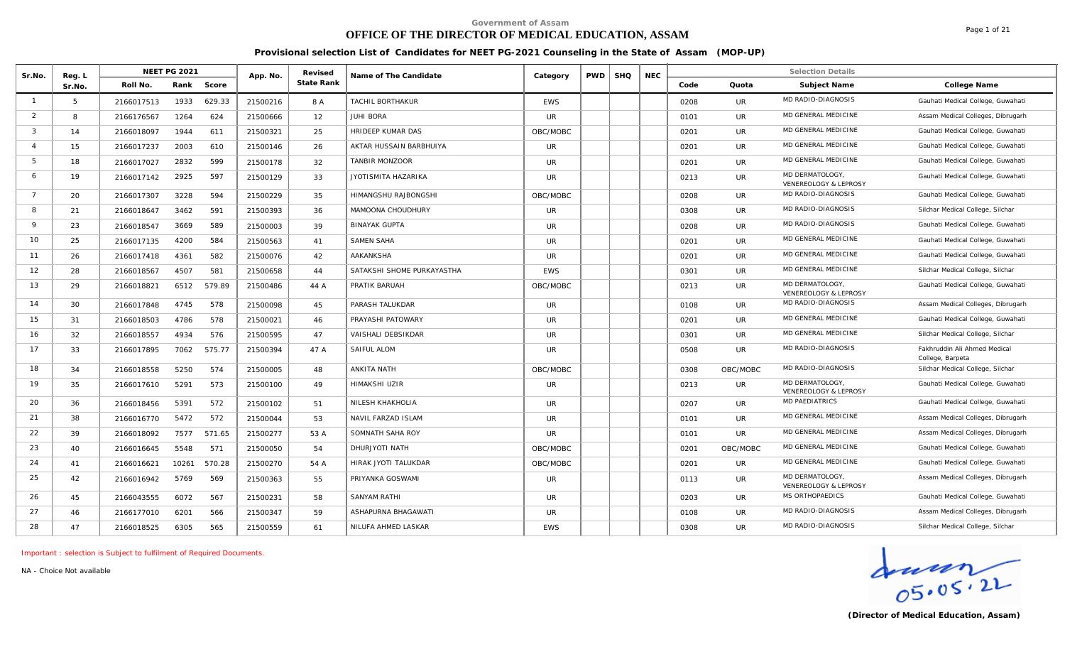# **OFFICE OF THE DIRECTOR OF MEDICAL EDUCATION, ASSAM**

Page 1 of 21

#### **Provisional selection List of Candidates for NEET PG-2021 Counseling in the State of Assam (MOP-UP)**

| Sr.No.                  | Reg. L |            | <b>NEET PG 2021</b> |        | App. No. | Revised    | Name of The Candidate      | Category   | <b>PWD</b> | <b>SHQ</b> | <b>NEC</b> |      |           | <b>Selection Details</b>                |                                                  |
|-------------------------|--------|------------|---------------------|--------|----------|------------|----------------------------|------------|------------|------------|------------|------|-----------|-----------------------------------------|--------------------------------------------------|
|                         | Sr.No. | Roll No.   | Rank                | Score  |          | State Rank |                            |            |            |            |            | Code | Quota     | Subject Name                            | College Name                                     |
| $\overline{1}$          | 5      | 2166017513 | 1933                | 629.33 | 21500216 | 8 A        | TACHIL BORTHAKUR           | <b>EWS</b> |            |            |            | 0208 | UR.       | MD RADIO-DIAGNOSIS                      | Gauhati Medical College, Guwahati                |
| 2                       | 8      | 2166176567 | 1264                | 624    | 21500666 | 12         | JUHI BORA                  | UR         |            |            |            | 0101 | UR        | MD GENERAL MEDICINE                     | Assam Medical Colleges, Dibrugarh                |
| $\overline{\mathbf{3}}$ | 14     | 2166018097 | 1944                | 611    | 21500321 | 25         | <b>HRIDEEP KUMAR DAS</b>   | OBC/MOBC   |            |            |            | 0201 | UR.       | MD GENERAL MEDICINE                     | Gauhati Medical College, Guwahati                |
| $\Delta$                | 15     | 2166017237 | 2003                | 610    | 21500146 | 26         | AKTAR HUSSAIN BARBHUIYA    | <b>UR</b>  |            |            |            | 0201 | <b>UR</b> | MD GENERAL MEDICINE                     | Gauhati Medical College, Guwahati                |
| -5                      | 18     | 2166017027 | 2832                | 599    | 21500178 | 32         | TANBIR MONZOOR             | <b>UR</b>  |            |            |            | 0201 | <b>UR</b> | MD GENERAL MEDICINE                     | Gauhati Medical College, Guwahati                |
| 6                       | 19     | 2166017142 | 2925                | 597    | 21500129 | 33         | JYOTISMITA HAZARIKA        | <b>UR</b>  |            |            |            | 0213 | UR.       | MD DERMATOLOGY<br>VENEREOLOGY & LEPROSY | Gauhati Medical College, Guwahati                |
| $\overline{7}$          | 20     | 2166017307 | 3228                | 594    | 21500229 | 35         | HIMANGSHU RAJBONGSHI       | OBC/MOBC   |            |            |            | 0208 | UR.       | MD RADIO-DIAGNOSIS                      | Gauhati Medical College, Guwahati                |
| 8                       | 21     | 2166018647 | 3462                | 591    | 21500393 | 36         | MAMOONA CHOUDHURY          | UR.        |            |            |            | 0308 | <b>UR</b> | MD RADIO-DIAGNOSIS                      | Silchar Medical College, Silchar                 |
| $\mathsf{Q}$            | 23     | 2166018547 | 3669                | 589    | 21500003 | 39         | <b>BINAYAK GUPTA</b>       | <b>UR</b>  |            |            |            | 0208 | <b>UR</b> | MD RADIO-DIAGNOSIS                      | Gauhati Medical College, Guwahati                |
| 10                      | 25     | 2166017135 | 4200                | 584    | 21500563 | 41         | SAMEN SAHA                 | <b>UR</b>  |            |            |            | 0201 | <b>UR</b> | MD GENERAL MEDICINE                     | Gauhati Medical College, Guwahati                |
| 11                      | 26     | 2166017418 | 4361                | 582    | 21500076 | 42         | AAKANKSHA                  | UR.        |            |            |            | 0201 | <b>UR</b> | MD GENERAL MEDICINE                     | Gauhati Medical College, Guwahati                |
| 12                      | 28     | 2166018567 | 4507                | 581    | 21500658 | 44         | SATAKSHI SHOME PURKAYASTHA | <b>EWS</b> |            |            |            | 0301 | <b>UR</b> | MD GENERAL MEDICINE                     | Silchar Medical College, Silchar                 |
| 13                      | 29     | 2166018821 | 6512                | 579.89 | 21500486 | 44 A       | PRATIK BARUAH              | OBC/MOBC   |            |            |            | 0213 | <b>UR</b> | MD DERMATOLOGY<br>VENEREOLOGY & LEPROSY | Gauhati Medical College, Guwahati                |
| 14                      | 30     | 2166017848 | 4745                | 578    | 21500098 | 45         | PARASH TALUKDAR            | <b>UR</b>  |            |            |            | 0108 | UR        | MD RADIO-DIAGNOSIS                      | Assam Medical Colleges, Dibrugarh                |
| 15                      | 31     | 2166018503 | 4786                | 578    | 21500021 | 46         | PRAYASHI PATOWARY          | UR         |            |            |            | 0201 | <b>UR</b> | MD GENERAL MEDICINE                     | Gauhati Medical College, Guwahati                |
| 16                      | 32     | 2166018557 | 4934                | 576    | 21500595 | 47         | VAISHALI DEBSIKDAR         | UR         |            |            |            | 0301 | <b>UR</b> | <b>MD GENERAL MEDICINE</b>              | Silchar Medical College, Silchar                 |
| 17                      | 33     | 2166017895 | 7062                | 575.77 | 21500394 | 47 A       | SAIFUL ALOM                | <b>UR</b>  |            |            |            | 0508 | <b>UR</b> | MD RADIO-DIAGNOSIS                      | Fakhruddin Ali Ahmed Medical<br>College, Barpeta |
| 18                      | 34     | 2166018558 | 5250                | 574    | 21500005 | 48         | ANKITA NATH                | OBC/MOBC   |            |            |            | 0308 | OBC/MOBC  | MD RADIO-DIAGNOSIS                      | Silchar Medical College, Silchar                 |
| 19                      | 35     | 2166017610 | 5291                | 573    | 21500100 | 49         | <b>HIMAKSHI UZIR</b>       | UR         |            |            |            | 0213 | UR.       | MD DERMATOLOGY<br>VENEREOLOGY & LEPROSY | Gauhati Medical College, Guwahati                |
| 20                      | 36     | 2166018456 | 5391                | 572    | 21500102 | 51         | NILESH KHAKHOLIA           | <b>UR</b>  |            |            |            | 0207 | <b>UR</b> | <b>MD PAEDIATRICS</b>                   | Gauhati Medical College, Guwahati                |
| 21                      | 38     | 2166016770 | 5472                | 572    | 21500044 | 53         | NAVIL FARZAD ISLAM         | <b>UR</b>  |            |            |            | 0101 | <b>UR</b> | MD GENERAL MEDICINE                     | Assam Medical Colleges, Dibrugarh                |
| 22                      | 39     | 2166018092 | 7577                | 571.65 | 21500277 | 53 A       | SOMNATH SAHA ROY           | <b>UR</b>  |            |            |            | 0101 | UR        | MD GENERAL MEDICINE                     | Assam Medical Colleges, Dibrugarh                |
| 23                      | 40     | 2166016645 | 5548                | 571    | 21500050 | 54         | DHURJYOTI NATH             | OBC/MOBC   |            |            |            | 0201 | OBC/MOBC  | MD GENERAL MEDICINE                     | Gauhati Medical College, Guwahati                |
| 24                      | 41     | 2166016621 | 10261               | 570.28 | 21500270 | 54 A       | HIRAK JYOTI TALUKDAR       | OBC/MOBC   |            |            |            | 0201 | UR.       | MD GENERAL MEDICINE                     | Gauhati Medical College, Guwahati                |
| 25                      | 42     | 2166016942 | 5769                | 569    | 21500363 | 55         | PRIYANKA GOSWAMI           | <b>UR</b>  |            |            |            | 0113 | <b>UR</b> | MD DERMATOLOGY<br>VENEREOLOGY & LEPROSY | Assam Medical Colleges, Dibrugarh                |
| 26                      | 45     | 2166043555 | 6072                | 567    | 21500231 | 58         | SANYAM RATHI               | <b>UR</b>  |            |            |            | 0203 | UR.       | MS ORTHOPAEDICS                         | Gauhati Medical College, Guwahati                |
| 27                      | 46     | 2166177010 | 6201                | 566    | 21500347 | 59         | ASHAPURNA BHAGAWATI        | UR.        |            |            |            | 0108 | UR.       | MD RADIO-DIAGNOSIS                      | Assam Medical Colleges, Dibrugarh                |
| 28                      | 47     | 2166018525 | 6305                | 565    | 21500559 | 61         | NILUFA AHMED LASKAR        | <b>EWS</b> |            |            |            | 0308 | UR        | MD RADIO-DIAGNOSIS                      | Silchar Medical College, Silchar                 |

*Important : selection is Subject to fulfilment of Required Documents.*

*NA - Choice Not available*

 $\frac{1}{05.05.22}$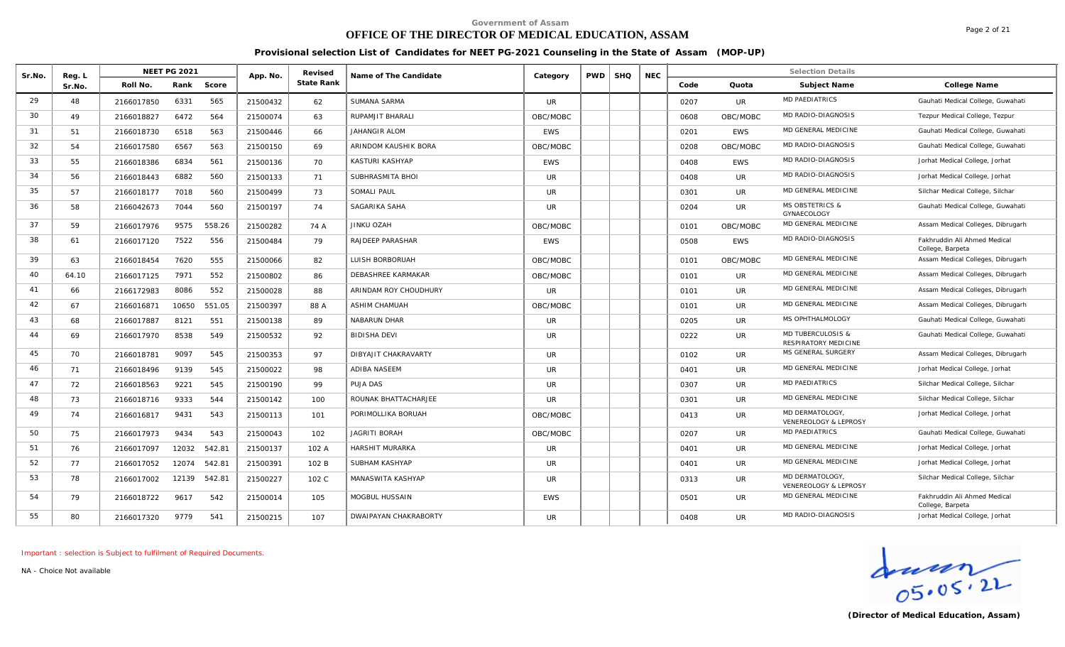## **OFFICE OF THE DIRECTOR OF MEDICAL EDUCATION, ASSAM**

Page 2 of 21

#### **Provisional selection List of Candidates for NEET PG-2021 Counseling in the State of Assam (MOP-UP)**

|        |                  | <b>NEET PG 2021</b> |       |        |          | Revised    |                        |            |            |            |            |      |            | <b>Selection Details</b>                             |                                                  |
|--------|------------------|---------------------|-------|--------|----------|------------|------------------------|------------|------------|------------|------------|------|------------|------------------------------------------------------|--------------------------------------------------|
| Sr.No. | Reg. L<br>Sr.No. | Roll No.            | Rank  | Score  | App. No. | State Rank | Name of The Candidate  | Category   | <b>PWD</b> | <b>SHQ</b> | <b>NEC</b> | Code | Quota      | Subject Name                                         | College Name                                     |
| 29     | 48               |                     | 6331  | 565    |          |            | <b>SUMANA SARMA</b>    | <b>UR</b>  |            |            |            |      | UR.        | MD PAEDIATRICS                                       | Gauhati Medical College, Guwahati                |
| 30     |                  | 2166017850          |       |        | 21500432 | 62         |                        |            |            |            |            | 0207 |            | MD RADIO-DIAGNOSIS                                   |                                                  |
|        | 49               | 2166018827          | 6472  | 564    | 21500074 | 63         | RUPAMJIT BHARALI       | OBC/MOBC   |            |            |            | 0608 | OBC/MOBC   |                                                      | Tezpur Medical College, Tezpur                   |
| 31     | 51               | 2166018730          | 6518  | 563    | 21500446 | 66         | JAHANGIR ALOM          | <b>EWS</b> |            |            |            | 0201 | <b>EWS</b> | MD GENERAL MEDICINE                                  | Gauhati Medical College, Guwahati                |
| 32     | 54               | 2166017580          | 6567  | 563    | 21500150 | 69         | ARINDOM KAUSHIK BORA   | OBC/MOBC   |            |            |            | 0208 | OBC/MOBC   | MD RADIO-DIAGNOSIS                                   | Gauhati Medical College, Guwahati                |
| 33     | 55               | 2166018386          | 6834  | 561    | 21500136 | 70         | KASTURI KASHYAP        | EWS        |            |            |            | 0408 | <b>EWS</b> | MD RADIO-DIAGNOSIS                                   | Jorhat Medical College, Jorhat                   |
| 34     | 56               | 2166018443          | 6882  | 560    | 21500133 | 71         | SUBHRASMITA BHOI       | <b>UR</b>  |            |            |            | 0408 | UR.        | MD RADIO-DIAGNOSIS                                   | Jorhat Medical College, Jorhat                   |
| 35     | 57               | 2166018177          | 7018  | 560    | 21500499 | 73         | SOMALI PAUL            | UR.        |            |            |            | 0301 | UR.        | MD GENERAL MEDICINE                                  | Silchar Medical College, Silchar                 |
| 36     | 58               | 2166042673          | 7044  | 560    | 21500197 | 74         | SAGARIKA SAHA          | UR.        |            |            |            | 0204 | <b>UR</b>  | <b>MS OBSTETRICS &amp;</b><br>GYNAECOLOGY            | Gauhati Medical College, Guwahati                |
| 37     | 59               | 2166017976          | 9575  | 558.26 | 21500282 | 74 A       | JINKU OZAH             | OBC/MOBC   |            |            |            | 0101 | OBC/MOBC   | MD GENERAL MEDICINE                                  | Assam Medical Colleges, Dibrugarh                |
| 38     | 61               | 2166017120          | 7522  | 556    | 21500484 | 79         | RAJDEEP PARASHAR       | <b>EWS</b> |            |            |            | 0508 | <b>EWS</b> | MD RADIO-DIAGNOSIS                                   | Fakhruddin Ali Ahmed Medical<br>College, Barpeta |
| 39     | 63               | 2166018454          | 7620  | 555    | 21500066 | 82         | LUISH BORBORUAH        | OBC/MOBC   |            |            |            | 0101 | OBC/MOBC   | MD GENERAL MEDICINE                                  | Assam Medical Colleges, Dibrugarh                |
| 40     | 64.10            | 2166017125          | 7971  | 552    | 21500802 | 86         | DEBASHREE KARMAKAR     | OBC/MOBC   |            |            |            | 0101 | <b>UR</b>  | MD GENERAL MEDICINE                                  | Assam Medical Colleges, Dibrugarh                |
| 41     | 66               | 2166172983          | 8086  | 552    | 21500028 | 88         | ARINDAM ROY CHOUDHURY  | <b>UR</b>  |            |            |            | 0101 | UR.        | MD GENERAL MEDICINE                                  | Assam Medical Colleges, Dibrugarh                |
| 42     | 67               | 2166016871          | 10650 | 551.05 | 21500397 | 88 A       | ASHIM CHAMUAH          | OBC/MOBC   |            |            |            | 0101 | UR.        | MD GENERAL MEDICINE                                  | Assam Medical Colleges, Dibrugarh                |
| 43     | 68               | 2166017887          | 8121  | 551    | 21500138 | 89         | NABARUN DHAR           | UR.        |            |            |            | 0205 | <b>UR</b>  | MS OPHTHALMOLOGY                                     | Gauhati Medical College, Guwahati                |
| 44     | 69               | 2166017970          | 8538  | 549    | 21500532 | 92         | <b>BIDISHA DEVI</b>    | <b>UR</b>  |            |            |            | 0222 | <b>UR</b>  | <b>MD TUBERCULOSIS &amp;</b><br>RESPIRATORY MEDICINE | Gauhati Medical College, Guwahati                |
| 45     | 70               | 2166018781          | 9097  | 545    | 21500353 | 97         | DIBYAJIT CHAKRAVARTY   | <b>UR</b>  |            |            |            | 0102 | <b>UR</b>  | MS GENERAL SURGERY                                   | Assam Medical Colleges, Dibrugarh                |
| 46     | 71               | 2166018496          | 9139  | 545    | 21500022 | 98         | ADIBA NASEEM           | UR.        |            |            |            | 0401 | <b>UR</b>  | MD GENERAL MEDICINE                                  | Jorhat Medical College, Jorhat                   |
| 47     | 72               | 2166018563          | 9221  | 545    | 21500190 | 99         | PUJA DAS               | <b>UR</b>  |            |            |            | 0307 | <b>UR</b>  | <b>MD PAEDIATRICS</b>                                | Silchar Medical College, Silchar                 |
| 48     | 73               | 2166018716          | 9333  | 544    | 21500142 | 100        | ROUNAK BHATTACHARJEE   | <b>UR</b>  |            |            |            | 0301 | <b>UR</b>  | MD GENERAL MEDICINE                                  | Silchar Medical College, Silchar                 |
| 49     | 74               | 2166016817          | 9431  | 543    | 21500113 | 101        | PORIMOLLIKA BORUAH     | OBC/MOBC   |            |            |            | 0413 | <b>UR</b>  | MD DERMATOLOGY<br>VENEREOLOGY & LEPROSY              | Jorhat Medical College, Jorhat                   |
| 50     | 75               | 2166017973          | 9434  | 543    | 21500043 | 102        | JAGRITI BORAH          | OBC/MOBC   |            |            |            | 0207 | <b>UR</b>  | <b>MD PAEDIATRICS</b>                                | Gauhati Medical College, Guwahati                |
| 51     | 76               | 2166017097          | 12032 | 542.81 | 21500137 | 102 A      | <b>HARSHIT MURARKA</b> | UR.        |            |            |            | 0401 | <b>UR</b>  | MD GENERAL MEDICINE                                  | Jorhat Medical College, Jorhat                   |
| 52     | 77               | 2166017052          | 12074 | 542.81 | 21500391 | 102 B      | SUBHAM KASHYAP         | <b>UR</b>  |            |            |            | 0401 | UR.        | MD GENERAL MEDICINE                                  | Jorhat Medical College, Jorhat                   |
| 53     | 78               | 2166017002          | 12139 | 542.81 | 21500227 | 102 C      | MANASWITA KASHYAP      | <b>UR</b>  |            |            |            | 0313 | <b>UR</b>  | MD DERMATOLOGY<br>VENEREOLOGY & LEPROSY              | Silchar Medical College, Silchar                 |
| 54     | 79               | 2166018722          | 9617  | 542    | 21500014 | 105        | MOGBUL HUSSAIN         | <b>EWS</b> |            |            |            | 0501 | <b>UR</b>  | MD GENERAL MEDICINE                                  | Fakhruddin Ali Ahmed Medical<br>College, Barpeta |
| 55     | 80               | 2166017320          | 9779  | 541    | 21500215 | 107        | DWAIPAYAN CHAKRABORTY  | <b>UR</b>  |            |            |            | 0408 | <b>UR</b>  | MD RADIO-DIAGNOSIS                                   | Jorhat Medical College, Jorhat                   |

*Important : selection is Subject to fulfilment of Required Documents.*

Greetor of Medical Education, Assam)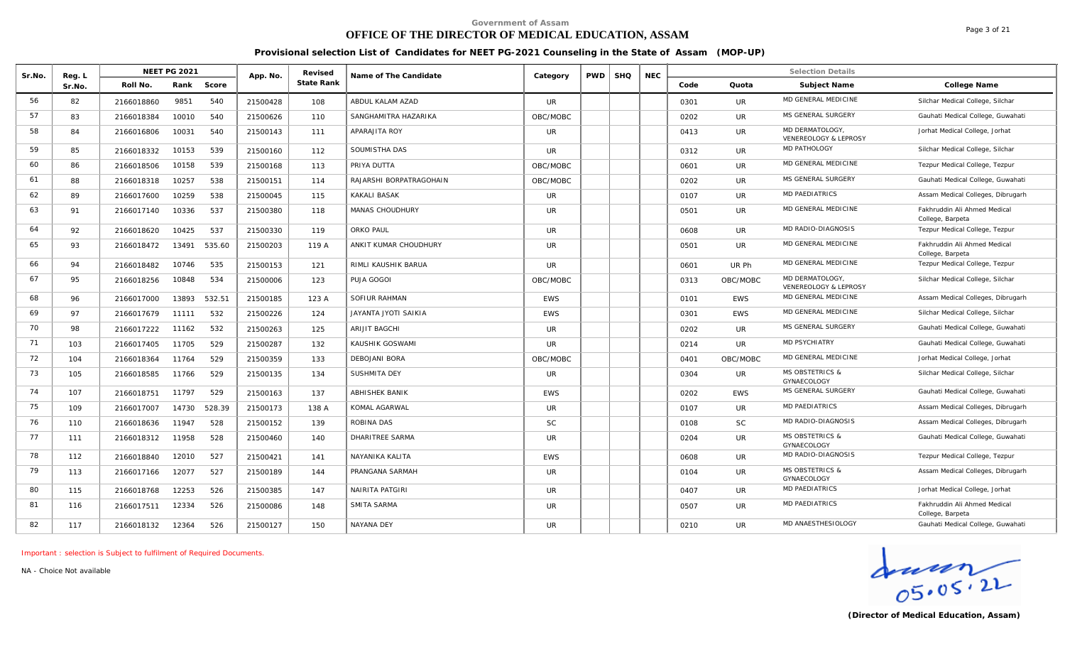### **OFFICE OF THE DIRECTOR OF MEDICAL EDUCATION, ASSAM**

Page 3 of 21

#### **Provisional selection List of Candidates for NEET PG-2021 Counseling in the State of Assam (MOP-UP)**

| Sr.No. | Reg. L |            | <b>NEET PG 2021</b> |        | App. No. | Revised    | Name of The Candidate   | Category   | <b>PWD</b> | <b>SHQ</b> | <b>NEC</b> |      |            | <b>Selection Details</b>                  |                                                  |
|--------|--------|------------|---------------------|--------|----------|------------|-------------------------|------------|------------|------------|------------|------|------------|-------------------------------------------|--------------------------------------------------|
|        | Sr.No. | Roll No.   | Rank                | Score  |          | State Rank |                         |            |            |            |            | Code | Quota      | Subject Name                              | College Name                                     |
| 56     | 82     | 2166018860 | 9851                | 540    | 21500428 | 108        | ABDUL KALAM AZAD        | UR         |            |            |            | 0301 | UR         | MD GENERAL MEDICINE                       | Silchar Medical College, Silchar                 |
| 57     | 83     | 2166018384 | 10010               | 540    | 21500626 | 110        | SANGHAMITRA HAZARIKA    | OBC/MOBC   |            |            |            | 0202 | <b>UR</b>  | MS GENERAL SURGERY                        | Gauhati Medical College, Guwahati                |
| 58     | 84     | 2166016806 | 10031               | 540    | 21500143 | 111        | APARAJITA ROY           | UR.        |            |            |            | 0413 | UR         | MD DERMATOLOGY<br>VENEREOLOGY & LEPROSY   | Jorhat Medical College, Jorhat                   |
| 59     | 85     | 2166018332 | 10153               | 539    | 21500160 | 112        | SOUMISTHA DAS           | UR.        |            |            |            | 0312 | UR         | MD PATHOLOGY                              | Silchar Medical College, Silchar                 |
| 60     | 86     | 2166018506 | 10158               | 539    | 21500168 | 113        | PRIYA DUTTA             | OBC/MOBC   |            |            |            | 0601 | UR         | MD GENERAL MEDICINE                       | Tezpur Medical College, Tezpur                   |
| 61     | 88     | 2166018318 | 10257               | 538    | 21500151 | 114        | RAJARSHI BORPATRAGOHAIN | OBC/MOBC   |            |            |            | 0202 | UR         | MS GENERAL SURGERY                        | Gauhati Medical College, Guwahati                |
| 62     | 89     | 2166017600 | 10259               | 538    | 21500045 | 115        | KAKALI BASAK            | <b>UR</b>  |            |            |            | 0107 | UR         | <b>MD PAEDIATRICS</b>                     | Assam Medical Colleges, Dibrugarh                |
| 63     | 91     | 2166017140 | 10336               | 537    | 21500380 | 118        | <b>MANAS CHOUDHURY</b>  | <b>UR</b>  |            |            |            | 0501 | <b>UR</b>  | MD GENERAL MEDICINE                       | Fakhruddin Ali Ahmed Medical<br>College, Barpeta |
| 64     | 92     | 2166018620 | 10425               | 537    | 21500330 | 119        | ORKO PAUL               | <b>UR</b>  |            |            |            | 0608 | UR         | MD RADIO-DIAGNOSIS                        | Tezpur Medical College, Tezpur                   |
| 65     | 93     | 2166018472 | 13491               | 535.60 | 21500203 | 119 A      | ANKIT KUMAR CHOUDHURY   | <b>UR</b>  |            |            |            | 0501 | UR         | MD GENERAL MEDICINE                       | Fakhruddin Ali Ahmed Medical<br>College, Barpeta |
| 66     | 94     | 2166018482 | 10746               | 535    | 21500153 | 121        | RIMLI KAUSHIK BARUA     | <b>UR</b>  |            |            |            | 0601 | UR Ph      | MD GENERAL MEDICINE                       | Tezpur Medical College, Tezpur                   |
| 67     | 95     | 2166018256 | 10848               | 534    | 21500006 | 123        | PUJA GOGOI              | OBC/MOBC   |            |            |            | 0313 | OBC/MOBC   | MD DERMATOLOGY<br>VENEREOLOGY & LEPROSY   | Silchar Medical College, Silchar                 |
| 68     | 96     | 2166017000 | 13893               | 532.51 | 21500185 | 123 A      | SOFIUR RAHMAN           | <b>FWS</b> |            |            |            | 0101 | <b>EWS</b> | MD GENERAL MEDICINE                       | Assam Medical Colleges, Dibrugarh                |
| 69     | 97     | 2166017679 | 11111               | 532    | 21500226 | 124        | JAYANTA JYOTI SAIKIA    | <b>EWS</b> |            |            |            | 0301 | <b>EWS</b> | MD GENERAL MEDICINE                       | Silchar Medical College, Silchar                 |
| 70     | 98     | 2166017222 | 11162               | 532    | 21500263 | 125        | ARIJIT BAGCHI           | UR         |            |            |            | 0202 | UR         | MS GENERAL SURGERY                        | Gauhati Medical College, Guwahati                |
| 71     | 103    | 2166017405 | 11705               | 529    | 21500287 | 132        | KAUSHIK GOSWAMI         | <b>UR</b>  |            |            |            | 0214 | <b>UR</b>  | <b>MD PSYCHIATRY</b>                      | Gauhati Medical College, Guwahati                |
| 72     | 104    | 2166018364 | 11764               | 529    | 21500359 | 133        | DEBOJANI BORA           | OBC/MOBC   |            |            |            | 0401 | OBC/MOBC   | MD GENERAL MEDICINE                       | Jorhat Medical College, Jorhat                   |
| 73     | 105    | 2166018585 | 11766               | 529    | 21500135 | 134        | SUSHMITA DEY            | <b>UR</b>  |            |            |            | 0304 | UR         | <b>MS OBSTETRICS &amp;</b><br>GYNAECOLOGY | Silchar Medical College, Silchar                 |
| 74     | 107    | 2166018751 | 11797               | 529    | 21500163 | 137        | <b>ABHISHEK BANIK</b>   | <b>FWS</b> |            |            |            | 0202 | <b>EWS</b> | MS GENERAL SURGERY                        | Gauhati Medical College, Guwahati                |
| 75     | 109    | 2166017007 | 14730               | 528.39 | 21500173 | 138 A      | KOMAL AGARWAL           | <b>UR</b>  |            |            |            | 0107 | UR         | MD PAEDIATRICS                            | Assam Medical Colleges, Dibrugarh                |
| 76     | 110    | 2166018636 | 11947               | 528    | 21500152 | 139        | ROBINA DAS              | <b>SC</b>  |            |            |            | 0108 | <b>SC</b>  | MD RADIO-DIAGNOSIS                        | Assam Medical Colleges, Dibrugarh                |
| 77     | 111    | 2166018312 | 11958               | 528    | 21500460 | 140        | <b>DHARITREE SARMA</b>  | <b>UR</b>  |            |            |            | 0204 | <b>UR</b>  | <b>MS OBSTETRICS &amp;</b><br>GYNAECOLOGY | Gauhati Medical College, Guwahati                |
| 78     | 112    | 2166018840 | 12010               | 527    | 21500421 | 141        | NAYANIKA KALITA         | <b>EWS</b> |            |            |            | 0608 | <b>UR</b>  | MD RADIO-DIAGNOSIS                        | Tezpur Medical College, Tezpur                   |
| 79     | 113    | 2166017166 | 12077               | 527    | 21500189 | 144        | PRANGANA SARMAH         | <b>UR</b>  |            |            |            | 0104 | UR         | <b>MS OBSTETRICS &amp;</b><br>GYNAECOLOGY | Assam Medical Colleges, Dibrugarh                |
| 80     | 115    | 2166018768 | 12253               | 526    | 21500385 | 147        | <b>NAIRITA PATGIRI</b>  | <b>UR</b>  |            |            |            | 0407 | UR         | <b>MD PAEDIATRICS</b>                     | Jorhat Medical College, Jorhat                   |
| 81     | 116    | 2166017511 | 12334               | 526    | 21500086 | 148        | SMITA SARMA             | UR.        |            |            |            | 0507 | <b>UR</b>  | <b>MD PAEDIATRICS</b>                     | Fakhruddin Ali Ahmed Medical<br>College, Barpeta |
| 82     | 117    | 2166018132 | 12364               | 526    | 21500127 | 150        | NAYANA DEY              | <b>UR</b>  |            |            |            | 0210 | <b>UR</b>  | MD ANAESTHESIOLOGY                        | Gauhati Medical College, Guwahati                |

*Important : selection is Subject to fulfilment of Required Documents.*

**(Director of Medical Education, Assam)**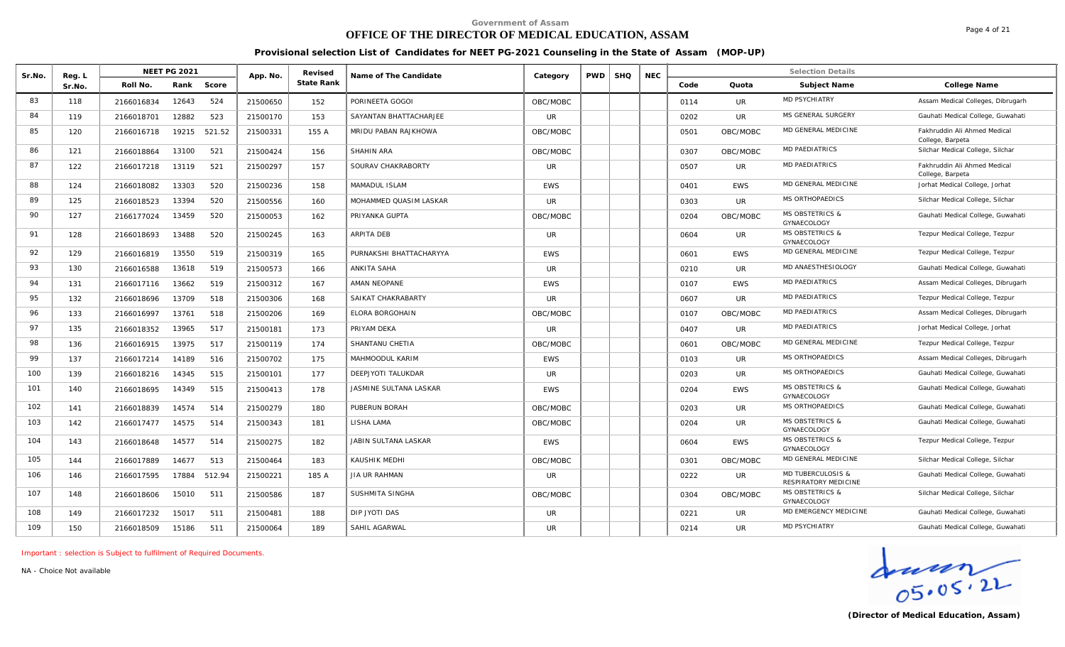### **OFFICE OF THE DIRECTOR OF MEDICAL EDUCATION, ASSAM**

Page 4 of 21

#### **Provisional selection List of Candidates for NEET PG-2021 Counseling in the State of Assam (MOP-UP)**

| Sr.No. | Reg. L |            | <b>NEET PG 2021</b> |        | App. No. | Revised    | Name of The Candidate   | Category   | <b>PWD</b> | <b>SHQ</b> | <b>NEC</b> |      |            | <b>Selection Details</b>                             |                                                  |
|--------|--------|------------|---------------------|--------|----------|------------|-------------------------|------------|------------|------------|------------|------|------------|------------------------------------------------------|--------------------------------------------------|
|        | Sr.No. | Roll No.   | Rank                | Score  |          | State Rank |                         |            |            |            |            | Code | Quota      | Subject Name                                         | College Name                                     |
| 83     | 118    | 2166016834 | 12643               | 524    | 21500650 | 152        | PORINEETA GOGOI         | OBC/MOBC   |            |            |            | 0114 | <b>UR</b>  | <b>MD PSYCHIATRY</b>                                 | Assam Medical Colleges, Dibrugarh                |
| 84     | 119    | 2166018701 | 12882               | 523    | 21500170 | 153        | SAYANTAN BHATTACHARJEE  | <b>UR</b>  |            |            |            | 0202 | <b>UR</b>  | MS GENERAL SURGERY                                   | Gauhati Medical College, Guwahati                |
| 85     | 120    | 2166016718 | 19215               | 521.52 | 21500331 | 155 A      | MRIDU PABAN RAJKHOWA    | OBC/MOBC   |            |            |            | 0501 | OBC/MOBC   | MD GENERAL MEDICINE                                  | Fakhruddin Ali Ahmed Medical<br>College, Barpeta |
| 86     | 121    | 2166018864 | 13100               | 521    | 21500424 | 156        | SHAHIN ARA              | OBC/MOBC   |            |            |            | 0307 | OBC/MOBC   | <b>MD PAEDIATRICS</b>                                | Silchar Medical College, Silchar                 |
| 87     | 122    | 2166017218 | 13119               | 521    | 21500297 | 157        | SOURAV CHAKRABORTY      | <b>UR</b>  |            |            |            | 0507 | <b>UR</b>  | <b>MD PAEDIATRICS</b>                                | Fakhruddin Ali Ahmed Medical<br>College, Barpeta |
| 88     | 124    | 2166018082 | 13303               | 520    | 21500236 | 158        | MAMADUL ISLAM           | <b>EWS</b> |            |            |            | 0401 | <b>EWS</b> | MD GENERAL MEDICINE                                  | Jorhat Medical College, Jorhat                   |
| 89     | 125    | 2166018523 | 13394               | 520    | 21500556 | 160        | MOHAMMED QUASIM LASKAR  | <b>UR</b>  |            |            |            | 0303 | <b>UR</b>  | MS ORTHOPAEDICS                                      | Silchar Medical College, Silchar                 |
| 90     | 127    | 2166177024 | 13459               | 520    | 21500053 | 162        | PRIYANKA GUPTA          | OBC/MOBC   |            |            |            | 0204 | OBC/MOBC   | <b>MS OBSTETRICS &amp;</b><br>GYNAECOLOGY            | Gauhati Medical College, Guwahati                |
| 91     | 128    | 2166018693 | 13488               | 520    | 21500245 | 163        | ARPITA DEB              | <b>UR</b>  |            |            |            | 0604 | <b>UR</b>  | <b>MS OBSTETRICS &amp;</b><br>GYNAECOLOGY            | Tezpur Medical College, Tezpur                   |
| 92     | 129    | 2166016819 | 13550               | 519    | 21500319 | 165        | PURNAKSHI BHATTACHARYYA | <b>FWS</b> |            |            |            | 0601 | <b>EWS</b> | MD GENERAL MEDICINE                                  | Tezpur Medical College, Tezpur                   |
| 93     | 130    | 2166016588 | 13618               | 519    | 21500573 | 166        | <b>ANKITA SAHA</b>      | <b>UR</b>  |            |            |            | 0210 | <b>UR</b>  | MD ANAESTHESIOLOGY                                   | Gauhati Medical College, Guwahati                |
| 94     | 131    | 2166017116 | 13662               | 519    | 21500312 | 167        | AMAN NEOPANE            | <b>FWS</b> |            |            |            | 0107 | <b>EWS</b> | <b>MD PAEDIATRICS</b>                                | Assam Medical Colleges, Dibrugarh                |
| 95     | 132    | 2166018696 | 13709               | 518    | 21500306 | 168        | SAIKAT CHAKRABARTY      | UR.        |            |            |            | 0607 | <b>UR</b>  | <b>MD PAEDIATRICS</b>                                | Tezpur Medical College, Tezpur                   |
| 96     | 133    | 2166016997 | 13761               | 518    | 21500206 | 169        | ELORA BORGOHAIN         | OBC/MOBC   |            |            |            | 0107 | OBC/MOBC   | MD PAEDIATRICS                                       | Assam Medical Colleges, Dibrugarh                |
| 97     | 135    | 2166018352 | 13965               | 517    | 21500181 | 173        | PRIYAM DEKA             | <b>UR</b>  |            |            |            | 0407 | <b>UR</b>  | <b>MD PAEDIATRICS</b>                                | Jorhat Medical College, Jorhat                   |
| 98     | 136    | 2166016915 | 13975               | 517    | 21500119 | 174        | SHANTANU CHETIA         | OBC/MOBC   |            |            |            | 0601 | OBC/MOBC   | MD GENERAL MEDICINE                                  | Tezpur Medical College, Tezpur                   |
| 99     | 137    | 2166017214 | 14189               | 516    | 21500702 | 175        | MAHMOODUL KARIM         | <b>EWS</b> |            |            |            | 0103 | <b>UR</b>  | MS ORTHOPAEDICS                                      | Assam Medical Colleges, Dibrugarh                |
| 100    | 139    | 2166018216 | 14345               | 515    | 21500101 | 177        | DEEPJYOTI TALUKDAR      | <b>UR</b>  |            |            |            | 0203 | <b>UR</b>  | MS ORTHOPAEDICS                                      | Gauhati Medical College, Guwahati                |
| 101    | 140    | 2166018695 | 14349               | 515    | 21500413 | 178        | JASMINE SULTANA LASKAR  | <b>EWS</b> |            |            |            | 0204 | <b>EWS</b> | <b>MS OBSTETRICS &amp;</b><br>GYNAECOLOGY            | Gauhati Medical College, Guwahati                |
| 102    | 141    | 2166018839 | 14574               | 514    | 21500279 | 180        | PUBERUN BORAH           | OBC/MOBC   |            |            |            | 0203 | <b>UR</b>  | MS ORTHOPAEDICS                                      | Gauhati Medical College, Guwahati                |
| 103    | 142    | 2166017477 | 14575               | 514    | 21500343 | 181        | LISHA LAMA              | OBC/MOBC   |            |            |            | 0204 | <b>UR</b>  | <b>MS OBSTETRICS &amp;</b><br>GYNAECOLOGY            | Gauhati Medical College, Guwahati                |
| 104    | 143    | 2166018648 | 14577               | 514    | 21500275 | 182        | JABIN SULTANA LASKAR    | EWS        |            |            |            | 0604 | <b>EWS</b> | <b>MS OBSTETRICS &amp;</b><br>GYNAECOLOGY            | Tezpur Medical College, Tezpur                   |
| 105    | 144    | 2166017889 | 14677               | 513    | 21500464 | 183        | KAUSHIK MEDHI           | OBC/MOBC   |            |            |            | 0301 | OBC/MOBC   | MD GENERAL MEDICINE                                  | Silchar Medical College, Silchar                 |
| 106    | 146    | 2166017595 | 17884               | 512.94 | 21500221 | 185 A      | <b>JIA UR RAHMAN</b>    | <b>UR</b>  |            |            |            | 0222 | <b>UR</b>  | <b>MD TUBERCULOSIS &amp;</b><br>RESPIRATORY MEDICINE | Gauhati Medical College, Guwahati                |
| 107    | 148    | 2166018606 | 15010               | 511    | 21500586 | 187        | SUSHMITA SINGHA         | OBC/MOBC   |            |            |            | 0304 | OBC/MOBC   | <b>MS OBSTETRICS &amp;</b><br>GYNAECOLOGY            | Silchar Medical College, Silchar                 |
| 108    | 149    | 2166017232 | 15017               | 511    | 21500481 | 188        | DIP JYOTI DAS           | <b>UR</b>  |            |            |            | 0221 | UR.        | MD EMERGENCY MEDICINE                                | Gauhati Medical College, Guwahati                |
| 109    | 150    | 2166018509 | 15186               | 511    | 21500064 | 189        | SAHIL AGARWAL           | <b>UR</b>  |            |            |            | 0214 | <b>UR</b>  | <b>MD PSYCHIATRY</b>                                 | Gauhati Medical College, Guwahati                |

*Important : selection is Subject to fulfilment of Required Documents.*

*NA - Choice Not available*

 $\frac{1}{05.05.22}$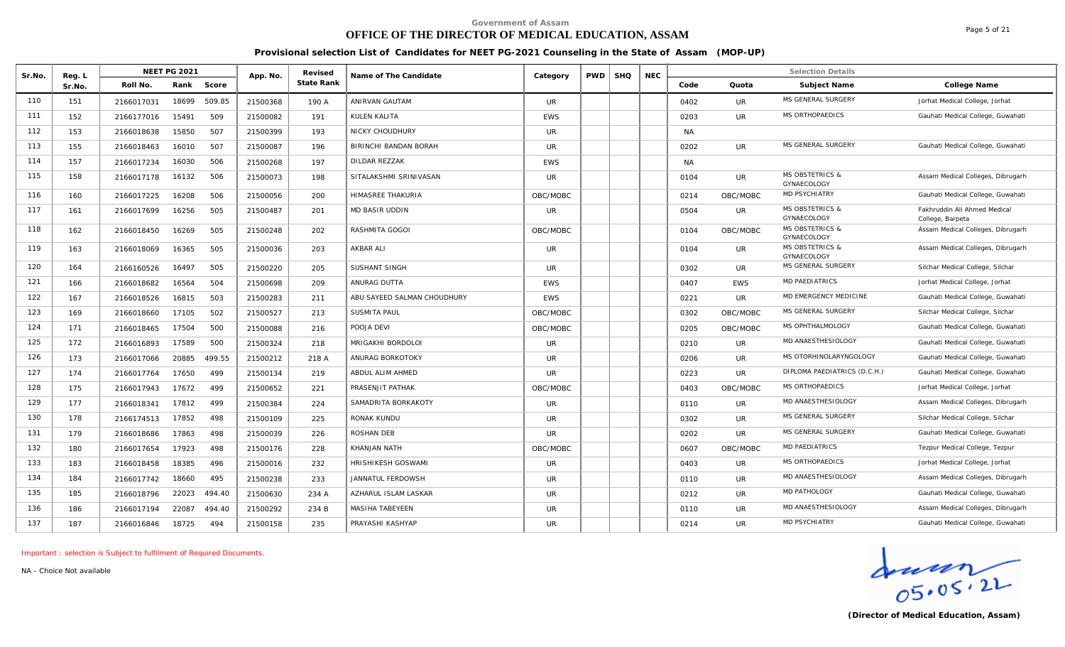# **OFFICE OF THE DIRECTOR OF MEDICAL EDUCATION, ASSAM**

Page 5 of 21

#### **Provisional selection List of Candidates for NEET PG-2021 Counseling in the State of Assam (MOP-UP)**

| Sr.No. | Reg. I | <b>NEET PG 2021</b> |        | App. No. | Revised    | Name of The Candidate       | Category     | <b>PWD</b> | <b>SHQ</b> | <b>NEC</b> |           |            | <b>Selection Details</b>                         |                                                  |
|--------|--------|---------------------|--------|----------|------------|-----------------------------|--------------|------------|------------|------------|-----------|------------|--------------------------------------------------|--------------------------------------------------|
|        | Sr.No. | Rank<br>Roll No     | Score  |          | State Rank |                             |              |            |            |            | Code      | Quota      | Subject Name                                     | College Name                                     |
| 110    | 151    | 18699<br>2166017031 | 509.85 | 21500368 | 190 A      | ANIRVAN GAUTAM              | <b>UR</b>    |            |            |            | 0402      | <b>UR</b>  | MS GENERAL SURGERY                               | Jorhat Medical College, Jorhat                   |
| 111    | 152    | 15491<br>2166177016 | 509    | 21500082 | 191        | KULEN KALITA                | <b>EWS</b>   |            |            |            | 0203      | <b>UR</b>  | MS ORTHOPAEDICS                                  | Gauhati Medical College, Guwahati                |
| 112    | 153    | 15850<br>2166018638 | 507    | 21500399 | 193        | NICKY CHOUDHURY             | UR.          |            |            |            | <b>NA</b> |            |                                                  |                                                  |
| 113    | 155    | 16010<br>2166018463 | 507    | 21500087 | 196        | BIRINCHI BANDAN BORAH       | <b>UR</b>    |            |            |            | 0202      | <b>UR</b>  | MS GENERAL SURGERY                               | Gauhati Medical College, Guwahati                |
| 114    | 157    | 16030<br>2166017234 | 506    | 21500268 | 197        | DILDAR REZZAK               | <b>EWS</b>   |            |            |            | <b>NA</b> |            |                                                  |                                                  |
| 115    | 158    | 16132<br>2166017178 | 506    | 21500073 | 198        | SITALAKSHMI SRINIVASAN      | <b>UR</b>    |            |            |            | 0104      | <b>UR</b>  | <b>MS OBSTETRICS &amp;</b><br>GYNAECOLOGY        | Assam Medical Colleges, Dibrugarh                |
| 116    | 160    | 2166017225<br>16208 | 506    | 21500056 | 200        | HIMASREE THAKURIA           | OBC/MOBC     |            |            |            | 0214      | OBC/MOBC   | MD PSYCHIATRY                                    | Gauhati Medical College, Guwahati                |
| 117    | 161    | 16256<br>2166017699 | 505    | 21500487 | 201        | <b>MD BASIR UDDIN</b>       | UR.          |            |            |            | 0504      | UR.        | <b>MS OBSTETRICS &amp;</b><br><b>GYNAECOLOGY</b> | Fakhruddin Ali Ahmed Medical<br>College, Barpeta |
| 118    | 162    | 16269<br>2166018450 | 505    | 21500248 | 202        | RASHMITA GOGOI              | OBC/MOBC     |            |            |            | 0104      | OBC/MOBC   | <b>MS OBSTETRICS &amp;</b><br>GYNAECOLOGY        | Assam Medical Colleges, Dibrugarh                |
| 119    | 163    | 16365<br>2166018069 | 505    | 21500036 | 203        | <b>AKBAR ALI</b>            | $_{\rm{UR}}$ |            |            |            | 0104      | <b>UR</b>  | <b>MS OBSTETRICS &amp;</b><br>GYNAECOLOGY        | Assam Medical Colleges, Dibrugarh                |
| 120    | 164    | 2166160526<br>16497 | 505    | 21500220 | 205        | SUSHANT SINGH               | UR.          |            |            |            | 0302      | UR         | MS GENERAL SURGERY                               | Silchar Medical College, Silchar                 |
| 121    | 166    | 2166018682<br>16564 | 504    | 21500698 | 209        | ANURAG DUTTA                | <b>EWS</b>   |            |            |            | 0407      | <b>EWS</b> | <b>MD PAEDIATRICS</b>                            | Jorhat Medical College, Jorhat                   |
| 122    | 167    | 16815<br>2166018526 | 503    | 21500283 | 211        | ABU SAYEED SALMAN CHOUDHURY | <b>EWS</b>   |            |            |            | 0221      | UR         | MD EMERGENCY MEDICINE                            | Gauhati Medical College, Guwahati                |
| 123    | 169    | 2166018660<br>17105 | 502    | 21500527 | 213        | <b>SUSMITA PAUL</b>         | OBC/MOBC     |            |            |            | 0302      | OBC/MOBC   | MS GENERAL SURGERY                               | Silchar Medical College, Silchar                 |
| 124    | 171    | 2166018465<br>17504 | 500    | 21500088 | 216        | POOJA DEVI                  | OBC/MOBC     |            |            |            | 0205      | OBC/MOBC   | MS OPHTHALMOLOGY                                 | Gauhati Medical College, Guwahati                |
| 125    | 172    | 17589<br>2166016893 | 500    | 21500324 | 218        | MRIGAKHI BORDOLOI           | UR.          |            |            |            | 0210      | <b>UR</b>  | MD ANAESTHESIOLOGY                               | Gauhati Medical College, Guwahati                |
| 126    | 173    | 2166017066<br>20885 | 499.55 | 21500212 | 218 A      | ANURAG BORKOTOKY            | <b>UR</b>    |            |            |            | 0206      | <b>UR</b>  | MS OTORHINOLARYNGOLOGY                           | Gauhati Medical College, Guwahati                |
| 127    | 174    | 2166017764<br>17650 | 499    | 21500134 | 219        | ABDUL ALIM AHMED            | UR.          |            |            |            | 0223      | UR         | DIPLOMA PAEDIATRICS (D.C.H.)                     | Gauhati Medical College, Guwahati                |
| 128    | 175    | 2166017943<br>17672 | 499    | 21500652 | 221        | PRASENJIT PATHAK            | OBC/MOBC     |            |            |            | 0403      | OBC/MOBC   | MS ORTHOPAEDICS                                  | Jorhat Medical College, Jorhat                   |
| 129    | 177    | 2166018341<br>17812 | 499    | 21500384 | 224        | SAMADRITA BORKAKOTY         | UR.          |            |            |            | 0110      | UR.        | MD ANAESTHESIOLOGY                               | Assam Medical Colleges, Dibrugarh                |
| 130    | 178    | 17852<br>2166174513 | 498    | 21500109 | 225        | RONAK KUNDU                 | <b>UR</b>    |            |            |            | 0302      | UR         | MS GENERAL SURGERY                               | Silchar Medical College, Silchar                 |
| 131    | 179    | 2166018686<br>17863 | 498    | 21500039 | 226        | ROSHAN DEB                  | <b>UR</b>    |            |            |            | 0202      | <b>UR</b>  | MS GENERAL SURGERY                               | Gauhati Medical College, Guwahati                |
| 132    | 180    | 2166017654<br>17923 | 498    | 21500176 | 228        | KHANJAN NATH                | OBC/MOBC     |            |            |            | 0607      | OBC/MOBC   | <b>MD PAEDIATRICS</b>                            | Tezpur Medical College, Tezpur                   |
| 133    | 183    | 2166018458<br>18385 | 496    | 21500016 | 232        | HRISHIKESH GOSWAMI          | UR.          |            |            |            | 0403      | <b>UR</b>  | MS ORTHOPAEDICS                                  | Jorhat Medical College, Jorhat                   |
| 134    | 184    | 2166017742<br>18660 | 495    | 21500238 | 233        | JANNATUL FERDOWSH           | UR.          |            |            |            | 0110      | UR.        | MD ANAESTHESIOLOGY                               | Assam Medical Colleges, Dibrugarh                |
| 135    | 185    | 2166018796<br>22023 | 494.40 | 21500630 | 234 A      | AZHARUL ISLAM LASKAR        | UR.          |            |            |            | 0212      | <b>UR</b>  | MD PATHOLOGY                                     | Gauhati Medical College, Guwahati                |
| 136    | 186    | 22087<br>2166017194 | 494.40 | 21500292 | 234 B      | MASIHA TABEYEEN             | UR.          |            |            |            | 0110      | UR         | MD ANAESTHESIOLOGY                               | Assam Medical Colleges, Dibrugarh                |
| 137    | 187    | 2166016846<br>18725 | 494    | 21500158 | 235        | PRAYASHI KASHYAP            | <b>UR</b>    |            |            |            | 0214      | UR         | <b>MD PSYCHIATRY</b>                             | Gauhati Medical College, Guwahati                |

*Important : selection is Subject to fulfilment of Required Documents.*

Graden<br>
OS. 05. 2L<br>
(Director of Medical Education, Assam)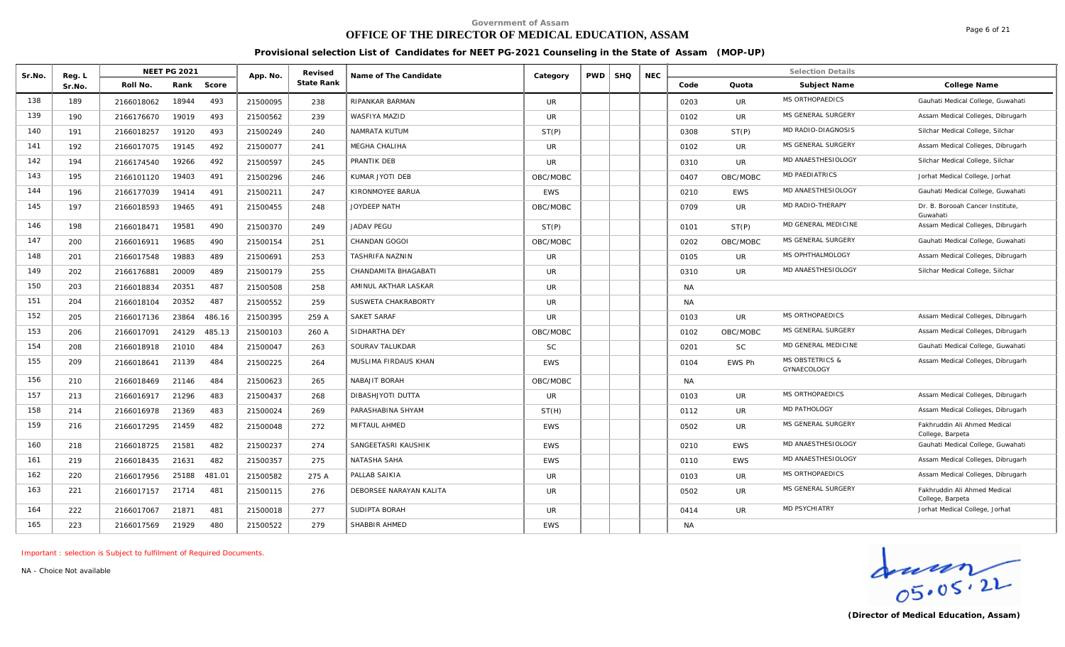# **OFFICE OF THE DIRECTOR OF MEDICAL EDUCATION, ASSAM**

Page 6 of 21

#### **Provisional selection List of Candidates for NEET PG-2021 Counseling in the State of Assam (MOP-UP)**

| Sr.No. | Reg. L |            | <b>NEET PG 2021</b> |        | App. No. | Revised    | Name of The Candidate   | Category   | <b>PWD</b> | <b>SHQ</b> | <b>NEC</b> |           |               | <b>Selection Details</b>                  |                                                  |
|--------|--------|------------|---------------------|--------|----------|------------|-------------------------|------------|------------|------------|------------|-----------|---------------|-------------------------------------------|--------------------------------------------------|
|        | Sr.No. | Roll No.   | Rank                | Score  |          | State Rank |                         |            |            |            |            | Code      | Quota         | Subject Name                              | College Name                                     |
| 138    | 189    | 2166018062 | 18944               | 493    | 21500095 | 238        | RIPANKAR BARMAN         | UR.        |            |            |            | 0203      | UR.           | MS ORTHOPAEDICS                           | Gauhati Medical College, Guwahati                |
| 139    | 190    | 2166176670 | 19019               | 493    | 21500562 | 239        | WASFIYA MAZID           | <b>UR</b>  |            |            |            | 0102      | <b>UR</b>     | MS GENERAL SURGERY                        | Assam Medical Colleges, Dibrugarh                |
| 140    | 191    | 2166018257 | 19120               | 493    | 21500249 | 240        | NAMRATA KUTUM           | ST(P)      |            |            |            | 0308      | ST(P)         | MD RADIO-DIAGNOSIS                        | Silchar Medical College, Silchar                 |
| 141    | 192    | 2166017075 | 19145               | 492    | 21500077 | 241        | MEGHA CHALIHA           | UR         |            |            |            | 0102      | UR.           | MS GENERAL SURGERY                        | Assam Medical Colleges, Dibrugarh                |
| 142    | 194    | 2166174540 | 19266               | 492    | 21500597 | 245        | PRANTIK DEB             | <b>UR</b>  |            |            |            | 0310      | <b>UR</b>     | MD ANAESTHESIOLOGY                        | Silchar Medical College, Silchar                 |
| 143    | 195    | 2166101120 | 19403               | 491    | 21500296 | 246        | KUMAR JYOTI DEB         | OBC/MOBC   |            |            |            | 0407      | OBC/MOBC      | MD PAEDIATRICS                            | Jorhat Medical College, Jorhat                   |
| 144    | 196    | 2166177039 | 19414               | 491    | 21500211 | 247        | KIRONMOYEE BARUA        | <b>EWS</b> |            |            |            | 0210      | <b>EWS</b>    | MD ANAESTHESIOLOGY                        | Gauhati Medical College, Guwahati                |
| 145    | 197    | 2166018593 | 19465               | 491    | 21500455 | 248        | JOYDEEP NATH            | OBC/MOBC   |            |            |            | 0709      | <b>UR</b>     | MD RADIO-THERAPY                          | Dr. B. Borooah Cancer Institute.<br>Guwahati     |
| 146    | 198    | 2166018471 | 19581               | 490    | 21500370 | 249        | <b>JADAV PEGU</b>       | ST(P)      |            |            |            | 0101      | ST(P)         | MD GENERAL MEDICINE                       | Assam Medical Colleges, Dibrugarh                |
| 147    | 200    | 2166016911 | 19685               | 490    | 21500154 | 251        | CHANDAN GOGOI           | OBC/MOBC   |            |            |            | 0202      | OBC/MOBC      | MS GENERAL SURGERY                        | Gauhati Medical College, Guwahati                |
| 148    | 201    | 2166017548 | 19883               | 489    | 21500691 | 253        | TASHRIFA NAZNIN         | UR.        |            |            |            | 0105      | <b>UR</b>     | MS OPHTHALMOLOGY                          | Assam Medical Colleges, Dibrugarh                |
| 149    | 202    | 2166176881 | 20009               | 489    | 21500179 | 255        | CHANDAMITA BHAGABATI    | <b>UR</b>  |            |            |            | 0310      | <b>UR</b>     | MD ANAESTHESIOLOGY                        | Silchar Medical College, Silchar                 |
| 150    | 203    | 2166018834 | 20351               | 487    | 21500508 | 258        | AMINUL AKTHAR LASKAR    | <b>UR</b>  |            |            |            | <b>NA</b> |               |                                           |                                                  |
| 151    | 204    | 2166018104 | 20352               | 487    | 21500552 | 259        | SUSWETA CHAKRABORTY     | <b>UR</b>  |            |            |            | <b>NA</b> |               |                                           |                                                  |
| 152    | 205    | 2166017136 | 23864               | 486.16 | 21500395 | 259 A      | <b>SAKET SARAF</b>      | <b>UR</b>  |            |            |            | 0103      | <b>UR</b>     | MS ORTHOPAEDICS                           | Assam Medical Colleges, Dibrugarh                |
| 153    | 206    | 2166017091 | 24129               | 485.13 | 21500103 | 260 A      | SIDHARTHA DEY           | OBC/MOBC   |            |            |            | 0102      | OBC/MOBC      | MS GENERAL SURGERY                        | Assam Medical Colleges, Dibrugarh                |
| 154    | 208    | 2166018918 | 21010               | 484    | 21500047 | 263        | SOURAV TALUKDAR         | <b>SC</b>  |            |            |            | 0201      | <b>SC</b>     | MD GENERAL MEDICINE                       | Gauhati Medical College, Guwahati                |
| 155    | 209    | 2166018641 | 21139               | 484    | 21500225 | 264        | MUSLIMA FIRDAUS KHAN    | <b>EWS</b> |            |            |            | 0104      | <b>EWS Ph</b> | <b>MS OBSTETRICS &amp;</b><br>GYNAECOLOGY | Assam Medical Colleges, Dibrugarh                |
| 156    | 210    | 2166018469 | 21146               | 484    | 21500623 | 265        | NABAJIT BORAH           | OBC/MOBC   |            |            |            | <b>NA</b> |               |                                           |                                                  |
| 157    | 213    | 2166016917 | 21296               | 483    | 21500437 | 268        | DIBASHJYOTI DUTTA       | UR.        |            |            |            | 0103      | <b>UR</b>     | <b>MS ORTHOPAEDICS</b>                    | Assam Medical Colleges, Dibrugarh                |
| 158    | 214    | 2166016978 | 21369               | 483    | 21500024 | 269        | PARASHABINA SHYAM       | ST(H)      |            |            |            | 0112      | UR.           | MD PATHOLOGY                              | Assam Medical Colleges, Dibrugarh                |
| 159    | 216    | 2166017295 | 21459               | 482    | 21500048 | 272        | MIFTAUL AHMED           | <b>EWS</b> |            |            |            | 0502      | UR.           | MS GENERAL SURGERY                        | Fakhruddin Ali Ahmed Medical<br>College, Barpeta |
| 160    | 218    | 2166018725 | 21581               | 482    | 21500237 | 274        | SANGEETASRI KAUSHIK     | <b>EWS</b> |            |            |            | 0210      | <b>EWS</b>    | MD ANAESTHESIOLOGY                        | Gauhati Medical College, Guwahati                |
| 161    | 219    | 2166018435 | 21631               | 482    | 21500357 | 275        | NATASHA SAHA            | <b>EWS</b> |            |            |            | 0110      | <b>EWS</b>    | MD ANAESTHESIOLOGY                        | Assam Medical Colleges, Dibrugarh                |
| 162    | 220    | 2166017956 | 25188               | 481.01 | 21500582 | 275 A      | PALLAB SAIKIA           | <b>UR</b>  |            |            |            | 0103      | UR.           | MS ORTHOPAEDICS                           | Assam Medical Colleges, Dibrugarh                |
| 163    | 221    | 2166017157 | 21714               | 481    | 21500115 | 276        | DEBORSEE NARAYAN KALITA | <b>UR</b>  |            |            |            | 0502      | <b>UR</b>     | MS GENERAL SURGERY                        | Fakhruddin Ali Ahmed Medical<br>College, Barpeta |
| 164    | 222    | 2166017067 | 21871               | 481    | 21500018 | 277        | SUDIPTA BORAH           | <b>UR</b>  |            |            |            | 0414      | <b>UR</b>     | <b>MD PSYCHIATRY</b>                      | Jorhat Medical College, Jorhat                   |
| 165    | 223    | 2166017569 | 21929               | 480    | 21500522 | 279        | SHABBIR AHMED           | <b>EWS</b> |            |            |            | <b>NA</b> |               |                                           |                                                  |

*Important : selection is Subject to fulfilment of Required Documents.*

Graden<br>
OS. 05. 2L<br>
(Director of Medical Education, Assam)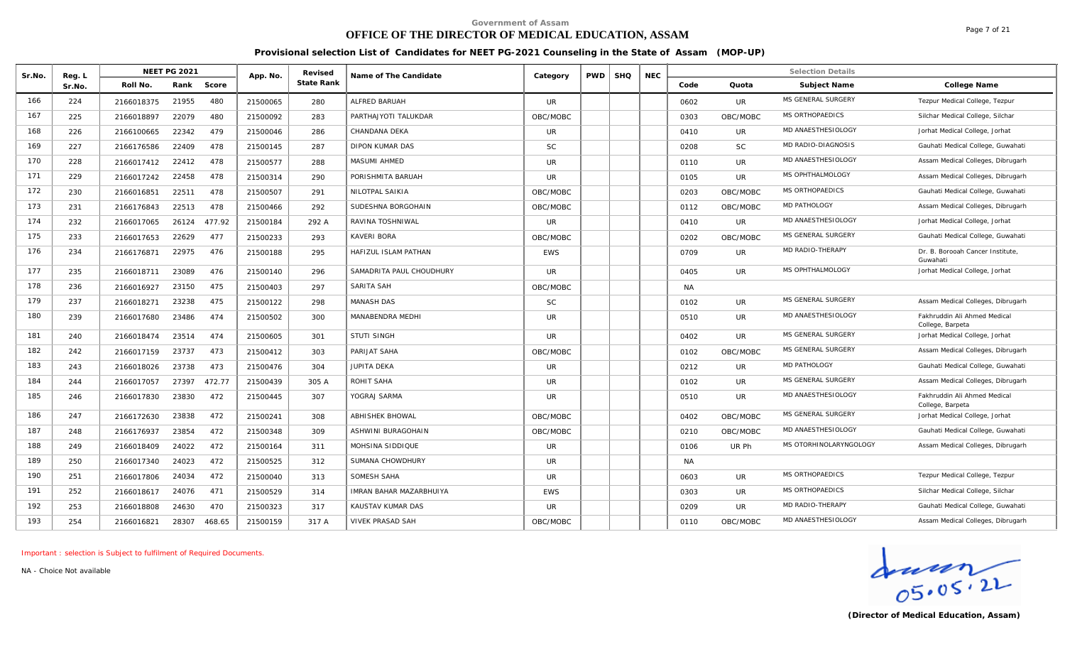# **OFFICE OF THE DIRECTOR OF MEDICAL EDUCATION, ASSAM**

Page 7 of 21

#### **Provisional selection List of Candidates for NEET PG-2021 Counseling in the State of Assam (MOP-UP)**

| Sr.No. | Reg. L | <b>NEET PG 2021</b> |                 | App. No. | Revised    | Name of The Candidate          | Category   | <b>PWD</b> | <b>SHQ</b> | <b>NEC</b> |           |           | <b>Selection Details</b> |                                                  |
|--------|--------|---------------------|-----------------|----------|------------|--------------------------------|------------|------------|------------|------------|-----------|-----------|--------------------------|--------------------------------------------------|
|        | Sr.No. | Roll No.            | Rank<br>Score   |          | State Rank |                                |            |            |            |            | Code      | Quota     | Subject Name             | College Name                                     |
| 166    | 224    | 2166018375          | 21955<br>480    | 21500065 | 280        | ALFRED BARUAH                  | <b>UR</b>  |            |            |            | 0602      | <b>UR</b> | MS GENERAL SURGERY       | Tezpur Medical College, Tezpur                   |
| 167    | 225    | 2166018897          | 480<br>22079    | 21500092 | 283        | PARTHAJYOTI TALUKDAR           | OBC/MOBC   |            |            |            | 0303      | OBC/MOBC  | MS ORTHOPAEDICS          | Silchar Medical College, Silchar                 |
| 168    | 226    | 2166100665          | 479<br>22342    | 21500046 | 286        | CHANDANA DEKA                  | UR.        |            |            |            | 0410      | UR.       | MD ANAESTHESIOLOGY       | Jorhat Medical College, Jorhat                   |
| 169    | 227    | 2166176586          | 22409<br>478    | 21500145 | 287        | DIPON KUMAR DAS                | SC         |            |            |            | 0208      | <b>SC</b> | MD RADIO-DIAGNOSIS       | Gauhati Medical College, Guwahati                |
| 170    | 228    | 2166017412          | 22412<br>478    | 21500577 | 288        | MASUMI AHMED                   | <b>UR</b>  |            |            |            | 0110      | <b>UR</b> | MD ANAESTHESIOLOGY       | Assam Medical Colleges, Dibrugarh                |
| 171    | 229    | 2166017242          | 22458<br>478    | 21500314 | 290        | PORISHMITA BARUAH              | <b>UR</b>  |            |            |            | 0105      | <b>UR</b> | MS OPHTHALMOLOGY         | Assam Medical Colleges, Dibrugarh                |
| 172    | 230    | 2166016851          | 22511<br>478    | 21500507 | 291        | NILOTPAL SAIKIA                | OBC/MOBC   |            |            |            | 0203      | OBC/MOBC  | MS ORTHOPAEDICS          | Gauhati Medical College, Guwahati                |
| 173    | 231    | 2166176843          | 22513<br>478    | 21500466 | 292        | SUDESHNA BORGOHAIN             | OBC/MOBC   |            |            |            | 0112      | OBC/MOBC  | <b>MD PATHOLOGY</b>      | Assam Medical Colleges, Dibrugarh                |
| 174    | 232    | 2166017065          | 26124<br>477.92 | 21500184 | 292 A      | RAVINA TOSHNIWAL               | <b>UR</b>  |            |            |            | 0410      | <b>UR</b> | MD ANAESTHESIOLOGY       | Jorhat Medical College, Jorhat                   |
| 175    | 233    | 2166017653          | 477<br>22629    | 21500233 | 293        | <b>KAVERI BORA</b>             | OBC/MOBC   |            |            |            | 0202      | OBC/MOBC  | MS GENERAL SURGERY       | Gauhati Medical College, Guwahati                |
| 176    | 234    | 2166176871          | 22975<br>476    | 21500188 | 295        | HAFIZUL ISLAM PATHAN           | <b>EWS</b> |            |            |            | 0709      | UR.       | MD RADIO-THERAPY         | Dr. B. Borooah Cancer Institute,<br>Guwahati     |
| 177    | 235    | 2166018711          | 23089<br>476    | 21500140 | 296        | SAMADRITA PAUL CHOUDHURY       | <b>UR</b>  |            |            |            | 0405      | UR.       | MS OPHTHALMOLOGY         | Jorhat Medical College, Jorhat                   |
| 178    | 236    | 2166016927          | 23150<br>475    | 21500403 | 297        | SARITA SAH                     | OBC/MOBC   |            |            |            | <b>NA</b> |           |                          |                                                  |
| 179    | 237    | 2166018271          | 475<br>23238    | 21500122 | 298        | MANASH DAS                     | <b>SC</b>  |            |            |            | 0102      | <b>UR</b> | MS GENERAL SURGERY       | Assam Medical Colleges, Dibrugarh                |
| 180    | 239    | 2166017680          | 474<br>23486    | 21500502 | 300        | MANABENDRA MEDHI               | <b>UR</b>  |            |            |            | 0510      | <b>UR</b> | MD ANAESTHESIOLOGY       | Fakhruddin Ali Ahmed Medical<br>College, Barpeta |
| 181    | 240    | 2166018474          | 23514<br>474    | 21500605 | 301        | <b>STUTI SINGH</b>             | <b>UR</b>  |            |            |            | 0402      | <b>UR</b> | MS GENERAL SURGERY       | Jorhat Medical College, Jorhat                   |
| 182    | 242    | 2166017159          | 473<br>23737    | 21500412 | 303        | PARIJAT SAHA                   | OBC/MOBC   |            |            |            | 0102      | OBC/MOBC  | MS GENERAL SURGERY       | Assam Medical Colleges, Dibrugarh                |
| 183    | 243    | 2166018026          | 473<br>23738    | 21500476 | 304        | JUPITA DEKA                    | UR         |            |            |            | 0212      | UR.       | MD PATHOLOGY             | Gauhati Medical College, Guwahati                |
| 184    | 244    | 2166017057          | 27397<br>472.77 | 21500439 | 305 A      | ROHIT SAHA                     | <b>UR</b>  |            |            |            | 0102      | <b>UR</b> | MS GENERAL SURGERY       | Assam Medical Colleges, Dibrugarh                |
| 185    | 246    | 2166017830          | 23830<br>472    | 21500445 | 307        | YOGRAJ SARMA                   | UR         |            |            |            | 0510      | UR.       | MD ANAESTHESIOLOGY       | Fakhruddin Ali Ahmed Medical<br>College, Barpeta |
| 186    | 247    | 2166172630          | 23838<br>472    | 21500241 | 308        | <b>ABHISHEK BHOWAL</b>         | OBC/MOBC   |            |            |            | 0402      | OBC/MOBC  | MS GENERAL SURGERY       | Jorhat Medical College, Jorhat                   |
| 187    | 248    | 2166176937          | 23854<br>472    | 21500348 | 309        | ASHWINI BURAGOHAIN             | OBC/MOBC   |            |            |            | 0210      | OBC/MOBC  | MD ANAESTHESIOLOGY       | Gauhati Medical College, Guwahati                |
| 188    | 249    | 2166018409          | 472<br>24022    | 21500164 | 311        | <b>MOHSINA SIDDIQUE</b>        | <b>UR</b>  |            |            |            | 0106      | UR Ph     | MS OTORHINOLARYNGOLOGY   | Assam Medical Colleges, Dibrugarh                |
| 189    | 250    | 2166017340          | 472<br>24023    | 21500525 | 312        | SUMANA CHOWDHURY               | UR.        |            |            |            | <b>NA</b> |           |                          |                                                  |
| 190    | 251    | 2166017806          | 472<br>24034    | 21500040 | 313        | SOMESH SAHA                    | UR.        |            |            |            | 0603      | UR        | <b>MS ORTHOPAEDICS</b>   | Tezpur Medical College, Tezpur                   |
| 191    | 252    | 2166018617          | 471<br>24076    | 21500529 | 314        | <b>IMRAN BAHAR MAZARBHUIYA</b> | <b>EWS</b> |            |            |            | 0303      | UR.       | MS ORTHOPAEDICS          | Silchar Medical College, Silchar                 |
| 192    | 253    | 2166018808          | 24630<br>470    | 21500323 | 317        | KAUSTAV KUMAR DAS              | <b>UR</b>  |            |            |            | 0209      | <b>UR</b> | MD RADIO-THERAPY         | Gauhati Medical College, Guwahati                |
| 193    | 254    | 2166016821          | 28307<br>468.65 | 21500159 | 317 A      | <b>VIVEK PRASAD SAH</b>        | OBC/MOBC   |            |            |            | 0110      | OBC/MOBC  | MD ANAESTHESIOLOGY       | Assam Medical Colleges, Dibrugarh                |
|        |        |                     |                 |          |            |                                |            |            |            |            |           |           |                          |                                                  |

*Important : selection is Subject to fulfilment of Required Documents.*

*NA - Choice Not available*

 $\frac{1}{05.05.22}$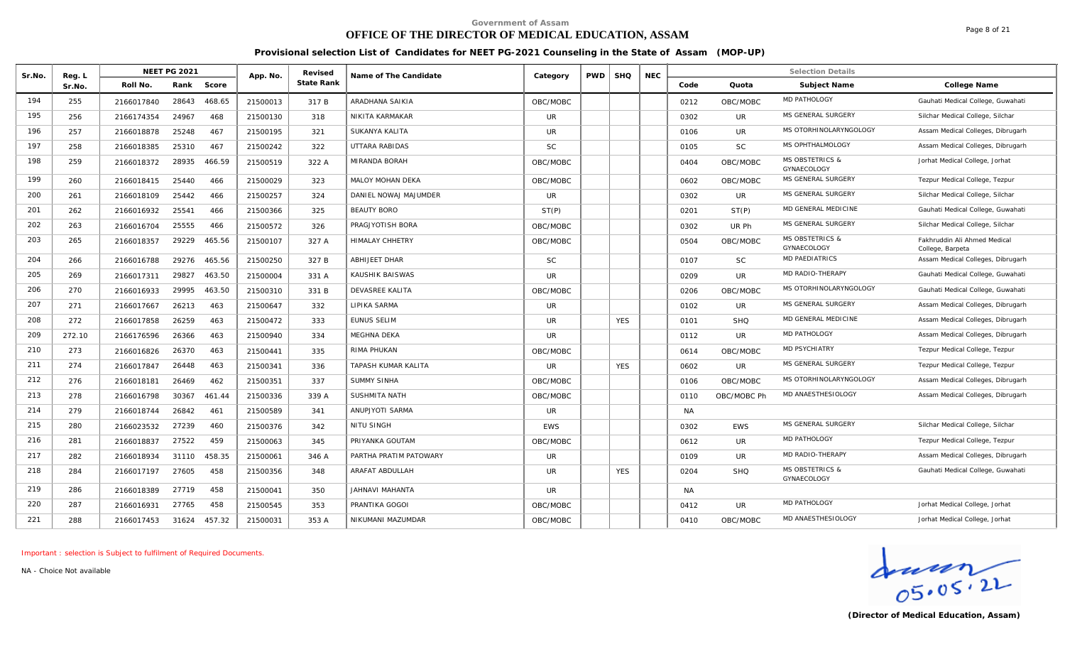# **OFFICE OF THE DIRECTOR OF MEDICAL EDUCATION, ASSAM**

Page 8 of 21

#### **Provisional selection List of Candidates for NEET PG-2021 Counseling in the State of Assam (MOP-UP)**

| Sr.No. | Reg. L | <b>NEET PG 2021</b>           | App. No. | Revised    | Name of The Candidate      | Category   | <b>PWD</b> | <b>SHQ</b> | <b>NEC</b> |           |             | <b>Selection Details</b>                  |                                                  |
|--------|--------|-------------------------------|----------|------------|----------------------------|------------|------------|------------|------------|-----------|-------------|-------------------------------------------|--------------------------------------------------|
|        | Sr.No. | Roll No.<br>Rank<br>Score     |          | State Rank |                            |            |            |            |            | Code      | Quota       | Subject Name                              | College Name                                     |
| 194    | 255    | 2166017840<br>28643<br>468.65 | 21500013 | 317 B      | ARADHANA SAIKIA            | OBC/MOBC   |            |            |            | 0212      | OBC/MOBC    | <b>MD PATHOLOGY</b>                       | Gauhati Medical College, Guwahati                |
| 195    | 256    | 24967<br>468<br>2166174354    | 21500130 | 318        | NIKITA KARMAKAR            | UR.        |            |            |            | 0302      | UR.         | MS GENERAL SURGERY                        | Silchar Medical College, Silchar                 |
| 196    | 257    | 25248<br>467<br>2166018878    | 21500195 | 321        | SUKANYA KALITA             | UR.        |            |            |            | 0106      | <b>UR</b>   | MS OTORHINOLARYNGOLOGY                    | Assam Medical Colleges, Dibrugarh                |
| 197    | 258    | 467<br>25310<br>2166018385    | 21500242 | 322        | UTTARA RABIDAS             | <b>SC</b>  |            |            |            | 0105      | <b>SC</b>   | MS OPHTHALMOLOGY                          | Assam Medical Colleges, Dibrugarh                |
| 198    | 259    | 466.59<br>28935<br>2166018372 | 21500519 | 322 A      | MIRANDA BORAH              | OBC/MOBC   |            |            |            | 0404      | OBC/MOBC    | <b>MS OBSTETRICS &amp;</b><br>GYNAECOLOGY | Jorhat Medical College, Jorhat                   |
| 199    | 260    | 25440<br>466<br>2166018415    | 21500029 | 323        | MALOY MOHAN DEKA           | OBC/MOBC   |            |            |            | 0602      | OBC/MOBC    | MS GENERAL SURGERY                        | Tezpur Medical College, Tezpur                   |
| 200    | 261    | 25442<br>466<br>2166018109    | 21500257 | 324        | DANIEL NOWAJ MAJUMDER      | <b>UR</b>  |            |            |            | 0302      | UR.         | MS GENERAL SURGERY                        | Silchar Medical College, Silchar                 |
| 201    | 262    | 25541<br>466<br>2166016932    | 21500366 | 325        | <b>BEAUTY BORO</b>         | ST(P)      |            |            |            | 0201      | ST(P)       | <b>MD GENERAL MEDICINE</b>                | Gauhati Medical College, Guwahati                |
| 202    | 263    | 25555<br>466<br>2166016704    | 21500572 | 326        | PRAGJYOTISH BORA           | OBC/MOBC   |            |            |            | 0302      | UR Ph       | MS GENERAL SURGERY                        | Silchar Medical College, Silchar                 |
| 203    | 265    | 2166018357<br>29229<br>465.56 | 21500107 | 327 A      | HIMALAY CHHETRY            | OBC/MOBC   |            |            |            | 0504      | OBC/MOBC    | <b>MS OBSTETRICS &amp;</b><br>GYNAECOLOGY | Fakhruddin Ali Ahmed Medical<br>College, Barpeta |
| 204    | 266    | 29276<br>465.56<br>2166016788 | 21500250 | 327 B      | <b>ABHIJEET DHAR</b>       | <b>SC</b>  |            |            |            | 0107      | <b>SC</b>   | <b>MD PAEDIATRICS</b>                     | Assam Medical Colleges, Dibrugarh                |
| 205    | 269    | 29827<br>463.50<br>2166017311 | 21500004 | 331 A      | KAUSHIK BAISWAS            | UR.        |            |            |            | 0209      | UR.         | MD RADIO-THERAPY                          | Gauhati Medical College, Guwahati                |
| 206    | 270    | 29995<br>463.50<br>2166016933 | 21500310 | 331 B      | DEVASREE KALITA            | OBC/MOBC   |            |            |            | 0206      | OBC/MOBC    | MS OTORHINOLARYNGOLOGY                    | Gauhati Medical College, Guwahati                |
| 207    | 271    | 463<br>2166017667<br>26213    | 21500647 | 332        | LIPIKA SARMA               | UR.        |            |            |            | 0102      | UR.         | MS GENERAL SURGERY                        | Assam Medical Colleges, Dibrugarh                |
| 208    | 272    | 26259<br>463<br>2166017858    | 21500472 | 333        | EUNUS SELIM                | <b>UR</b>  |            | <b>YES</b> |            | 0101      | <b>SHQ</b>  | MD GENERAL MEDICINE                       | Assam Medical Colleges, Dibrugarh                |
| 209    | 272.10 | 2166176596<br>26366<br>463    | 21500940 | 334        | <b>MEGHNA DEKA</b>         | UR.        |            |            |            | 0112      | <b>UR</b>   | MD PATHOLOGY                              | Assam Medical Colleges, Dibrugarh                |
| 210    | 273    | 26370<br>463<br>2166016826    | 21500441 | 335        | RIMA PHUKAN                | OBC/MOBC   |            |            |            | 0614      | OBC/MOBC    | <b>MD PSYCHIATRY</b>                      | Tezpur Medical College, Tezpur                   |
| 211    | 274    | 26448<br>463<br>2166017847    | 21500341 | 336        | <b>TAPASH KUMAR KALITA</b> | <b>UR</b>  |            | <b>YES</b> |            | 0602      | <b>UR</b>   | MS GENERAL SURGERY                        | Tezpur Medical College, Tezpur                   |
| 212    | 276    | 462<br>26469<br>2166018181    | 21500351 | 337        | <b>SUMMY SINHA</b>         | OBC/MOBC   |            |            |            | 0106      | OBC/MOBC    | MS OTORHINOLARYNGOLOGY                    | Assam Medical Colleges, Dibrugarh                |
| 213    | 278    | 30367<br>461.44<br>2166016798 | 21500336 | 339 A      | SUSHMITA NATH              | OBC/MOBC   |            |            |            | 0110      | OBC/MOBC Ph | MD ANAESTHESIOLOGY                        | Assam Medical Colleges, Dibrugarh                |
| 214    | 279    | 26842<br>461<br>2166018744    | 21500589 | 341        | ANUPJYOTI SARMA            | UR.        |            |            |            | <b>NA</b> |             |                                           |                                                  |
| 215    | 280    | 27239<br>460<br>2166023532    | 21500376 | 342        | NITU SINGH                 | <b>EWS</b> |            |            |            | 0302      | <b>EWS</b>  | MS GENERAL SURGERY                        | Silchar Medical College, Silchar                 |
| 216    | 281    | 27522<br>459<br>2166018837    | 21500063 | 345        | PRIYANKA GOUTAM            | OBC/MOBC   |            |            |            | 0612      | UR.         | MD PATHOLOGY                              | Tezpur Medical College, Tezpur                   |
| 217    | 282    | 458.35<br>31110<br>2166018934 | 21500061 | 346 A      | PARTHA PRATIM PATOWARY     | UR         |            |            |            | 0109      | UR.         | MD RADIO-THERAPY                          | Assam Medical Colleges, Dibrugarh                |
| 218    | 284    | 27605<br>458<br>2166017197    | 21500356 | 348        | ARAFAT ABDULLAH            | <b>UR</b>  |            | <b>YES</b> |            | 0204      | <b>SHQ</b>  | <b>MS OBSTETRICS &amp;</b><br>GYNAECOLOGY | Gauhati Medical College, Guwahati                |
| 219    | 286    | 458<br>27719<br>2166018389    | 21500041 | 350        | JAHNAVI MAHANTA            | UR.        |            |            |            | <b>NA</b> |             |                                           |                                                  |
| 220    | 287    | 458<br>27765<br>2166016931    | 21500545 | 353        | PRANTIKA GOGOI             | OBC/MOBC   |            |            |            | 0412      | <b>UR</b>   | MD PATHOLOGY                              | Jorhat Medical College, Jorhat                   |
| 221    | 288    | 457.32<br>31624<br>2166017453 | 21500031 | 353 A      | NIKUMANI MAZUMDAR          | OBC/MOBC   |            |            |            | 0410      | OBC/MOBC    | MD ANAESTHESIOLOGY                        | Jorhat Medical College, Jorhat                   |

*Important : selection is Subject to fulfilment of Required Documents.*

Graden<br>
OS. 05. 2L<br>
(Director of Medical Education, Assam)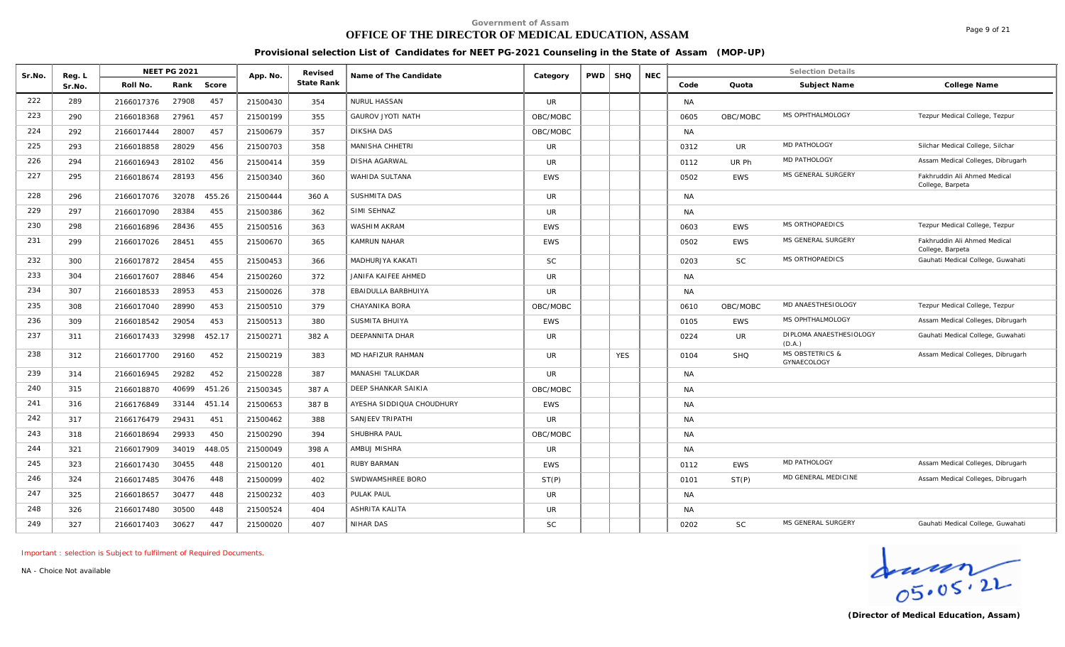# **OFFICE OF THE DIRECTOR OF MEDICAL EDUCATION, ASSAM**

Page 9 of 21

#### **Provisional selection List of Candidates for NEET PG-2021 Counseling in the State of Assam (MOP-UP)**

| Sr.No. | Reg. L |            | <b>NEET PG 2021</b> |        | App. No. | Revised    | Name of The Candidate     | Category       | <b>PWD</b> | <b>SHQ</b> | <b>NEC</b> |           |            | <b>Selection Details</b>                  |                                                  |
|--------|--------|------------|---------------------|--------|----------|------------|---------------------------|----------------|------------|------------|------------|-----------|------------|-------------------------------------------|--------------------------------------------------|
|        | Sr.No  | Roll No.   | Rank                | Score  |          | State Rank |                           |                |            |            |            | Code      | Quota      | Subject Name                              | College Name                                     |
| 222    | 289    | 2166017376 | 27908               | 457    | 21500430 | 354        | NURUL HASSAN              | UR             |            |            |            | <b>NA</b> |            |                                           |                                                  |
| 223    | 290    | 2166018368 | 27961               | 457    | 21500199 | 355        | <b>GAUROV JYOTI NATH</b>  | OBC/MOBC       |            |            |            | 0605      | OBC/MOBC   | MS OPHTHALMOLOGY                          | Tezpur Medical College, Tezpur                   |
| 224    | 292    | 2166017444 | 28007               | 457    | 21500679 | 357        | <b>DIKSHA DAS</b>         | OBC/MOBC       |            |            |            | <b>NA</b> |            |                                           |                                                  |
| 225    | 293    | 2166018858 | 28029               | 456    | 21500703 | 358        | MANISHA CHHETRI           | <b>UR</b>      |            |            |            | 0312      | UR.        | <b>MD PATHOLOGY</b>                       | Silchar Medical College, Silchar                 |
| 226    | 294    | 2166016943 | 28102               | 456    | 21500414 | 359        | <b>DISHA AGARWAL</b>      | <b>UR</b>      |            |            |            | 0112      | UR Ph      | <b>MD PATHOLOGY</b>                       | Assam Medical Colleges, Dibrugarh                |
| 227    | 295    | 2166018674 | 28193               | 456    | 21500340 | 360        | WAHIDA SULTANA            | <b>EWS</b>     |            |            |            | 0502      | <b>EWS</b> | MS GENERAL SURGERY                        | Fakhruddin Ali Ahmed Medical<br>College, Barpeta |
| 228    | 296    | 2166017076 | 32078               | 455.26 | 21500444 | 360 A      | SUSHMITA DAS              | <b>UR</b>      |            |            |            | <b>NA</b> |            |                                           |                                                  |
| 229    | 297    | 2166017090 | 28384               | 455    | 21500386 | 362        | SIMI SEHNAZ               | <b>UR</b>      |            |            |            | <b>NA</b> |            |                                           |                                                  |
| 230    | 298    | 2166016896 | 28436               | 455    | 21500516 | 363        | WASHIM AKRAM              | <b>EWS</b>     |            |            |            | 0603      | <b>EWS</b> | MS ORTHOPAEDICS                           | Tezpur Medical College, Tezpur                   |
| 231    | 299    | 2166017026 | 28451               | 455    | 21500670 | 365        | <b>KAMRUN NAHAR</b>       | <b>EWS</b>     |            |            |            | 0502      | <b>EWS</b> | MS GENERAL SURGERY                        | Fakhruddin Ali Ahmed Medical<br>College, Barpeta |
| 232    | 300    | 2166017872 | 28454               | 455    | 21500453 | 366        | MADHURJYA KAKATI          | <b>SC</b>      |            |            |            | 0203      | <b>SC</b>  | MS ORTHOPAEDICS                           | Gauhati Medical College, Guwahati                |
| 233    | 304    | 2166017607 | 28846               | 454    | 21500260 | 372        | JANIFA KAIFEE AHMED       | UR             |            |            |            | <b>NA</b> |            |                                           |                                                  |
| 234    | 307    | 2166018533 | 28953               | 453    | 21500026 | 378        | EBAIDULLA BARBHUIYA       | <b>UR</b>      |            |            |            | <b>NA</b> |            |                                           |                                                  |
| 235    | 308    | 2166017040 | 28990               | 453    | 21500510 | 379        | CHAYANIKA BORA            | OBC/MOBC       |            |            |            | 0610      | OBC/MOBC   | MD ANAESTHESIOLOGY                        | Tezpur Medical College, Tezpur                   |
| 236    | 309    | 2166018542 | 29054               | 453    | 21500513 | 380        | SUSMITA BHUIYA            | <b>EWS</b>     |            |            |            | 0105      | <b>EWS</b> | MS OPHTHALMOLOGY                          | Assam Medical Colleges, Dibrugarh                |
| 237    | 311    | 2166017433 | 32998               | 452.17 | 21500271 | 382 A      | DEEPANNITA DHAR           | <b>UR</b>      |            |            |            | 0224      | <b>UR</b>  | DIPLOMA ANAESTHESIOLOGY<br>(D.A.)         | Gauhati Medical College, Guwahati                |
| 238    | 312    | 2166017700 | 29160               | 452    | 21500219 | 383        | MD HAFIZUR RAHMAN         | <b>UR</b>      |            | <b>YES</b> |            | 0104      | <b>SHQ</b> | <b>MS OBSTETRICS &amp;</b><br>GYNAECOLOGY | Assam Medical Colleges, Dibrugarh                |
| 239    | 314    | 2166016945 | 29282               | 452    | 21500228 | 387        | MANASHI TALUKDAR          | <b>UR</b>      |            |            |            | <b>NA</b> |            |                                           |                                                  |
| 240    | 315    | 2166018870 | 40699               | 451.26 | 21500345 | 387 A      | DEEP SHANKAR SAIKIA       | OBC/MOBC       |            |            |            | <b>NA</b> |            |                                           |                                                  |
| 241    | 316    | 2166176849 | 33144               | 451.14 | 21500653 | 387 B      | AYESHA SIDDIQUA CHOUDHURY | <b>EWS</b>     |            |            |            | NA        |            |                                           |                                                  |
| 242    | 317    | 2166176479 | 29431               | 451    | 21500462 | 388        | SANJEEV TRIPATHI          | <b>UR</b>      |            |            |            | <b>NA</b> |            |                                           |                                                  |
| 243    | 318    | 2166018694 | 29933               | 450    | 21500290 | 394        | SHUBHRA PAUL              | OBC/MOBC       |            |            |            | <b>NA</b> |            |                                           |                                                  |
| 244    | 321    | 2166017909 | 34019               | 448.05 | 21500049 | 398 A      | AMBUJ MISHRA              | UR.            |            |            |            | <b>NA</b> |            |                                           |                                                  |
| 245    | 323    | 2166017430 | 30455               | 448    | 21500120 | 401        | <b>RUBY BARMAN</b>        | <b>EWS</b>     |            |            |            | 0112      | <b>EWS</b> | MD PATHOLOGY                              | Assam Medical Colleges, Dibrugarh                |
| 246    | 324    | 2166017485 | 30476               | 448    | 21500099 | 402        | SWDWAMSHREE BORO          | ST(P)          |            |            |            | 0101      | ST(P)      | MD GENERAL MEDICINE                       | Assam Medical Colleges, Dibrugarh                |
| 247    | 325    | 2166018657 | 30477               | 448    | 21500232 | 403        | PULAK PAUL                | $_{\text{U}R}$ |            |            |            | <b>NA</b> |            |                                           |                                                  |
| 248    | 326    | 2166017480 | 30500               | 448    | 21500524 | 404        | ASHRITA KALITA            | <b>UR</b>      |            |            |            | <b>NA</b> |            |                                           |                                                  |
| 249    | 327    | 2166017403 | 30627               | 447    | 21500020 | 407        | NIHAR DAS                 | <b>SC</b>      |            |            |            | 0202      | <b>SC</b>  | MS GENERAL SURGERY                        | Gauhati Medical College, Guwahati                |

*Important : selection is Subject to fulfilment of Required Documents.*

**(Director of Medical Education, Assam)**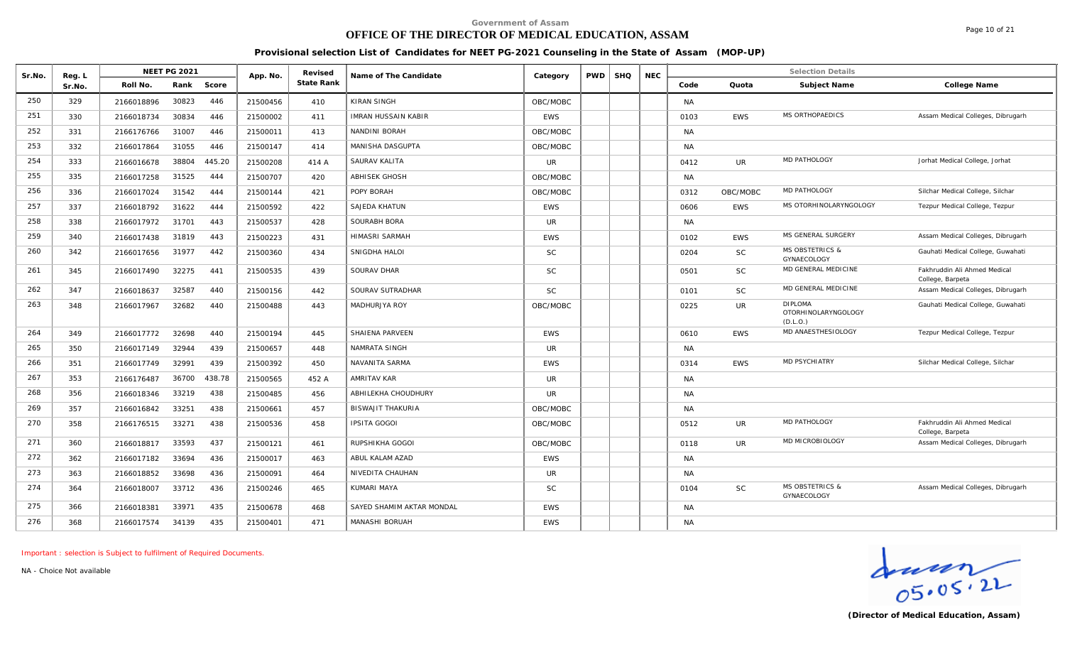# **OFFICE OF THE DIRECTOR OF MEDICAL EDUCATION, ASSAM**

Page 10 of 21

#### **Provisional selection List of Candidates for NEET PG-2021 Counseling in the State of Assam (MOP-UP)**

| Sr.No. | Reg. L |            | <b>NEET PG 2021</b> |        | App. No. | Revised    | Name of The Candidate      | Category   | <b>PWD</b> | <b>SHQ</b> | <b>NEC</b> |           |            | <b>Selection Details</b>                                 |                                                  |
|--------|--------|------------|---------------------|--------|----------|------------|----------------------------|------------|------------|------------|------------|-----------|------------|----------------------------------------------------------|--------------------------------------------------|
|        | Sr.No. | Roll No.   | Rank                | Score  |          | State Rank |                            |            |            |            |            | Code      | Quota      | Subject Name                                             | College Name                                     |
| 250    | 329    | 2166018896 | 30823               | 446    | 21500456 | 410        | KIRAN SINGH                | OBC/MOBC   |            |            |            | <b>NA</b> |            |                                                          |                                                  |
| 251    | 330    | 2166018734 | 30834               | 446    | 21500002 | 411        | <b>IMRAN HUSSAIN KABIR</b> | <b>EWS</b> |            |            |            | 0103      | <b>EWS</b> | MS ORTHOPAEDICS                                          | Assam Medical Colleges, Dibrugarh                |
| 252    | 331    | 2166176766 | 31007               | 446    | 21500011 | 413        | NANDINI BORAH              | OBC/MOBC   |            |            |            | <b>NA</b> |            |                                                          |                                                  |
| 253    | 332    | 2166017864 | 31055               | 446    | 21500147 | 414        | MANISHA DASGUPTA           | OBC/MOBC   |            |            |            | <b>NA</b> |            |                                                          |                                                  |
| 254    | 333    | 2166016678 | 38804               | 445.20 | 21500208 | 414 A      | SAURAV KALITA              | <b>UR</b>  |            |            |            | 0412      | <b>UR</b>  | MD PATHOLOGY                                             | Jorhat Medical College, Jorhat                   |
| 255    | 335    | 2166017258 | 31525               | 444    | 21500707 | 420        | <b>ABHISEK GHOSH</b>       | OBC/MOBC   |            |            |            | <b>NA</b> |            |                                                          |                                                  |
| 256    | 336    | 2166017024 | 31542               | 444    | 21500144 | 421        | POPY BORAH                 | OBC/MOBC   |            |            |            | 0312      | OBC/MOBC   | MD PATHOLOGY                                             | Silchar Medical College, Silchar                 |
| 257    | 337    | 2166018792 | 31622               | 444    | 21500592 | 422        | SAJEDA KHATUN              | <b>EWS</b> |            |            |            | 0606      | <b>EWS</b> | MS OTORHINOLARYNGOLOGY                                   | Tezpur Medical College, Tezpur                   |
| 258    | 338    | 2166017972 | 31701               | 443    | 21500537 | 428        | SOURABH BORA               | <b>UR</b>  |            |            |            | <b>NA</b> |            |                                                          |                                                  |
| 259    | 340    | 2166017438 | 31819               | 443    | 21500223 | 431        | HIMASRI SARMAH             | <b>EWS</b> |            |            |            | 0102      | <b>EWS</b> | MS GENERAL SURGERY                                       | Assam Medical Colleges, Dibrugarh                |
| 260    | 342    | 2166017656 | 31977               | 442    | 21500360 | 434        | SNIGDHA HALOI              | <b>SC</b>  |            |            |            | 0204      | <b>SC</b>  | <b>MS OBSTETRICS &amp;</b><br>GYNAECOLOGY                | Gauhati Medical College, Guwahati                |
| 261    | 345    | 2166017490 | 32275               | 441    | 21500535 | 439        | SOURAV DHAR                | <b>SC</b>  |            |            |            | 0501      | SC         | MD GENERAL MEDICINE                                      | Fakhruddin Ali Ahmed Medical<br>College, Barpeta |
| 262    | 347    | 2166018637 | 32587               | 440    | 21500156 | 442        | SOURAV SUTRADHAR           | <b>SC</b>  |            |            |            | 0101      | <b>SC</b>  | MD GENERAL MEDICINE                                      | Assam Medical Colleges, Dibrugarh                |
| 263    | 348    | 2166017967 | 32682               | 440    | 21500488 | 443        | MADHURJYA ROY              | OBC/MOBC   |            |            |            | 0225      | UR         | <b>DIPLOMA</b><br><b>OTORHINOLARYNGOLOGY</b><br>(D.L.O.) | Gauhati Medical College, Guwahati                |
| 264    | 349    | 2166017772 | 32698               | 440    | 21500194 | 445        | SHAIENA PARVEEN            | <b>EWS</b> |            |            |            | 0610      | <b>EWS</b> | MD ANAESTHESIOLOGY                                       | Tezpur Medical College, Tezpur                   |
| 265    | 350    | 2166017149 | 32944               | 439    | 21500657 | 448        | NAMRATA SINGH              | UR         |            |            |            | <b>NA</b> |            |                                                          |                                                  |
| 266    | 351    | 2166017749 | 32991               | 439    | 21500392 | 450        | NAVANITA SARMA             | <b>EWS</b> |            |            |            | 0314      | <b>EWS</b> | MD PSYCHIATRY                                            | Silchar Medical College, Silchar                 |
| 267    | 353    | 2166176487 | 36700               | 438.78 | 21500565 | 452 A      | <b>AMRITAV KAR</b>         | <b>UR</b>  |            |            |            | <b>NA</b> |            |                                                          |                                                  |
| 268    | 356    | 2166018346 | 33219               | 438    | 21500485 | 456        | ABHILEKHA CHOUDHURY        | <b>UR</b>  |            |            |            | <b>NA</b> |            |                                                          |                                                  |
| 269    | 357    | 2166016842 | 33251               | 438    | 21500661 | 457        | <b>BISWAJIT THAKURIA</b>   | OBC/MOBC   |            |            |            | <b>NA</b> |            |                                                          |                                                  |
| 270    | 358    | 2166176515 | 33271               | 438    | 21500536 | 458        | <b>IPSITA GOGOI</b>        | OBC/MOBC   |            |            |            | 0512      | UR         | MD PATHOLOGY                                             | Fakhruddin Ali Ahmed Medical<br>College, Barpeta |
| 271    | 360    | 2166018817 | 33593               | 437    | 21500121 | 461        | RUPSHIKHA GOGOI            | OBC/MOBC   |            |            |            | 0118      | <b>UR</b>  | MD MICROBIOLOGY                                          | Assam Medical Colleges, Dibrugarh                |
| 272    | 362    | 2166017182 | 33694               | 436    | 21500017 | 463        | ABUL KALAM AZAD            | <b>EWS</b> |            |            |            | <b>NA</b> |            |                                                          |                                                  |
| 273    | 363    | 2166018852 | 33698               | 436    | 21500091 | 464        | NIVEDITA CHAUHAN           | <b>UR</b>  |            |            |            | <b>NA</b> |            |                                                          |                                                  |
| 274    | 364    | 2166018007 | 33712               | 436    | 21500246 | 465        | KUMARI MAYA                | SC         |            |            |            | 0104      | <b>SC</b>  | <b>MS OBSTETRICS &amp;</b><br>GYNAECOLOGY                | Assam Medical Colleges, Dibrugarh                |
| 275    | 366    | 2166018381 | 33971               | 435    | 21500678 | 468        | SAYED SHAMIM AKTAR MONDAL  | <b>EWS</b> |            |            |            | <b>NA</b> |            |                                                          |                                                  |
| 276    | 368    | 2166017574 | 34139               | 435    | 21500401 | 471        | MANASHI BORUAH             | <b>EWS</b> |            |            |            | <b>NA</b> |            |                                                          |                                                  |

*Important : selection is Subject to fulfilment of Required Documents.*

Graden<br>
OS. 05. 2L<br>
(Director of Medical Education, Assam)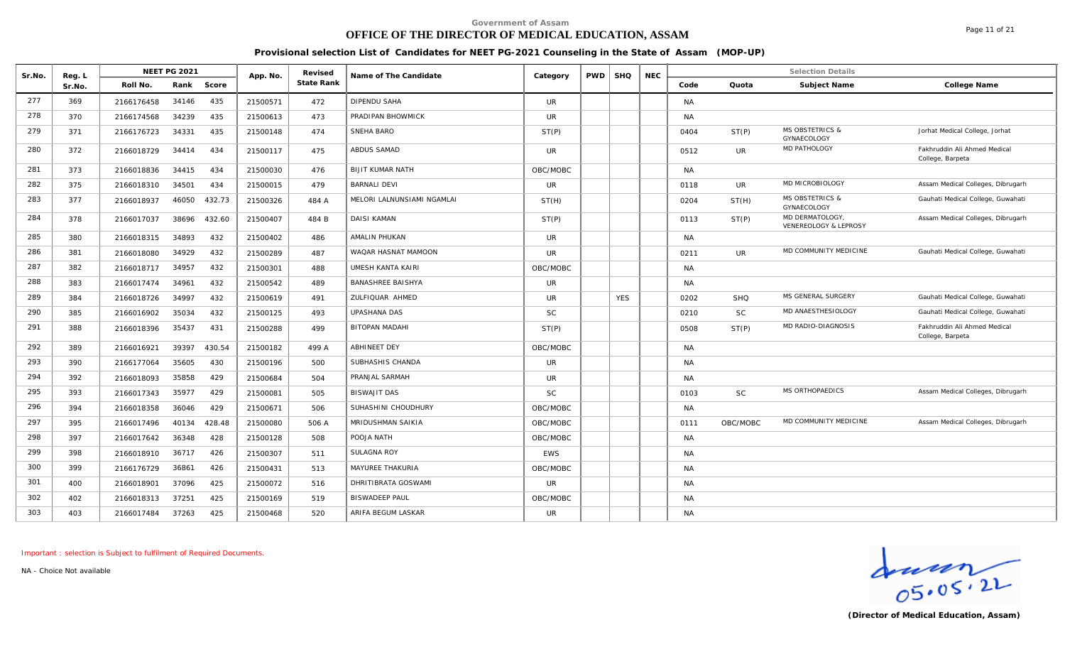# **OFFICE OF THE DIRECTOR OF MEDICAL EDUCATION, ASSAM**

**Provisional selection List of Candidates for NEET PG-2021 Counseling in the State of Assam (MOP-UP)**

| Sr.No. | Reg. L |            | <b>NEET PG 2021</b> |        | App. No. | Revised    | Name of The Candidate      | Category   | <b>PWD</b> | <b>SHQ</b> | <b>NEC</b> |           |            | <b>Selection Details</b>                  |                                                  |
|--------|--------|------------|---------------------|--------|----------|------------|----------------------------|------------|------------|------------|------------|-----------|------------|-------------------------------------------|--------------------------------------------------|
|        | Sr.No. | Roll No.   | Rank                | Score  |          | State Rank |                            |            |            |            |            | Code      | Quota      | Subject Name                              | College Name                                     |
| 277    | 369    | 2166176458 | 34146               | 435    | 21500571 | 472        | DIPENDU SAHA               | <b>UR</b>  |            |            |            | <b>NA</b> |            |                                           |                                                  |
| 278    | 370    | 2166174568 | 34239               | 435    | 21500613 | 473        | PRADIPAN BHOWMICK          | <b>UR</b>  |            |            |            | <b>NA</b> |            |                                           |                                                  |
| 279    | 371    | 2166176723 | 34331               | 435    | 21500148 | 474        | SNEHA BARO                 | ST(P)      |            |            |            | 0404      | ST(P)      | <b>MS OBSTETRICS &amp;</b><br>GYNAECOLOGY | Jorhat Medical College, Jorhat                   |
| 280    | 372    | 2166018729 | 34414               | 434    | 21500117 | 475        | ABDUS SAMAD                | <b>UR</b>  |            |            |            | 0512      | UR         | MD PATHOLOGY                              | Fakhruddin Ali Ahmed Medical<br>College, Barpeta |
| 281    | 373    | 2166018836 | 34415               | 434    | 21500030 | 476        | <b>BIJIT KUMAR NATH</b>    | OBC/MOBC   |            |            |            | <b>NA</b> |            |                                           |                                                  |
| 282    | 375    | 2166018310 | 34501               | 434    | 21500015 | 479        | <b>BARNALI DEVI</b>        | UR         |            |            |            | 0118      | UR         | MD MICROBIOLOGY                           | Assam Medical Colleges, Dibrugarh                |
| 283    | 377    | 2166018937 | 46050               | 432.73 | 21500326 | 484 A      | MELORI LALNUNSIAMI NGAMLAI | ST(H)      |            |            |            | 0204      | ST(H)      | <b>MS OBSTETRICS &amp;</b><br>GYNAECOLOGY | Gauhati Medical College, Guwahati                |
| 284    | 378    | 2166017037 | 38696               | 432.60 | 21500407 | 484 B      | <b>DAISI KAMAN</b>         | ST(P)      |            |            |            | 0113      | ST(P)      | MD DERMATOLOGY<br>VENEREOLOGY & LEPROSY   | Assam Medical Colleges, Dibrugarh                |
| 285    | 380    | 2166018315 | 34893               | 432    | 21500402 | 486        | AMALIN PHUKAN              | <b>UR</b>  |            |            |            | <b>NA</b> |            |                                           |                                                  |
| 286    | 381    | 2166018080 | 34929               | 432    | 21500289 | 487        | WAQAR HASNAT MAMOON        | <b>UR</b>  |            |            |            | 0211      | UR         | MD COMMUNITY MEDICINE                     | Gauhati Medical College, Guwahati                |
| 287    | 382    | 2166018717 | 34957               | 432    | 21500301 | 488        | <b>UMESH KANTA KAIRI</b>   | OBC/MOBC   |            |            |            | <b>NA</b> |            |                                           |                                                  |
| 288    | 383    | 2166017474 | 34961               | 432    | 21500542 | 489        | <b>BANASHREE BAISHYA</b>   | <b>UR</b>  |            |            |            | <b>NA</b> |            |                                           |                                                  |
| 289    | 384    | 2166018726 | 34997               | 432    | 21500619 | 491        | ZULFIQUAR AHMED            | <b>UR</b>  |            | <b>YES</b> |            | 0202      | <b>SHQ</b> | MS GENERAL SURGERY                        | Gauhati Medical College, Guwahati                |
| 290    | 385    | 2166016902 | 35034               | 432    | 21500125 | 493        | UPASHANA DAS               | <b>SC</b>  |            |            |            | 0210      | <b>SC</b>  | MD ANAESTHESIOLOGY                        | Gauhati Medical College, Guwahati                |
| 291    | 388    | 2166018396 | 35437               | 431    | 21500288 | 499        | <b>BITOPAN MADAHI</b>      | ST(P)      |            |            |            | 0508      | ST(P)      | MD RADIO-DIAGNOSIS                        | Fakhruddin Ali Ahmed Medical<br>College, Barpeta |
| 292    | 389    | 2166016921 | 39397               | 430.54 | 21500182 | 499 A      | <b>ABHINEET DEY</b>        | OBC/MOBC   |            |            |            | <b>NA</b> |            |                                           |                                                  |
| 293    | 390    | 2166177064 | 35605               | 430    | 21500196 | 500        | SUBHASHIS CHANDA           | <b>UR</b>  |            |            |            | <b>NA</b> |            |                                           |                                                  |
| 294    | 392    | 2166018093 | 35858               | 429    | 21500684 | 504        | PRANJAL SARMAH             | <b>UR</b>  |            |            |            | <b>NA</b> |            |                                           |                                                  |
| 295    | 393    | 2166017343 | 35977               | 429    | 21500081 | 505        | <b>BISWAJIT DAS</b>        | <b>SC</b>  |            |            |            | 0103      | <b>SC</b>  | MS ORTHOPAEDICS                           | Assam Medical Colleges, Dibrugarh                |
| 296    | 394    | 2166018358 | 36046               | 429    | 21500671 | 506        | SUHASHINI CHOUDHURY        | OBC/MOBC   |            |            |            | <b>NA</b> |            |                                           |                                                  |
| 297    | 395    | 2166017496 | 40134               | 428.48 | 21500080 | 506 A      | MRIDUSHMAN SAIKIA          | OBC/MOBC   |            |            |            | 0111      | OBC/MOBC   | MD COMMUNITY MEDICINE                     | Assam Medical Colleges, Dibrugarh                |
| 298    | 397    | 2166017642 | 36348               | 428    | 21500128 | 508        | POOJA NATH                 | OBC/MOBC   |            |            |            | <b>NA</b> |            |                                           |                                                  |
| 299    | 398    | 2166018910 | 36717               | 426    | 21500307 | 511        | <b>SULAGNA ROY</b>         | <b>EWS</b> |            |            |            | <b>NA</b> |            |                                           |                                                  |
| 300    | 399    | 2166176729 | 36861               | 426    | 21500431 | 513        | MAYUREE THAKURIA           | OBC/MOBC   |            |            |            | <b>NA</b> |            |                                           |                                                  |
| 301    | 400    | 2166018901 | 37096               | 425    | 21500072 | 516        | DHRITIBRATA GOSWAMI        | <b>UR</b>  |            |            |            | <b>NA</b> |            |                                           |                                                  |
| 302    | 402    | 2166018313 | 37251               | 425    | 21500169 | 519        | <b>BISWADEEP PAUL</b>      | OBC/MOBC   |            |            |            | <b>NA</b> |            |                                           |                                                  |
| 303    | 403    | 2166017484 | 37263               | 425    | 21500468 | 520        | ARIFA BEGUM LASKAR         | <b>UR</b>  |            |            |            | <b>NA</b> |            |                                           |                                                  |

*Important : selection is Subject to fulfilment of Required Documents.*

*NA - Choice Not available*



Page 11 of 21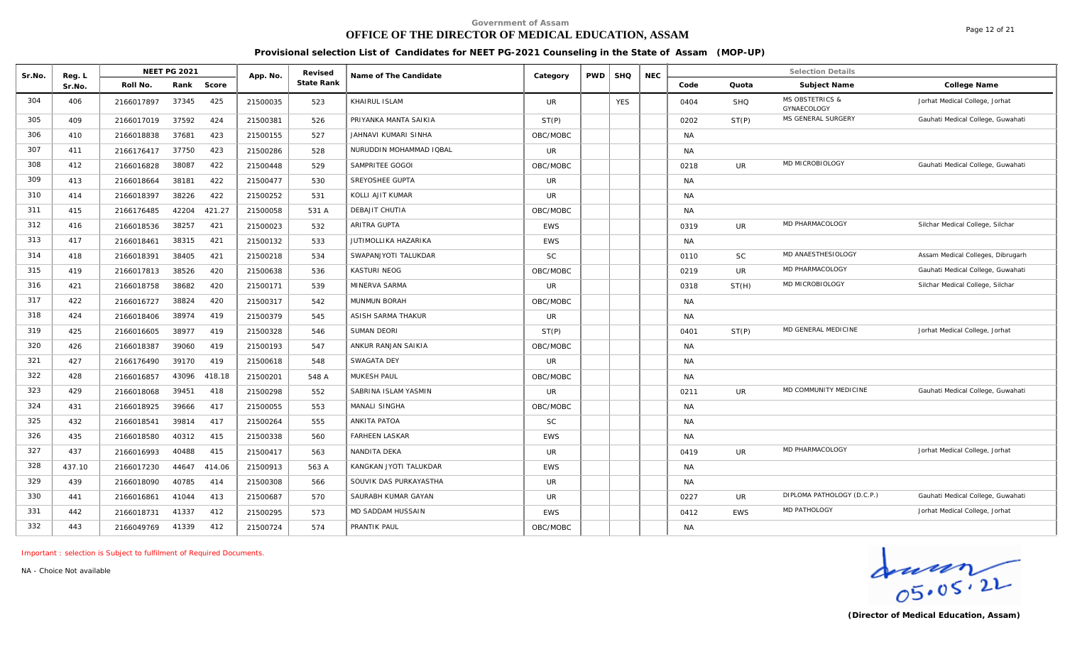# **OFFICE OF THE DIRECTOR OF MEDICAL EDUCATION, ASSAM**

Page 12 of 21

**Provisional selection List of Candidates for NEET PG-2021 Counseling in the State of Assam (MOP-UP)**

| Sr.No. | Reg. L |            | <b>NEET PG 2021</b> |        | App. No. | Revised    | Name of The Candidate   | Category   | <b>PWD</b> | <b>SHQ</b> | <b>NEC</b> |           |                | <b>Selection Details</b>                  |                                   |
|--------|--------|------------|---------------------|--------|----------|------------|-------------------------|------------|------------|------------|------------|-----------|----------------|-------------------------------------------|-----------------------------------|
|        | Sr.No. | Roll No.   | Rank                | Score  |          | State Rank |                         |            |            |            |            | Code      | Quota          | Subject Name                              | College Name                      |
| 304    | 406    | 2166017897 | 37345               | 425    | 21500035 | 523        | KHAIRUL ISLAM           | <b>UR</b>  |            | <b>YES</b> |            | 0404      | <b>SHQ</b>     | <b>MS OBSTETRICS &amp;</b><br>GYNAECOLOGY | Jorhat Medical College, Jorhat    |
| 305    | 409    | 2166017019 | 37592               | 424    | 21500381 | 526        | PRIYANKA MANTA SAIKIA   | ST(P)      |            |            |            | 0202      | ST(P)          | MS GENERAL SURGERY                        | Gauhati Medical College, Guwahati |
| 306    | 410    | 2166018838 | 37681               | 423    | 21500155 | 527        | JAHNAVI KUMARI SINHA    | OBC/MOBC   |            |            |            | <b>NA</b> |                |                                           |                                   |
| 307    | 411    | 2166176417 | 37750               | 423    | 21500286 | 528        | NURUDDIN MOHAMMAD IQBAL | <b>UR</b>  |            |            |            | <b>NA</b> |                |                                           |                                   |
| 308    | 412    | 2166016828 | 38087               | 422    | 21500448 | 529        | SAMPRITEE GOGOI         | OBC/MOBC   |            |            |            | 0218      | <b>UR</b>      | MD MICROBIOLOGY                           | Gauhati Medical College, Guwahati |
| 309    | 413    | 2166018664 | 38181               | 422    | 21500477 | 530        | SREYOSHEE GUPTA         | <b>UR</b>  |            |            |            | <b>NA</b> |                |                                           |                                   |
| 310    | 414    | 2166018397 | 38226               | 422    | 21500252 | 531        | KOLLI AJIT KUMAR        | <b>UR</b>  |            |            |            | <b>NA</b> |                |                                           |                                   |
| 311    | 415    | 2166176485 | 42204               | 421.27 | 21500058 | 531 A      | DEBAJIT CHUTIA          | OBC/MOBC   |            |            |            | <b>NA</b> |                |                                           |                                   |
| 312    | 416    | 2166018536 | 38257               | 421    | 21500023 | 532        | ARITRA GUPTA            | <b>EWS</b> |            |            |            | 0319      | <b>UR</b>      | MD PHARMACOLOGY                           | Silchar Medical College, Silchar  |
| 313    | 417    | 2166018461 | 38315               | 421    | 21500132 | 533        | JUTIMOLLIKA HAZARIKA    | <b>EWS</b> |            |            |            | NA        |                |                                           |                                   |
| 314    | 418    | 2166018391 | 38405               | 421    | 21500218 | 534        | SWAPANJYOTI TALUKDAR    | <b>SC</b>  |            |            |            | 0110      | <b>SC</b>      | MD ANAESTHESIOLOGY                        | Assam Medical Colleges, Dibrugarh |
| 315    | 419    | 2166017813 | 38526               | 420    | 21500638 | 536        | <b>KASTURI NEOG</b>     | OBC/MOBC   |            |            |            | 0219      | <b>UR</b>      | MD PHARMACOLOGY                           | Gauhati Medical College, Guwahati |
| 316    | 421    | 2166018758 | 38682               | 420    | 21500171 | 539        | MINERVA SARMA           | <b>UR</b>  |            |            |            | 0318      | ST(H)          | MD MICROBIOLOGY                           | Silchar Medical College, Silchar  |
| 317    | 422    | 2166016727 | 38824               | 420    | 21500317 | 542        | MUNMUN BORAH            | OBC/MOBC   |            |            |            | <b>NA</b> |                |                                           |                                   |
| 318    | 424    | 2166018406 | 38974               | 419    | 21500379 | 545        | ASISH SARMA THAKUR      | <b>UR</b>  |            |            |            | <b>NA</b> |                |                                           |                                   |
| 319    | 425    | 2166016605 | 38977               | 419    | 21500328 | 546        | <b>SUMAN DEORI</b>      | ST(P)      |            |            |            | 0401      | ST(P)          | MD GENERAL MEDICINE                       | Jorhat Medical College, Jorhat    |
| 320    | 426    | 2166018387 | 39060               | 419    | 21500193 | 547        | ANKUR RANJAN SAIKIA     | OBC/MOBC   |            |            |            | <b>NA</b> |                |                                           |                                   |
| 321    | 427    | 2166176490 | 39170               | 419    | 21500618 | 548        | SWAGATA DEY             | <b>UR</b>  |            |            |            | <b>NA</b> |                |                                           |                                   |
| 322    | 428    | 2166016857 | 43096               | 418.18 | 21500201 | 548 A      | MUKESH PAUL             | OBC/MOBC   |            |            |            | <b>NA</b> |                |                                           |                                   |
| 323    | 429    | 2166018068 | 39451               | 418    | 21500298 | 552        | SABRINA ISLAM YASMIN    | <b>UR</b>  |            |            |            | 0211      | <b>UR</b>      | MD COMMUNITY MEDICINE                     | Gauhati Medical College, Guwahati |
| 324    | 431    | 2166018925 | 39666               | 417    | 21500055 | 553        | MANALI SINGHA           | OBC/MOBC   |            |            |            | NA        |                |                                           |                                   |
| 325    | 432    | 2166018541 | 39814               | 417    | 21500264 | 555        | ANKITA PATOA            | <b>SC</b>  |            |            |            | <b>NA</b> |                |                                           |                                   |
| 326    | 435    | 2166018580 | 40312               | 415    | 21500338 | 560        | <b>FARHEEN LASKAR</b>   | <b>EWS</b> |            |            |            | <b>NA</b> |                |                                           |                                   |
| 327    | 437    | 2166016993 | 40488               | 415    | 21500417 | 563        | NANDITA DEKA            | <b>UR</b>  |            |            |            | 0419      | $_{\text{UR}}$ | MD PHARMACOLOGY                           | Jorhat Medical College, Jorhat    |
| 328    | 437.10 | 2166017230 | 44647               | 414.06 | 21500913 | 563 A      | KANGKAN JYOTI TALUKDAR  | <b>EWS</b> |            |            |            | <b>NA</b> |                |                                           |                                   |
| 329    | 439    | 2166018090 | 40785               | 414    | 21500308 | 566        | SOUVIK DAS PURKAYASTHA  | <b>UR</b>  |            |            |            | <b>NA</b> |                |                                           |                                   |
| 330    | 441    | 2166016861 | 41044               | 413    | 21500687 | 570        | SAURABH KUMAR GAYAN     | <b>UR</b>  |            |            |            | 0227      | UR             | DIPLOMA PATHOLOGY (D.C.P.)                | Gauhati Medical College, Guwahati |
| 331    | 442    | 2166018731 | 41337               | 412    | 21500295 | 573        | MD SADDAM HUSSAIN       | <b>EWS</b> |            |            |            | 0412      | <b>EWS</b>     | MD PATHOLOGY                              | Jorhat Medical College, Jorhat    |
| 332    | 443    | 2166049769 | 41339               | 412    | 21500724 | 574        | PRANTIK PAUL            | OBC/MOBC   |            |            |            | <b>NA</b> |                |                                           |                                   |

*Important : selection is Subject to fulfilment of Required Documents.*

*NA - Choice Not available*

 $\frac{1}{05.05.21}$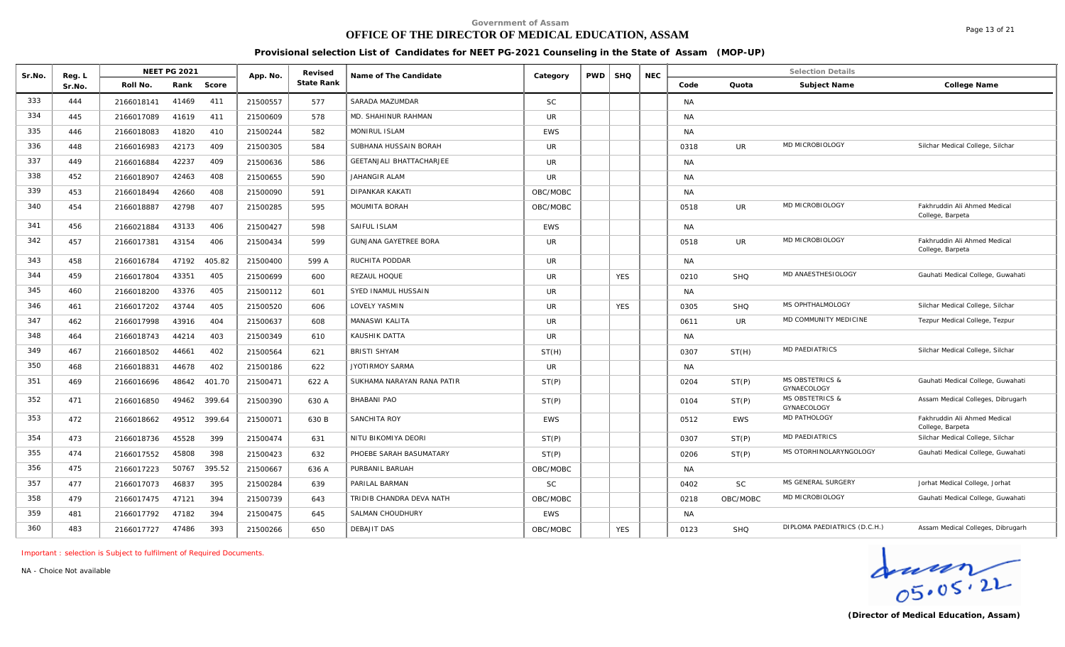# **OFFICE OF THE DIRECTOR OF MEDICAL EDUCATION, ASSAM**

Page 13 of 21

**Provisional selection List of Candidates for NEET PG-2021 Counseling in the State of Assam (MOP-UP)**

| Sr.No. | Reg. L |            | <b>NEET PG 2021</b> |        | App. No. | Revised    | Name of The Candidate           | Category   | <b>PWD</b> | <b>SHQ</b> | <b>NEC</b> |           |            | <b>Selection Details</b>                  |                                                  |
|--------|--------|------------|---------------------|--------|----------|------------|---------------------------------|------------|------------|------------|------------|-----------|------------|-------------------------------------------|--------------------------------------------------|
|        | Sr.No. | Roll No.   | Rank                | Score  |          | State Rank |                                 |            |            |            |            | Code      | Quota      | Subject Name                              | College Name                                     |
| 333    | 444    | 2166018141 | 41469               | 411    | 21500557 | 577        | SARADA MAZUMDAR                 | <b>SC</b>  |            |            |            | <b>NA</b> |            |                                           |                                                  |
| 334    | 445    | 2166017089 | 41619               | 411    | 21500609 | 578        | MD. SHAHINUR RAHMAN             | <b>UR</b>  |            |            |            | <b>NA</b> |            |                                           |                                                  |
| 335    | 446    | 2166018083 | 41820               | 410    | 21500244 | 582        | MONIRUL ISLAM                   | <b>EWS</b> |            |            |            | <b>NA</b> |            |                                           |                                                  |
| 336    | 448    | 2166016983 | 42173               | 409    | 21500305 | 584        | SUBHANA HUSSAIN BORAH           | UR.        |            |            |            | 0318      | <b>UR</b>  | MD MICROBIOLOGY                           | Silchar Medical College, Silchar                 |
| 337    | 449    | 2166016884 | 42237               | 409    | 21500636 | 586        | <b>GEETANJALI BHATTACHARJEE</b> | <b>UR</b>  |            |            |            | <b>NA</b> |            |                                           |                                                  |
| 338    | 452    | 2166018907 | 42463               | 408    | 21500655 | 590        | JAHANGIR ALAM                   | <b>UR</b>  |            |            |            | <b>NA</b> |            |                                           |                                                  |
| 339    | 453    | 2166018494 | 42660               | 408    | 21500090 | 591        | <b>DIPANKAR KAKATI</b>          | OBC/MOBC   |            |            |            | <b>NA</b> |            |                                           |                                                  |
| 340    | 454    | 2166018887 | 42798               | 407    | 21500285 | 595        | MOUMITA BORAH                   | OBC/MOBC   |            |            |            | 0518      | <b>UR</b>  | MD MICROBIOLOGY                           | Fakhruddin Ali Ahmed Medical<br>College, Barpeta |
| 341    | 456    | 2166021884 | 43133               | 406    | 21500427 | 598        | SAIFUL ISLAM                    | <b>EWS</b> |            |            |            | <b>NA</b> |            |                                           |                                                  |
| 342    | 457    | 2166017381 | 43154               | 406    | 21500434 | 599        | <b>GUNJANA GAYETREE BORA</b>    | <b>UR</b>  |            |            |            | 0518      | <b>UR</b>  | MD MICROBIOLOGY                           | Fakhruddin Ali Ahmed Medical<br>College, Barpeta |
| 343    | 458    | 2166016784 | 47192               | 405.82 | 21500400 | 599 A      | RUCHITA PODDAR                  | <b>UR</b>  |            |            |            | <b>NA</b> |            |                                           |                                                  |
| 344    | 459    | 2166017804 | 43351               | 405    | 21500699 | 600        | REZAUL HOQUE                    | <b>UR</b>  |            | <b>YES</b> |            | 0210      | <b>SHQ</b> | MD ANAESTHESIOLOGY                        | Gauhati Medical College, Guwahati                |
| 345    | 460    | 2166018200 | 43376               | 405    | 21500112 | 601        | SYED INAMUL HUSSAIN             | <b>UR</b>  |            |            |            | <b>NA</b> |            |                                           |                                                  |
| 346    | 461    | 2166017202 | 43744               | 405    | 21500520 | 606        | LOVELY YASMIN                   | <b>UR</b>  |            | <b>YES</b> |            | 0305      | SHQ        | MS OPHTHALMOLOGY                          | Silchar Medical College, Silchar                 |
| 347    | 462    | 2166017998 | 43916               | 404    | 21500637 | 608        | MANASWI KALITA                  | <b>UR</b>  |            |            |            | 0611      | UR.        | MD COMMUNITY MEDICINE                     | Tezpur Medical College, Tezpur                   |
| 348    | 464    | 2166018743 | 44214               | 403    | 21500349 | 610        | KAUSHIK DATTA                   | <b>UR</b>  |            |            |            | NA        |            |                                           |                                                  |
| 349    | 467    | 2166018502 | 44661               | 402    | 21500564 | 621        | <b>BRISTI SHYAM</b>             | ST(H)      |            |            |            | 0307      | ST(H)      | <b>MD PAEDIATRICS</b>                     | Silchar Medical College, Silchar                 |
| 350    | 468    | 2166018831 | 44678               | 402    | 21500186 | 622        | <b>JYOTIRMOY SARMA</b>          | <b>UR</b>  |            |            |            | NA        |            |                                           |                                                  |
| 351    | 469    | 2166016696 | 48642               | 401.70 | 21500471 | 622 A      | SUKHAMA NARAYAN RANA PATIR      | ST(P)      |            |            |            | 0204      | ST(P)      | <b>MS OBSTETRICS &amp;</b><br>GYNAECOLOGY | Gauhati Medical College, Guwahati                |
| 352    | 471    | 2166016850 | 49462               | 399.64 | 21500390 | 630 A      | <b>BHABANI PAO</b>              | ST(P)      |            |            |            | 0104      | ST(P)      | <b>MS OBSTETRICS &amp;</b><br>GYNAECOLOGY | Assam Medical Colleges, Dibrugarh                |
| 353    | 472    | 2166018662 | 49512               | 399.64 | 21500071 | 630 B      | SANCHITA ROY                    | <b>EWS</b> |            |            |            | 0512      | EWS        | MD PATHOLOGY                              | Fakhruddin Ali Ahmed Medical<br>College, Barpeta |
| 354    | 473    | 2166018736 | 45528               | 399    | 21500474 | 631        | NITU BIKOMIYA DEORI             | ST(P)      |            |            |            | 0307      | ST(P)      | <b>MD PAEDIATRICS</b>                     | Silchar Medical College, Silchar                 |
| 355    | 474    | 2166017552 | 45808               | 398    | 21500423 | 632        | PHOEBE SARAH BASUMATARY         | ST(P)      |            |            |            | 0206      | ST(P)      | MS OTORHINOLARYNGOLOGY                    | Gauhati Medical College, Guwahati                |
| 356    | 475    | 2166017223 | 50767               | 395.52 | 21500667 | 636 A      | PURBANIL BARUAH                 | OBC/MOBC   |            |            |            | NA        |            |                                           |                                                  |
| 357    | 477    | 2166017073 | 46837               | 395    | 21500284 | 639        | PARILAL BARMAN                  | <b>SC</b>  |            |            |            | 0402      | <b>SC</b>  | MS GENERAL SURGERY                        | Jorhat Medical College, Jorhat                   |
| 358    | 479    | 2166017475 | 47121               | 394    | 21500739 | 643        | TRIDIB CHANDRA DEVA NATH        | OBC/MOBC   |            |            |            | 0218      | OBC/MOBC   | MD MICROBIOLOGY                           | Gauhati Medical College, Guwahati                |
| 359    | 481    | 2166017792 | 47182               | 394    | 21500475 | 645        | SALMAN CHOUDHURY                | EWS        |            |            |            | NA        |            |                                           |                                                  |
| 360    | 483    | 2166017727 | 47486               | 393    | 21500266 | 650        | DEBAJIT DAS                     | OBC/MOBC   |            | <b>YES</b> |            | 0123      | <b>SHQ</b> | DIPLOMA PAEDIATRICS (D.C.H.)              | Assam Medical Colleges, Dibrugarh                |

*Important : selection is Subject to fulfilment of Required Documents.*

 $\frac{1}{05.05.22}$ 

**(Director of Medical Education, Assam)**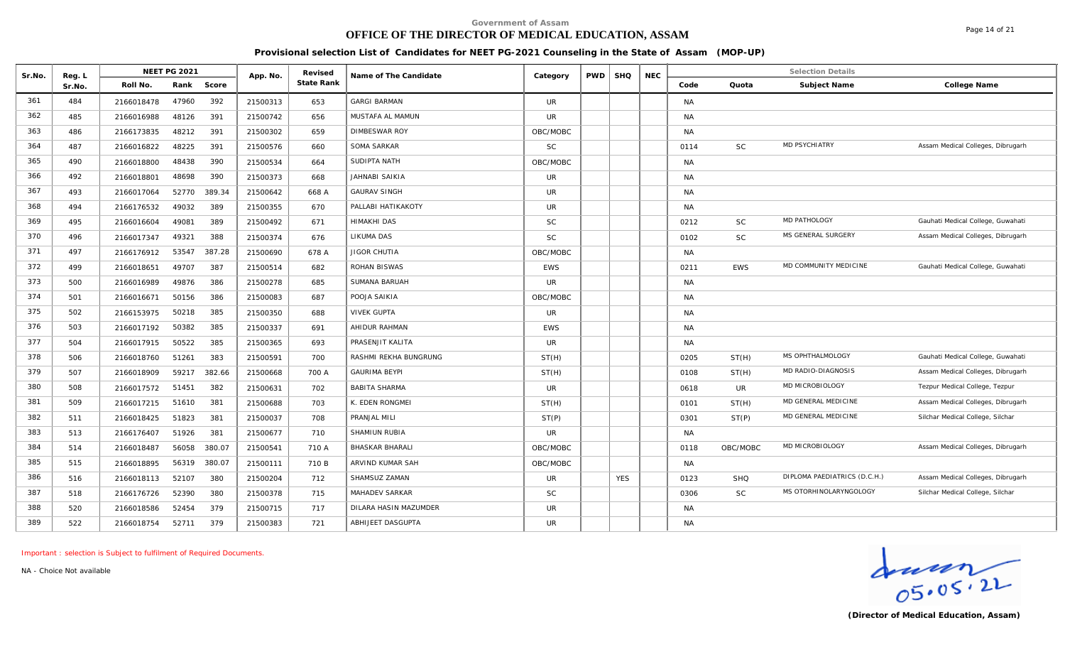# **OFFICE OF THE DIRECTOR OF MEDICAL EDUCATION, ASSAM**

Page 14 of 21

**Provisional selection List of Candidates for NEET PG-2021 Counseling in the State of Assam (MOP-UP)**

| Sr.No. | Reg. L |            | <b>NEET PG 2021</b> |        | App. No. | Revised    | Name of The Candidate  | Category   | <b>PWD</b> | <b>SHQ</b> | <b>NEC</b> |           |            | <b>Selection Details</b>     |                                   |
|--------|--------|------------|---------------------|--------|----------|------------|------------------------|------------|------------|------------|------------|-----------|------------|------------------------------|-----------------------------------|
|        | Sr.No. | Roll No.   | Rank                | Score  |          | State Rank |                        |            |            |            |            | Code      | Quota      | Subject Name                 | College Name                      |
| 361    | 484    | 2166018478 | 47960               | 392    | 21500313 | 653        | <b>GARGI BARMAN</b>    | UR         |            |            |            | <b>NA</b> |            |                              |                                   |
| 362    | 485    | 2166016988 | 48126               | 391    | 21500742 | 656        | MUSTAFA AL MAMUN       | UR         |            |            |            | <b>NA</b> |            |                              |                                   |
| 363    | 486    | 2166173835 | 48212               | 391    | 21500302 | 659        | <b>DIMBESWAR ROY</b>   | OBC/MOBC   |            |            |            | <b>NA</b> |            |                              |                                   |
| 364    | 487    | 2166016822 | 48225               | 391    | 21500576 | 660        | SOMA SARKAR            | <b>SC</b>  |            |            |            | 0114      | <b>SC</b>  | <b>MD PSYCHIATRY</b>         | Assam Medical Colleges, Dibrugarh |
| 365    | 490    | 2166018800 | 48438               | 390    | 21500534 | 664        | SUDIPTA NATH           | OBC/MOBC   |            |            |            | <b>NA</b> |            |                              |                                   |
| 366    | 492    | 2166018801 | 48698               | 390    | 21500373 | 668        | <b>JAHNABI SAIKIA</b>  | <b>UR</b>  |            |            |            | <b>NA</b> |            |                              |                                   |
| 367    | 493    | 2166017064 | 52770               | 389.34 | 21500642 | 668 A      | <b>GAURAV SINGH</b>    | <b>UR</b>  |            |            |            | <b>NA</b> |            |                              |                                   |
| 368    | 494    | 2166176532 | 49032               | 389    | 21500355 | 670        | PALLABI HATIKAKOTY     | <b>UR</b>  |            |            |            | <b>NA</b> |            |                              |                                   |
| 369    | 495    | 2166016604 | 49081               | 389    | 21500492 | 671        | <b>HIMAKHI DAS</b>     | <b>SC</b>  |            |            |            | 0212      | <b>SC</b>  | MD PATHOLOGY                 | Gauhati Medical College, Guwahati |
| 370    | 496    | 2166017347 | 49321               | 388    | 21500374 | 676        | LIKUMA DAS             | <b>SC</b>  |            |            |            | 0102      | <b>SC</b>  | MS GENERAL SURGERY           | Assam Medical Colleges, Dibrugarh |
| 371    | 497    | 2166176912 | 53547               | 387.28 | 21500690 | 678 A      | <b>JIGOR CHUTIA</b>    | OBC/MOBC   |            |            |            | <b>NA</b> |            |                              |                                   |
| 372    | 499    | 2166018651 | 49707               | 387    | 21500514 | 682        | ROHAN BISWAS           | <b>EWS</b> |            |            |            | 0211      | <b>EWS</b> | MD COMMUNITY MEDICINE        | Gauhati Medical College, Guwahati |
| 373    | 500    | 2166016989 | 49876               | 386    | 21500278 | 685        | SUMANA BARUAH          | <b>UR</b>  |            |            |            | <b>NA</b> |            |                              |                                   |
| 374    | 501    | 2166016671 | 50156               | 386    | 21500083 | 687        | POOJA SAIKIA           | OBC/MOBC   |            |            |            | <b>NA</b> |            |                              |                                   |
| 375    | 502    | 2166153975 | 50218               | 385    | 21500350 | 688        | <b>VIVEK GUPTA</b>     | <b>UR</b>  |            |            |            | <b>NA</b> |            |                              |                                   |
| 376    | 503    | 2166017192 | 50382               | 385    | 21500337 | 691        | AHIDUR RAHMAN          | <b>EWS</b> |            |            |            | NA        |            |                              |                                   |
| 377    | 504    | 2166017915 | 50522               | 385    | 21500365 | 693        | PRASENJIT KALITA       | <b>UR</b>  |            |            |            | <b>NA</b> |            |                              |                                   |
| 378    | 506    | 2166018760 | 51261               | 383    | 21500591 | 700        | RASHMI REKHA BUNGRUNG  | ST(H)      |            |            |            | 0205      | ST(H)      | MS OPHTHALMOLOGY             | Gauhati Medical College, Guwahati |
| 379    | 507    | 2166018909 | 59217               | 382.66 | 21500668 | 700 A      | <b>GAURIMA BEYPI</b>   | ST(H)      |            |            |            | 0108      | ST(H)      | MD RADIO-DIAGNOSIS           | Assam Medical Colleges, Dibrugarh |
| 380    | 508    | 2166017572 | 51451               | 382    | 21500631 | 702        | <b>BABITA SHARMA</b>   | <b>UR</b>  |            |            |            | 0618      | <b>UR</b>  | MD MICROBIOLOGY              | Tezpur Medical College, Tezpur    |
| 381    | 509    | 2166017215 | 51610               | 381    | 21500688 | 703        | K. EDEN RONGMEI        | ST(H)      |            |            |            | 0101      | ST(H)      | MD GENERAL MEDICINE          | Assam Medical Colleges, Dibrugarh |
| 382    | 511    | 2166018425 | 51823               | 381    | 21500037 | 708        | PRANJAL MILI           | ST(P)      |            |            |            | 0301      | ST(P)      | MD GENERAL MEDICINE          | Silchar Medical College, Silchar  |
| 383    | 513    | 2166176407 | 51926               | 381    | 21500677 | 710        | SHAMIUN RUBIA          | <b>UR</b>  |            |            |            | <b>NA</b> |            |                              |                                   |
| 384    | 514    | 2166018487 | 56058               | 380.07 | 21500541 | 710 A      | <b>BHASKAR BHARALI</b> | OBC/MOBC   |            |            |            | 0118      | OBC/MOBC   | MD MICROBIOLOGY              | Assam Medical Colleges, Dibrugarh |
| 385    | 515    | 2166018895 | 56319               | 380.07 | 21500111 | 710 B      | ARVIND KUMAR SAH       | OBC/MOBC   |            |            |            | <b>NA</b> |            |                              |                                   |
| 386    | 516    | 2166018113 | 52107               | 380    | 21500204 | 712        | SHAMSUZ ZAMAN          | <b>UR</b>  |            | <b>YES</b> |            | 0123      | SHQ        | DIPLOMA PAEDIATRICS (D.C.H.) | Assam Medical Colleges, Dibrugarh |
| 387    | 518    | 2166176726 | 52390               | 380    | 21500378 | 715        | MAHADEV SARKAR         | <b>SC</b>  |            |            |            | 0306      | SC         | MS OTORHINOLARYNGOLOGY       | Silchar Medical College, Silchar  |
| 388    | 520    | 2166018586 | 52454               | 379    | 21500715 | 717        | DILARA HASIN MAZUMDER  | <b>UR</b>  |            |            |            | <b>NA</b> |            |                              |                                   |
| 389    | 522    | 2166018754 | 52711               | 379    | 21500383 | 721        | ABHIJEET DASGUPTA      | <b>UR</b>  |            |            |            | NA        |            |                              |                                   |

*Important : selection is Subject to fulfilment of Required Documents.*

Graden<br>
OS. 05. 2L<br>
(Director of Medical Education, Assam)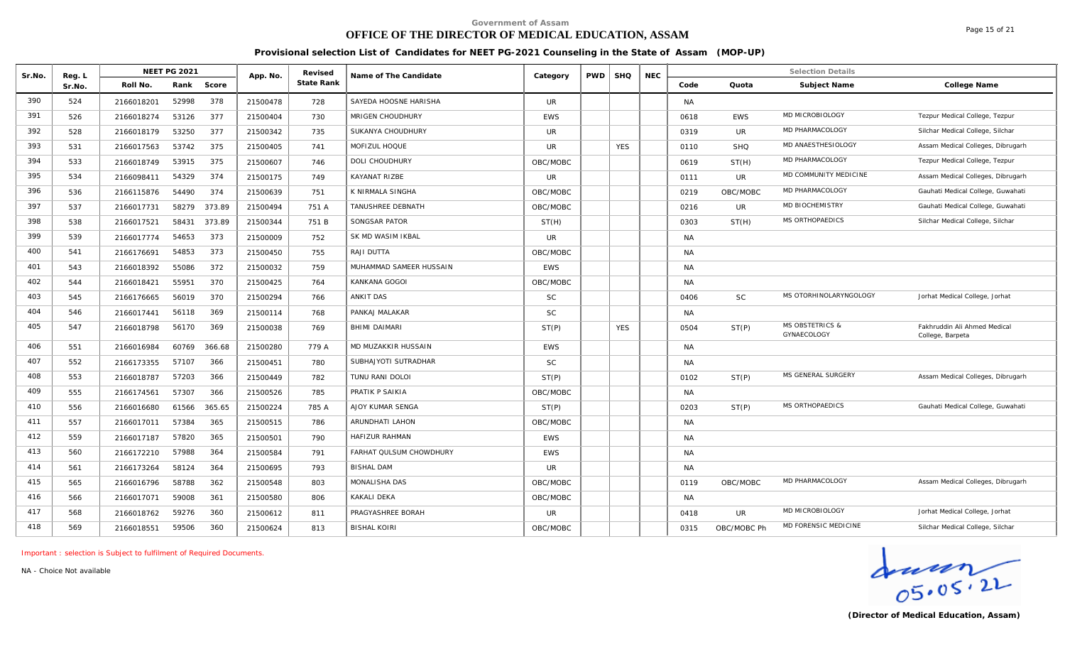# **OFFICE OF THE DIRECTOR OF MEDICAL EDUCATION, ASSAM**

Page 15 of 21

**Provisional selection List of Candidates for NEET PG-2021 Counseling in the State of Assam (MOP-UP)**

| Sr.No. | Reg. L |            | <b>NEET PG 2021</b> |        | App. No. | Revised    | Name of The Candidate   | Category   | <b>PWD</b> | <b>SHQ</b> | <b>NEC</b> |           |             | <b>Selection Details</b>                  |                                                  |
|--------|--------|------------|---------------------|--------|----------|------------|-------------------------|------------|------------|------------|------------|-----------|-------------|-------------------------------------------|--------------------------------------------------|
|        | Sr.No. | Roll No.   | Rank                | Score  |          | State Rank |                         |            |            |            |            | Code      | Quota       | Subject Name                              | College Name                                     |
| 390    | 524    | 2166018201 | 52998               | 378    | 21500478 | 728        | SAYEDA HOOSNE HARISHA   | <b>UR</b>  |            |            |            | <b>NA</b> |             |                                           |                                                  |
| 391    | 526    | 2166018274 | 53126               | 377    | 21500404 | 730        | MRIGEN CHOUDHURY        | <b>EWS</b> |            |            |            | 0618      | <b>EWS</b>  | MD MICROBIOLOGY                           | Tezpur Medical College, Tezpur                   |
| 392    | 528    | 2166018179 | 53250               | 377    | 21500342 | 735        | SUKANYA CHOUDHURY       | <b>UR</b>  |            |            |            | 0319      | <b>UR</b>   | MD PHARMACOLOGY                           | Silchar Medical College, Silchar                 |
| 393    | 531    | 2166017563 | 53742               | 375    | 21500405 | 741        | MOFIZUL HOQUE           | <b>UR</b>  |            | <b>YES</b> |            | 0110      | <b>SHQ</b>  | MD ANAESTHESIOLOGY                        | Assam Medical Colleges, Dibrugarh                |
| 394    | 533    | 2166018749 | 53915               | 375    | 21500607 | 746        | <b>DOLI CHOUDHURY</b>   | OBC/MOBC   |            |            |            | 0619      | ST(H)       | MD PHARMACOLOGY                           | Tezpur Medical College, Tezpur                   |
| 395    | 534    | 2166098411 | 54329               | 374    | 21500175 | 749        | KAYANAT RIZBE           | <b>UR</b>  |            |            |            | 0111      | <b>UR</b>   | MD COMMUNITY MEDICINE                     | Assam Medical Colleges, Dibrugarh                |
| 396    | 536    | 2166115876 | 54490               | 374    | 21500639 | 751        | K NIRMALA SINGHA        | OBC/MOBC   |            |            |            | 0219      | OBC/MOBC    | MD PHARMACOLOGY                           | Gauhati Medical College, Guwahati                |
| 397    | 537    | 2166017731 | 58279               | 373.89 | 21500494 | 751 A      | TANUSHREE DEBNATH       | OBC/MOBC   |            |            |            | 0216      | <b>UR</b>   | MD BIOCHEMISTRY                           | Gauhati Medical College, Guwahati                |
| 398    | 538    | 2166017521 | 58431               | 373.89 | 21500344 | 751 B      | SONGSAR PATOR           | ST(H)      |            |            |            | 0303      | ST(H)       | MS ORTHOPAEDICS                           | Silchar Medical College, Silchar                 |
| 399    | 539    | 2166017774 | 54653               | 373    | 21500009 | 752        | SK MD WASIM IKBAL       | <b>UR</b>  |            |            |            | <b>NA</b> |             |                                           |                                                  |
| 400    | 541    | 2166176691 | 54853               | 373    | 21500450 | 755        | RAJI DUTTA              | OBC/MOBC   |            |            |            | <b>NA</b> |             |                                           |                                                  |
| 401    | 543    | 2166018392 | 55086               | 372    | 21500032 | 759        | MUHAMMAD SAMEER HUSSAIN | <b>EWS</b> |            |            |            | <b>NA</b> |             |                                           |                                                  |
| 402    | 544    | 2166018421 | 55951               | 370    | 21500425 | 764        | KANKANA GOGOI           | OBC/MOBC   |            |            |            | <b>NA</b> |             |                                           |                                                  |
| 403    | 545    | 2166176665 | 56019               | 370    | 21500294 | 766        | ANKIT DAS               | <b>SC</b>  |            |            |            | 0406      | <b>SC</b>   | MS OTORHINOLARYNGOLOGY                    | Jorhat Medical College, Jorhat                   |
| 404    | 546    | 2166017441 | 56118               | 369    | 21500114 | 768        | PANKAJ MALAKAR          | <b>SC</b>  |            |            |            | NA        |             |                                           |                                                  |
| 405    | 547    | 2166018798 | 56170               | 369    | 21500038 | 769        | <b>BHIMI DAIMARI</b>    | ST(P)      |            | <b>YES</b> |            | 0504      | ST(P)       | <b>MS OBSTETRICS &amp;</b><br>GYNAECOLOGY | Fakhruddin Ali Ahmed Medical<br>College, Barpeta |
| 406    | 551    | 2166016984 | 60769               | 366.68 | 21500280 | 779 A      | MD MUZAKKIR HUSSAIN     | <b>EWS</b> |            |            |            | <b>NA</b> |             |                                           |                                                  |
| 407    | 552    | 2166173355 | 57107               | 366    | 21500451 | 780        | SUBHAJYOTI SUTRADHAR    | <b>SC</b>  |            |            |            | <b>NA</b> |             |                                           |                                                  |
| 408    | 553    | 2166018787 | 57203               | 366    | 21500449 | 782        | TUNU RANI DOLOI         | ST(P)      |            |            |            | 0102      | ST(P)       | MS GENERAL SURGERY                        | Assam Medical Colleges, Dibrugarh                |
| 409    | 555    | 2166174561 | 57307               | 366    | 21500526 | 785        | PRATIK P SAIKIA         | OBC/MOBC   |            |            |            | <b>NA</b> |             |                                           |                                                  |
| 410    | 556    | 2166016680 | 61566               | 365.65 | 21500224 | 785 A      | AJOY KUMAR SENGA        | ST(P)      |            |            |            | 0203      | ST(P)       | MS ORTHOPAEDICS                           | Gauhati Medical College, Guwahati                |
| 411    | 557    | 2166017011 | 57384               | 365    | 21500515 | 786        | ARUNDHATI LAHON         | OBC/MOBC   |            |            |            | <b>NA</b> |             |                                           |                                                  |
| 412    | 559    | 2166017187 | 57820               | 365    | 21500501 | 790        | HAFIZUR RAHMAN          | <b>EWS</b> |            |            |            | <b>NA</b> |             |                                           |                                                  |
| 413    | 560    | 2166172210 | 57988               | 364    | 21500584 | 791        | FARHAT QULSUM CHOWDHURY | <b>EWS</b> |            |            |            | <b>NA</b> |             |                                           |                                                  |
| 414    | 561    | 2166173264 | 58124               | 364    | 21500695 | 793        | <b>BISHAL DAM</b>       | <b>UR</b>  |            |            |            | <b>NA</b> |             |                                           |                                                  |
| 415    | 565    | 2166016796 | 58788               | 362    | 21500548 | 803        | MONALISHA DAS           | OBC/MOBC   |            |            |            | 0119      | OBC/MOBC    | MD PHARMACOLOGY                           | Assam Medical Colleges, Dibrugarh                |
| 416    | 566    | 2166017071 | 59008               | 361    | 21500580 | 806        | <b>KAKALI DEKA</b>      | OBC/MOBC   |            |            |            | <b>NA</b> |             |                                           |                                                  |
| 417    | 568    | 2166018762 | 59276               | 360    | 21500612 | 811        | PRAGYASHREE BORAH       | <b>UR</b>  |            |            |            | 0418      | <b>UR</b>   | MD MICROBIOLOGY                           | Jorhat Medical College, Jorhat                   |
| 418    | 569    | 2166018551 | 59506               | 360    | 21500624 | 813        | <b>BISHAL KOIRI</b>     | OBC/MOBC   |            |            |            | 0315      | OBC/MOBC Ph | MD FORENSIC MEDICINE                      | Silchar Medical College, Silchar                 |

*Important : selection is Subject to fulfilment of Required Documents.*

 $\frac{1}{05.05.22}$ 

**(Director of Medical Education, Assam)**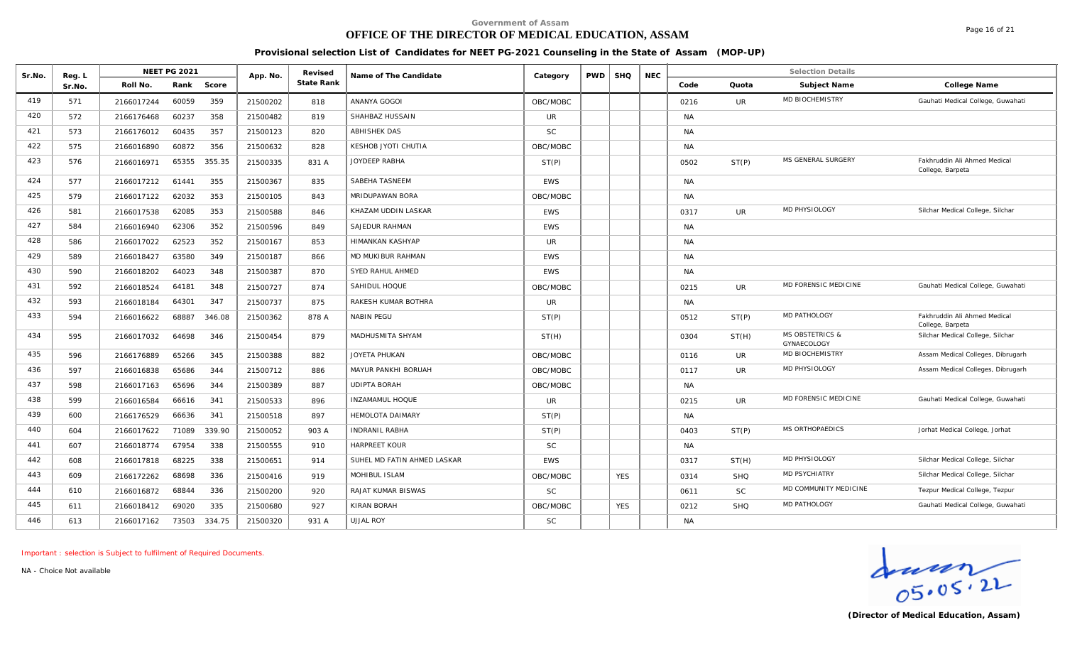## **OFFICE OF THE DIRECTOR OF MEDICAL EDUCATION, ASSAM**

Page 16 of 21

#### **Provisional selection List of Candidates for NEET PG-2021 Counseling in the State of Assam (MOP-UP)**

| Sr.No. | Reg. L | <b>NEET PG 2021</b>           | App. No. | Revised    | Name of The Candidate       | Category   | <b>PWD</b> | <b>SHQ</b> | <b>NEC</b> |           |            | <b>Selection Details</b>                  |                                                  |
|--------|--------|-------------------------------|----------|------------|-----------------------------|------------|------------|------------|------------|-----------|------------|-------------------------------------------|--------------------------------------------------|
|        | Sr.No. | Rank<br>Roll No.<br>Score     |          | State Rank |                             |            |            |            |            | Code      | Quota      | Subject Name                              | College Name                                     |
| 419    | 571    | 359<br>60059<br>2166017244    | 21500202 | 818        | ANANYA GOGOI                | OBC/MOBC   |            |            |            | 0216      | <b>UR</b>  | MD BIOCHEMISTRY                           | Gauhati Medical College, Guwahati                |
| 420    | 572    | 60237<br>358<br>2166176468    | 21500482 | 819        | SHAHBAZ HUSSAIN             | <b>UR</b>  |            |            |            | <b>NA</b> |            |                                           |                                                  |
| 421    | 573    | 357<br>60435<br>2166176012    | 21500123 | 820        | <b>ABHISHEK DAS</b>         | <b>SC</b>  |            |            |            | <b>NA</b> |            |                                           |                                                  |
| 422    | 575    | 60872<br>356<br>2166016890    | 21500632 | 828        | KESHOB JYOTI CHUTIA         | OBC/MOBC   |            |            |            | <b>NA</b> |            |                                           |                                                  |
| 423    | 576    | 65355<br>355.35<br>2166016971 | 21500335 | 831 A      | JOYDEEP RABHA               | ST(P)      |            |            |            | 0502      | ST(P)      | MS GENERAL SURGERY                        | Fakhruddin Ali Ahmed Medical<br>College, Barpeta |
| 424    | 577    | 355<br>2166017212<br>61441    | 21500367 | 835        | SABEHA TASNEEM              | <b>EWS</b> |            |            |            | <b>NA</b> |            |                                           |                                                  |
| 425    | 579    | 353<br>2166017122<br>62032    | 21500105 | 843        | <b>MRIDUPAWAN BORA</b>      | OBC/MOBC   |            |            |            | <b>NA</b> |            |                                           |                                                  |
| 426    | 581    | 62085<br>353<br>2166017538    | 21500588 | 846        | KHAZAM UDDIN LASKAR         | <b>EWS</b> |            |            |            | 0317      | <b>UR</b>  | MD PHYSIOLOGY                             | Silchar Medical College, Silchar                 |
| 427    | 584    | 2166016940<br>62306<br>352    | 21500596 | 849        | SAJEDUR RAHMAN              | <b>EWS</b> |            |            |            | <b>NA</b> |            |                                           |                                                  |
| 428    | 586    | 62523<br>352<br>2166017022    | 21500167 | 853        | <b>HIMANKAN KASHYAP</b>     | UR.        |            |            |            | <b>NA</b> |            |                                           |                                                  |
| 429    | 589    | 349<br>2166018427<br>63580    | 21500187 | 866        | MD MUKIBUR RAHMAN           | <b>EWS</b> |            |            |            | <b>NA</b> |            |                                           |                                                  |
| 430    | 590    | 348<br>2166018202<br>64023    | 21500387 | 870        | SYED RAHUL AHMED            | <b>EWS</b> |            |            |            | <b>NA</b> |            |                                           |                                                  |
| 431    | 592    | 348<br>2166018524<br>64181    | 21500727 | 874        | SAHIDUL HOQUE               | OBC/MOBC   |            |            |            | 0215      | UR.        | MD FORENSIC MEDICINE                      | Gauhati Medical College, Guwahati                |
| 432    | 593    | 2166018184<br>64301<br>347    | 21500737 | 875        | RAKESH KUMAR BOTHRA         | UR.        |            |            |            | <b>NA</b> |            |                                           |                                                  |
| 433    | 594    | 68887<br>346.08<br>2166016622 | 21500362 | 878 A      | <b>NABIN PEGU</b>           | ST(P)      |            |            |            | 0512      | ST(P)      | MD PATHOLOGY                              | Fakhruddin Ali Ahmed Medical<br>College, Barpeta |
| 434    | 595    | 64698<br>346<br>2166017032    | 21500454 | 879        | MADHUSMITA SHYAM            | ST(H)      |            |            |            | 0304      | ST(H)      | <b>MS OBSTETRICS &amp;</b><br>GYNAECOLOGY | Silchar Medical College, Silchar                 |
| 435    | 596    | 65266<br>345<br>2166176889    | 21500388 | 882        | JOYETA PHUKAN               | OBC/MOBC   |            |            |            | 0116      | UR         | MD BIOCHEMISTRY                           | Assam Medical Colleges, Dibrugarh                |
| 436    | 597    | 65686<br>344<br>2166016838    | 21500712 | 886        | MAYUR PANKHI BORUAH         | OBC/MOBC   |            |            |            | 0117      | <b>UR</b>  | MD PHYSIOLOGY                             | Assam Medical Colleges, Dibrugarh                |
| 437    | 598    | 65696<br>344<br>2166017163    | 21500389 | 887        | <b>UDIPTA BORAH</b>         | OBC/MOBC   |            |            |            | <b>NA</b> |            |                                           |                                                  |
| 438    | 599    | 341<br>2166016584<br>66616    | 21500533 | 896        | <b>INZAMAMUL HOQUE</b>      | <b>UR</b>  |            |            |            | 0215      | <b>UR</b>  | MD FORENSIC MEDICINE                      | Gauhati Medical College, Guwahati                |
| 439    | 600    | 341<br>66636<br>2166176529    | 21500518 | 897        | <b>HEMOLOTA DAIMARY</b>     | ST(P)      |            |            |            | <b>NA</b> |            |                                           |                                                  |
| 440    | 604    | 339.90<br>71089<br>2166017622 | 21500052 | 903 A      | <b>INDRANIL RABHA</b>       | ST(P)      |            |            |            | 0403      | ST(P)      | MS ORTHOPAEDICS                           | Jorhat Medical College, Jorhat                   |
| 441    | 607    | 338<br>67954<br>2166018774    | 21500555 | 910        | <b>HARPREET KOUR</b>        | <b>SC</b>  |            |            |            | <b>NA</b> |            |                                           |                                                  |
| 442    | 608    | 68225<br>338<br>2166017818    | 21500651 | 914        | SUHEL MD FATIN AHMED LASKAR | <b>EWS</b> |            |            |            | 0317      | ST(H)      | MD PHYSIOLOGY                             | Silchar Medical College, Silchar                 |
| 443    | 609    | 68698<br>336<br>2166172262    | 21500416 | 919        | MOHIBUL ISLAM               | OBC/MOBC   |            | <b>YES</b> |            | 0314      | <b>SHQ</b> | <b>MD PSYCHIATRY</b>                      | Silchar Medical College, Silchar                 |
| 444    | 610    | 336<br>68844<br>2166016872    | 21500200 | 920        | RAJAT KUMAR BISWAS          | <b>SC</b>  |            |            |            | 0611      | <b>SC</b>  | MD COMMUNITY MEDICINE                     | Tezpur Medical College, Tezpur                   |
| 445    | 611    | 335<br>69020<br>2166018412    | 21500680 | 927        | KIRAN BORAH                 | OBC/MOBC   |            | <b>YES</b> |            | 0212      | <b>SHQ</b> | <b>MD PATHOLOGY</b>                       | Gauhati Medical College, Guwahati                |
| 446    | 613    | 334.75<br>73503<br>2166017162 | 21500320 | 931 A      | <b>UJJAL ROY</b>            | SC         |            |            |            | <b>NA</b> |            |                                           |                                                  |

*Important : selection is Subject to fulfilment of Required Documents.*

Graden<br>
OS. 05. 2L<br>
(Director of Medical Education, Assam)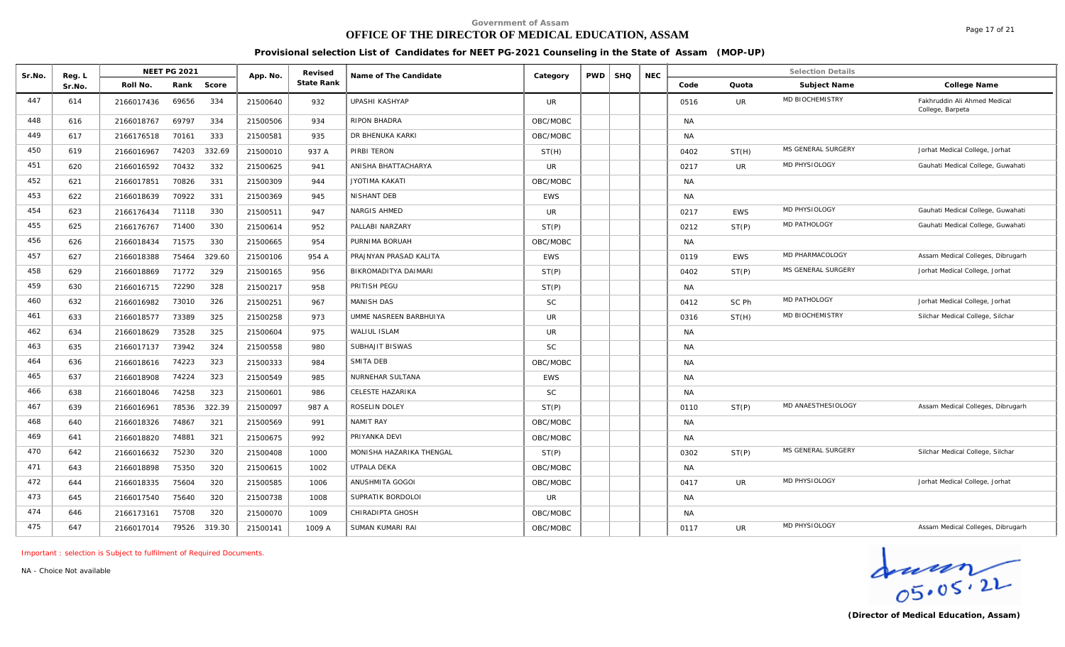### **OFFICE OF THE DIRECTOR OF MEDICAL EDUCATION, ASSAM**

Page 17 of 21

**Provisional selection List of Candidates for NEET PG-2021 Counseling in the State of Assam (MOP-UP)**

| Sr.No. | Reg. L | <b>NEET PG 2021</b> |        | App. No. | Revised    | Name of The Candidate    | Category   | <b>PWD</b> | <b>SHQ</b> | <b>NEC</b> |           |            | <b>Selection Details</b> |                                                  |
|--------|--------|---------------------|--------|----------|------------|--------------------------|------------|------------|------------|------------|-----------|------------|--------------------------|--------------------------------------------------|
|        | Sr.No. | Roll No.<br>Rank    | Score  |          | State Rank |                          |            |            |            |            | Code      | Quota      | Subject Name             | College Name                                     |
| 447    | 614    | 69656<br>2166017436 | 334    | 21500640 | 932        | UPASHI KASHYAP           | <b>UR</b>  |            |            |            | 0516      | <b>UR</b>  | <b>MD BIOCHEMISTRY</b>   | Fakhruddin Ali Ahmed Medical<br>College, Barpeta |
| 448    | 616    | 69797<br>2166018767 | 334    | 21500506 | 934        | RIPON BHADRA             | OBC/MOBC   |            |            |            | <b>NA</b> |            |                          |                                                  |
| 449    | 617    | 70161<br>2166176518 | 333    | 21500581 | 935        | DR BHENUKA KARKI         | OBC/MOBC   |            |            |            | <b>NA</b> |            |                          |                                                  |
| 450    | 619    | 74203<br>2166016967 | 332.69 | 21500010 | 937 A      | PIRBI TERON              | ST(H)      |            |            |            | 0402      | ST(H)      | MS GENERAL SURGERY       | Jorhat Medical College, Jorhat                   |
| 451    | 620    | 70432<br>2166016592 | 332    | 21500625 | 941        | ANISHA BHATTACHARYA      | <b>UR</b>  |            |            |            | 0217      | <b>UR</b>  | MD PHYSIOLOGY            | Gauhati Medical College, Guwahati                |
| 452    | 621    | 2166017851<br>70826 | 331    | 21500309 | 944        | <b>JYOTIMA KAKATI</b>    | OBC/MOBC   |            |            |            | <b>NA</b> |            |                          |                                                  |
| 453    | 622    | 70922<br>2166018639 | 331    | 21500369 | 945        | <b>NISHANT DEB</b>       | <b>EWS</b> |            |            |            | <b>NA</b> |            |                          |                                                  |
| 454    | 623    | 2166176434<br>71118 | 330    | 21500511 | 947        | NARGIS AHMED             | <b>UR</b>  |            |            |            | 0217      | <b>EWS</b> | MD PHYSIOLOGY            | Gauhati Medical College, Guwahati                |
| 455    | 625    | 2166176767<br>71400 | 330    | 21500614 | 952        | PALLABI NARZARY          | ST(P)      |            |            |            | 0212      | ST(P)      | MD PATHOLOGY             | Gauhati Medical College, Guwahati                |
| 456    | 626    | 2166018434<br>71575 | 330    | 21500665 | 954        | PURNIMA BORUAH           | OBC/MOBC   |            |            |            | <b>NA</b> |            |                          |                                                  |
| 457    | 627    | 2166018388<br>75464 | 329.60 | 21500106 | 954 A      | PRAJNYAN PRASAD KALITA   | <b>EWS</b> |            |            |            | 0119      | <b>EWS</b> | MD PHARMACOLOGY          | Assam Medical Colleges, Dibrugarh                |
| 458    | 629    | 2166018869<br>71772 | 329    | 21500165 | 956        | BIKROMADITYA DAIMARI     | ST(P)      |            |            |            | 0402      | ST(P)      | MS GENERAL SURGERY       | Jorhat Medical College, Jorhat                   |
| 459    | 630    | 72290<br>2166016715 | 328    | 21500217 | 958        | PRITISH PEGU             | ST(P)      |            |            |            | <b>NA</b> |            |                          |                                                  |
| 460    | 632    | 2166016982<br>73010 | 326    | 21500251 | 967        | <b>MANISH DAS</b>        | <b>SC</b>  |            |            |            | 0412      | SC Ph      | MD PATHOLOGY             | Jorhat Medical College, Jorhat                   |
| 461    | 633    | 2166018577<br>73389 | 325    | 21500258 | 973        | UMME NASREEN BARBHUIYA   | <b>UR</b>  |            |            |            | 0316      | ST(H)      | MD BIOCHEMISTRY          | Silchar Medical College, Silchar                 |
| 462    | 634    | 73528<br>2166018629 | 325    | 21500604 | 975        | WALIUL ISLAM             | <b>UR</b>  |            |            |            | <b>NA</b> |            |                          |                                                  |
| 463    | 635    | 73942<br>2166017137 | 324    | 21500558 | 980        | SUBHAJIT BISWAS          | SC.        |            |            |            | <b>NA</b> |            |                          |                                                  |
| 464    | 636    | 2166018616<br>74223 | 323    | 21500333 | 984        | SMITA DEB                | OBC/MOBC   |            |            |            | <b>NA</b> |            |                          |                                                  |
| 465    | 637    | 2166018908<br>74224 | 323    | 21500549 | 985        | NURNEHAR SULTANA         | <b>EWS</b> |            |            |            | <b>NA</b> |            |                          |                                                  |
| 466    | 638    | 74258<br>2166018046 | 323    | 21500601 | 986        | <b>CELESTE HAZARIKA</b>  | <b>SC</b>  |            |            |            | <b>NA</b> |            |                          |                                                  |
| 467    | 639    | 78536<br>2166016961 | 322.39 | 21500097 | 987 A      | ROSELIN DOLEY            | ST(P)      |            |            |            | 0110      | ST(P)      | MD ANAESTHESIOLOGY       | Assam Medical Colleges, Dibrugarh                |
| 468    | 640    | 74867<br>2166018326 | 321    | 21500569 | 991        | NAMIT RAY                | OBC/MOBC   |            |            |            | <b>NA</b> |            |                          |                                                  |
| 469    | 641    | 74881<br>2166018820 | 321    | 21500675 | 992        | PRIYANKA DEVI            | OBC/MOBC   |            |            |            | NA        |            |                          |                                                  |
| 470    | 642    | 75230<br>2166016632 | 320    | 21500408 | 1000       | MONISHA HAZARIKA THENGAL | ST(P)      |            |            |            | 0302      | ST(P)      | MS GENERAL SURGERY       | Silchar Medical College, Silchar                 |
| 471    | 643    | 75350<br>2166018898 | 320    | 21500615 | 1002       | UTPALA DEKA              | OBC/MOBC   |            |            |            | <b>NA</b> |            |                          |                                                  |
| 472    | 644    | 2166018335<br>75604 | 320    | 21500585 | 1006       | ANUSHMITA GOGOI          | OBC/MOBC   |            |            |            | 0417      | <b>UR</b>  | MD PHYSIOLOGY            | Jorhat Medical College, Jorhat                   |
| 473    | 645    | 75640<br>2166017540 | 320    | 21500738 | 1008       | SUPRATIK BORDOLOI        | <b>UR</b>  |            |            |            | <b>NA</b> |            |                          |                                                  |
| 474    | 646    | 2166173161<br>75708 | 320    | 21500070 | 1009       | CHIRADIPTA GHOSH         | OBC/MOBC   |            |            |            | NA        |            |                          |                                                  |
| 475    | 647    | 79526<br>2166017014 | 319.30 | 21500141 | 1009 A     | SUMAN KUMARI RAI         | OBC/MOBC   |            |            |            | 0117      | <b>UR</b>  | MD PHYSIOLOGY            | Assam Medical Colleges, Dibrugarh                |

*Important : selection is Subject to fulfilment of Required Documents.*

*NA - Choice Not available*

 $\frac{1}{05.05.22}$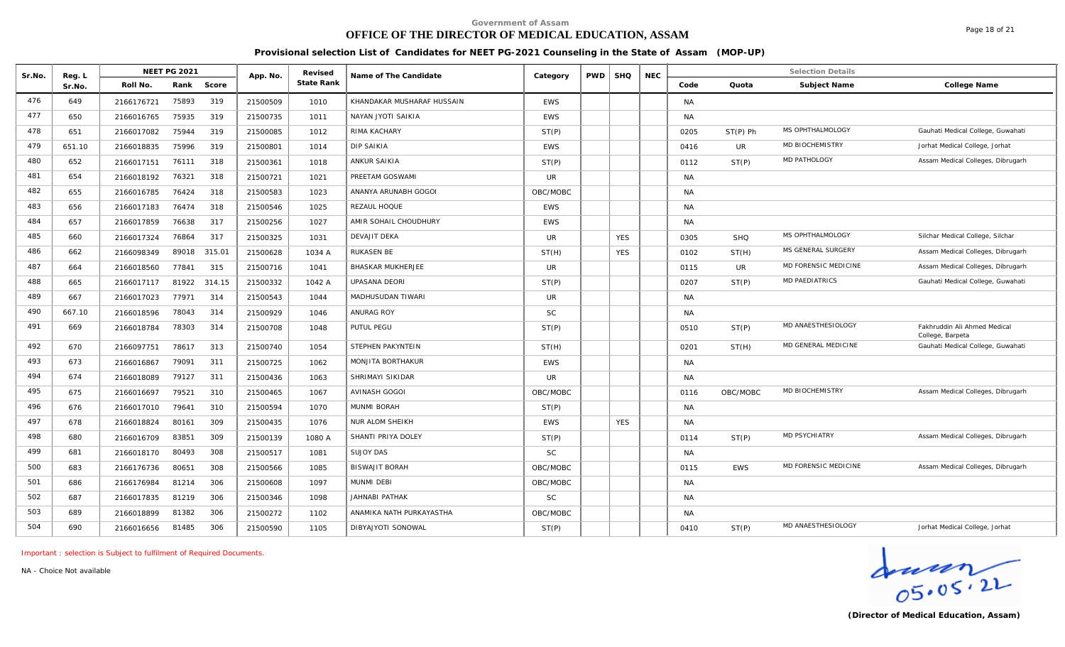# **OFFICE OF THE DIRECTOR OF MEDICAL EDUCATION, ASSAM**

Page 18 of 21

**Provisional selection List of Candidates for NEET PG-2021 Counseling in the State of Assam (MOP-UP)**

| Sr.No. | Reg. L |            | <b>NEET PG 2021</b> |        | App. No. | Revised    | Name of The Candidate      | Category   | <b>PWD</b> | <b>SHQ</b> | <b>NEC</b> |           |            | <b>Selection Details</b>   |                                                  |
|--------|--------|------------|---------------------|--------|----------|------------|----------------------------|------------|------------|------------|------------|-----------|------------|----------------------------|--------------------------------------------------|
|        | Sr.No. | Roll No.   | Rank                | Score  |          | State Rank |                            |            |            |            |            | Code      | Quota      | Subject Name               | College Name                                     |
| 476    | 649    | 2166176721 | 75893               | 319    | 21500509 | 1010       | KHANDAKAR MUSHARAF HUSSAIN | <b>EWS</b> |            |            |            | <b>NA</b> |            |                            |                                                  |
| 477    | 650    | 2166016765 | 75935               | 319    | 21500735 | 1011       | NAYAN JYOTI SAIKIA         | <b>EWS</b> |            |            |            | <b>NA</b> |            |                            |                                                  |
| 478    | 651    | 2166017082 | 75944               | 319    | 21500085 | 1012       | RIMA KACHARY               | ST(P)      |            |            |            | 0205      | $ST(P)$ Ph | MS OPHTHALMOLOGY           | Gauhati Medical College, Guwahati                |
| 479    | 651.10 | 2166018835 | 75996               | 319    | 21500801 | 1014       | DIP SAIKIA                 | <b>EWS</b> |            |            |            | 0416      | UR         | MD BIOCHEMISTRY            | Jorhat Medical College, Jorhat                   |
| 480    | 652    | 2166017151 | 76111               | 318    | 21500361 | 1018       | <b>ANKUR SAIKIA</b>        | ST(P)      |            |            |            | 0112      | ST(P)      | <b>MD PATHOLOGY</b>        | Assam Medical Colleges, Dibrugarh                |
| 481    | 654    | 2166018192 | 76321               | 318    | 21500721 | 1021       | PREETAM GOSWAMI            | <b>UR</b>  |            |            |            | <b>NA</b> |            |                            |                                                  |
| 482    | 655    | 2166016785 | 76424               | 318    | 21500583 | 1023       | ANANYA ARUNABH GOGOI       | OBC/MOBC   |            |            |            | <b>NA</b> |            |                            |                                                  |
| 483    | 656    | 2166017183 | 76474               | 318    | 21500546 | 1025       | REZAUL HOQUE               | <b>EWS</b> |            |            |            | <b>NA</b> |            |                            |                                                  |
| 484    | 657    | 2166017859 | 76638               | 317    | 21500256 | 1027       | AMIR SOHAIL CHOUDHURY      | <b>EWS</b> |            |            |            | <b>NA</b> |            |                            |                                                  |
| 485    | 660    | 2166017324 | 76864               | 317    | 21500325 | 1031       | <b>DEVAJIT DEKA</b>        | <b>UR</b>  |            | <b>YES</b> |            | 0305      | <b>SHQ</b> | MS OPHTHALMOLOGY           | Silchar Medical College, Silchar                 |
| 486    | 662    | 2166098349 | 89018               | 315.01 | 21500628 | 1034 A     | RUKASEN BE                 | ST(H)      |            | <b>YES</b> |            | 0102      | ST(H)      | MS GENERAL SURGERY         | Assam Medical Colleges, Dibrugarh                |
| 487    | 664    | 2166018560 | 77841               | 315    | 21500716 | 1041       | <b>BHASKAR MUKHERJEE</b>   | <b>UR</b>  |            |            |            | 0115      | UR         | MD FORENSIC MEDICINE       | Assam Medical Colleges, Dibrugarh                |
| 488    | 665    | 2166017117 | 81922               | 314.15 | 21500332 | 1042 A     | <b>UPASANA DEORI</b>       | ST(P)      |            |            |            | 0207      | ST(P)      | <b>MD PAEDIATRICS</b>      | Gauhati Medical College, Guwahati                |
| 489    | 667    | 2166017023 | 77971               | 314    | 21500543 | 1044       | MADHUSUDAN TIWARI          | <b>UR</b>  |            |            |            | <b>NA</b> |            |                            |                                                  |
| 490    | 667.10 | 2166018596 | 78043               | 314    | 21500929 | 1046       | ANURAG ROY                 | <b>SC</b>  |            |            |            | <b>NA</b> |            |                            |                                                  |
| 491    | 669    | 2166018784 | 78303               | 314    | 21500708 | 1048       | PUTUL PEGU                 | ST(P)      |            |            |            | 0510      | ST(P)      | MD ANAESTHESIOLOGY         | Fakhruddin Ali Ahmed Medical<br>College, Barpeta |
| 492    | 670    | 2166097751 | 78617               | 313    | 21500740 | 1054       | STEPHEN PAKYNTEIN          | ST(H)      |            |            |            | 0201      | ST(H)      | <b>MD GENERAL MEDICINE</b> | Gauhati Medical College, Guwahati                |
| 493    | 673    | 2166016867 | 79091               | 311    | 21500725 | 1062       | MONJITA BORTHAKUR          | <b>EWS</b> |            |            |            | <b>NA</b> |            |                            |                                                  |
| 494    | 674    | 2166018089 | 79127               | 311    | 21500436 | 1063       | SHRIMAYI SIKIDAR           | <b>UR</b>  |            |            |            | <b>NA</b> |            |                            |                                                  |
| 495    | 675    | 2166016697 | 79521               | 310    | 21500465 | 1067       | <b>AVINASH GOGOI</b>       | OBC/MOBC   |            |            |            | 0116      | OBC/MOBC   | <b>MD BIOCHEMISTRY</b>     | Assam Medical Colleges, Dibrugarh                |
| 496    | 676    | 2166017010 | 79641               | 310    | 21500594 | 1070       | MUNMI BORAH                | ST(P)      |            |            |            | <b>NA</b> |            |                            |                                                  |
| 497    | 678    | 2166018824 | 80161               | 309    | 21500435 | 1076       | <b>NUR ALOM SHEIKH</b>     | <b>EWS</b> |            | <b>YES</b> |            | <b>NA</b> |            |                            |                                                  |
| 498    | 680    | 2166016709 | 83851               | 309    | 21500139 | 1080 A     | SHANTI PRIYA DOLEY         | ST(P)      |            |            |            | 0114      | ST(P)      | MD PSYCHIATRY              | Assam Medical Colleges, Dibrugarh                |
| 499    | 681    | 2166018170 | 80493               | 308    | 21500517 | 1081       | <b>SUJOY DAS</b>           | <b>SC</b>  |            |            |            | <b>NA</b> |            |                            |                                                  |
| 500    | 683    | 2166176736 | 80651               | 308    | 21500566 | 1085       | <b>BISWAJIT BORAH</b>      | OBC/MOBC   |            |            |            | 0115      | <b>EWS</b> | MD FORENSIC MEDICINE       | Assam Medical Colleges, Dibrugarh                |
| 501    | 686    | 2166176984 | 81214               | 306    | 21500608 | 1097       | MUNMI DEBI                 | OBC/MOBC   |            |            |            | <b>NA</b> |            |                            |                                                  |
| 502    | 687    | 2166017835 | 81219               | 306    | 21500346 | 1098       | JAHNABI PATHAK             | <b>SC</b>  |            |            |            | <b>NA</b> |            |                            |                                                  |
| 503    | 689    | 2166018899 | 81382               | 306    | 21500272 | 1102       | ANAMIKA NATH PURKAYASTHA   | OBC/MOBC   |            |            |            | NA        |            |                            |                                                  |
| 504    | 690    | 2166016656 | 81485               | 306    | 21500590 | 1105       | DIBYAJYOTI SONOWAL         | ST(P)      |            |            |            | 0410      | ST(P)      | MD ANAESTHESIOLOGY         | Jorhat Medical College, Jorhat                   |

*Important : selection is Subject to fulfilment of Required Documents.*

 $\frac{1}{05.05.22}$ 

*NA - Choice Not available*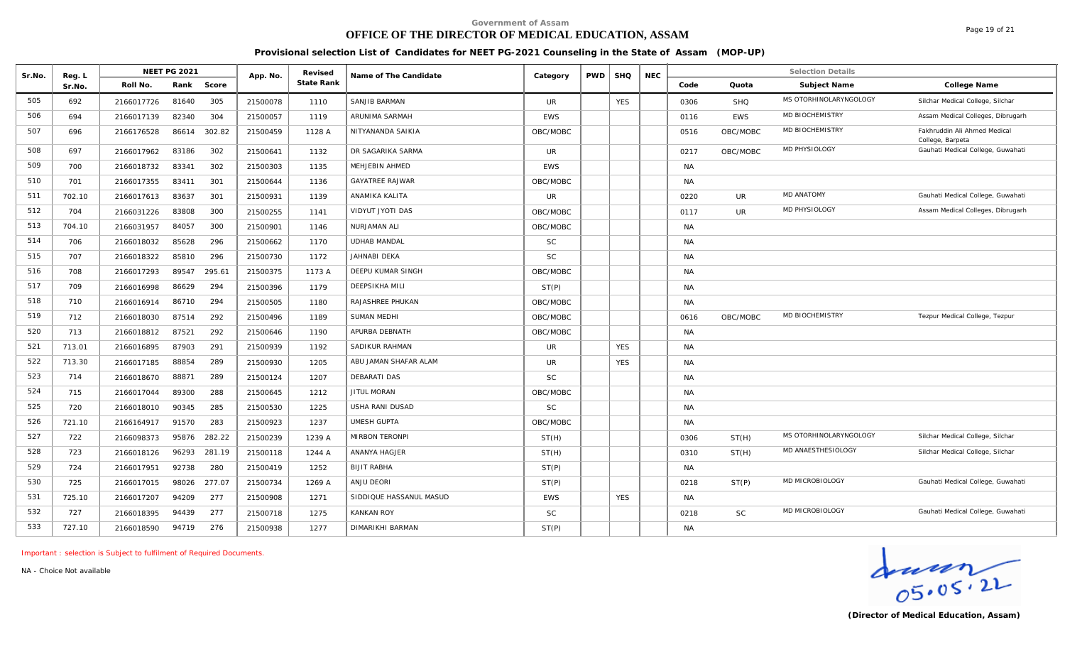# **OFFICE OF THE DIRECTOR OF MEDICAL EDUCATION, ASSAM**

Page 19 of 21

#### **Provisional selection List of Candidates for NEET PG-2021 Counseling in the State of Assam (MOP-UP)**

| Sr.No. | Reg. L | <b>NEET PG 2021</b> |        | App. No. | Revised    | Name of The Candidate   | Category   | <b>PWD</b> | <b>SHQ</b> | <b>NEC</b> |           |            | <b>Selection Details</b> |                                                  |
|--------|--------|---------------------|--------|----------|------------|-------------------------|------------|------------|------------|------------|-----------|------------|--------------------------|--------------------------------------------------|
|        | Sr.No. | Roll No.<br>Rank    | Score  |          | State Rank |                         |            |            |            |            | Code      | Quota      | Subject Name             | College Name                                     |
| 505    | 692    | 81640<br>2166017726 | 305    | 21500078 | 1110       | SANJIB BARMAN           | <b>UR</b>  |            | <b>YES</b> |            | 0306      | <b>SHQ</b> | MS OTORHINOLARYNGOLOGY   | Silchar Medical College, Silchar                 |
| 506    | 694    | 82340<br>2166017139 | 304    | 21500057 | 1119       | ARUNIMA SARMAH          | <b>EWS</b> |            |            |            | 0116      | <b>EWS</b> | <b>MD BIOCHEMISTRY</b>   | Assam Medical Colleges, Dibrugarh                |
| 507    | 696    | 86614<br>2166176528 | 302.82 | 21500459 | 1128 A     | NITYANANDA SAIKIA       | OBC/MOBC   |            |            |            | 0516      | OBC/MOBC   | MD BIOCHEMISTRY          | Fakhruddin Ali Ahmed Medical<br>College, Barpeta |
| 508    | 697    | 2166017962<br>83186 | 302    | 21500641 | 1132       | DR SAGARIKA SARMA       | <b>UR</b>  |            |            |            | 0217      | OBC/MOBC   | MD PHYSIOLOGY            | Gauhati Medical College, Guwahati                |
| 509    | 700    | 2166018732<br>83341 | 302    | 21500303 | 1135       | <b>MEHJEBIN AHMED</b>   | <b>EWS</b> |            |            |            | <b>NA</b> |            |                          |                                                  |
| 510    | 701    | 2166017355<br>83411 | 301    | 21500644 | 1136       | <b>GAYATREE RAJWAR</b>  | OBC/MOBC   |            |            |            | <b>NA</b> |            |                          |                                                  |
| 511    | 702.10 | 2166017613<br>83637 | 301    | 21500931 | 1139       | ANAMIKA KALITA          | <b>UR</b>  |            |            |            | 0220      | <b>UR</b>  | <b>MD ANATOMY</b>        | Gauhati Medical College, Guwahati                |
| 512    | 704    | 2166031226<br>83808 | 300    | 21500255 | 1141       | VIDYUT JYOTI DAS        | OBC/MOBC   |            |            |            | 0117      | <b>UR</b>  | MD PHYSIOLOGY            | Assam Medical Colleges, Dibrugarh                |
| 513    | 704.10 | 2166031957<br>84057 | 300    | 21500901 | 1146       | NURJAMAN ALI            | OBC/MOBC   |            |            |            | <b>NA</b> |            |                          |                                                  |
| 514    | 706    | 2166018032<br>85628 | 296    | 21500662 | 1170       | <b>UDHAB MANDAL</b>     | SC         |            |            |            | <b>NA</b> |            |                          |                                                  |
| 515    | 707    | 85810<br>2166018322 | 296    | 21500730 | 1172       | JAHNABI DEKA            | <b>SC</b>  |            |            |            | <b>NA</b> |            |                          |                                                  |
| 516    | 708    | 89547<br>2166017293 | 295.61 | 21500375 | 1173 A     | DEEPU KUMAR SINGH       | OBC/MOBC   |            |            |            | <b>NA</b> |            |                          |                                                  |
| 517    | 709    | 86629<br>2166016998 | 294    | 21500396 | 1179       | <b>DEEPSIKHA MILI</b>   | ST(P)      |            |            |            | <b>NA</b> |            |                          |                                                  |
| 518    | 710    | 86710<br>2166016914 | 294    | 21500505 | 1180       | <b>RAJASHREE PHUKAN</b> | OBC/MOBC   |            |            |            | <b>NA</b> |            |                          |                                                  |
| 519    | 712    | 2166018030<br>87514 | 292    | 21500496 | 1189       | <b>SUMAN MEDHI</b>      | OBC/MOBC   |            |            |            | 0616      | OBC/MOBC   | <b>MD BIOCHEMISTRY</b>   | Tezpur Medical College, Tezpur                   |
| 520    | 713    | 2166018812<br>87521 | 292    | 21500646 | 1190       | APURBA DEBNATH          | OBC/MOBC   |            |            |            | <b>NA</b> |            |                          |                                                  |
| 521    | 713.01 | 87903<br>2166016895 | 291    | 21500939 | 1192       | SADIKUR RAHMAN          | <b>UR</b>  |            | <b>YES</b> |            | <b>NA</b> |            |                          |                                                  |
| 522    | 713.30 | 88854<br>2166017185 | 289    | 21500930 | 1205       | ABU JAMAN SHAFAR ALAM   | <b>UR</b>  |            | <b>YES</b> |            | <b>NA</b> |            |                          |                                                  |
| 523    | 714    | 88871<br>2166018670 | 289    | 21500124 | 1207       | DEBARATI DAS            | SC         |            |            |            | <b>NA</b> |            |                          |                                                  |
| 524    | 715    | 89300<br>2166017044 | 288    | 21500645 | 1212       | <b>JITUL MORAN</b>      | OBC/MOBC   |            |            |            | <b>NA</b> |            |                          |                                                  |
| 525    | 720    | 2166018010<br>90345 | 285    | 21500530 | 1225       | <b>USHA RANI DUSAD</b>  | <b>SC</b>  |            |            |            | <b>NA</b> |            |                          |                                                  |
| 526    | 721.10 | 2166164917<br>91570 | 283    | 21500923 | 1237       | <b>UMESH GUPTA</b>      | OBC/MOBC   |            |            |            | <b>NA</b> |            |                          |                                                  |
| 527    | 722    | 2166098373<br>95876 | 282.22 | 21500239 | 1239 A     | MIRBON TERONPI          | ST(H)      |            |            |            | 0306      | ST(H)      | MS OTORHINOLARYNGOLOGY   | Silchar Medical College, Silchar                 |
| 528    | 723    | 96293<br>2166018126 | 281.19 | 21500118 | 1244 A     | ANANYA HAGJER           | ST(H)      |            |            |            | 0310      | ST(H)      | MD ANAESTHESIOLOGY       | Silchar Medical College, Silchar                 |
| 529    | 724    | 92738<br>2166017951 | 280    | 21500419 | 1252       | <b>BIJIT RABHA</b>      | ST(P)      |            |            |            | <b>NA</b> |            |                          |                                                  |
| 530    | 725    | 2166017015<br>98026 | 277.07 | 21500734 | 1269 A     | ANJU DEORI              | ST(P)      |            |            |            | 0218      | ST(P)      | MD MICROBIOLOGY          | Gauhati Medical College, Guwahati                |
| 531    | 725.10 | 2166017207<br>94209 | 277    | 21500908 | 1271       | SIDDIQUE HASSANUL MASUD | <b>EWS</b> |            | <b>YES</b> |            | <b>NA</b> |            |                          |                                                  |
| 532    | 727    | 2166018395<br>94439 | 277    | 21500718 | 1275       | <b>KANKAN ROY</b>       | <b>SC</b>  |            |            |            | 0218      | SC         | MD MICROBIOLOGY          | Gauhati Medical College, Guwahati                |
| 533    | 727.10 | 94719<br>2166018590 | 276    | 21500938 | 1277       | DIMARIKHI BARMAN        | ST(P)      |            |            |            | <b>NA</b> |            |                          |                                                  |
|        |        |                     |        |          |            |                         |            |            |            |            |           |            |                          |                                                  |

*Important : selection is Subject to fulfilment of Required Documents.*

 $\frac{1}{05.05.22}$ 

*NA - Choice Not available*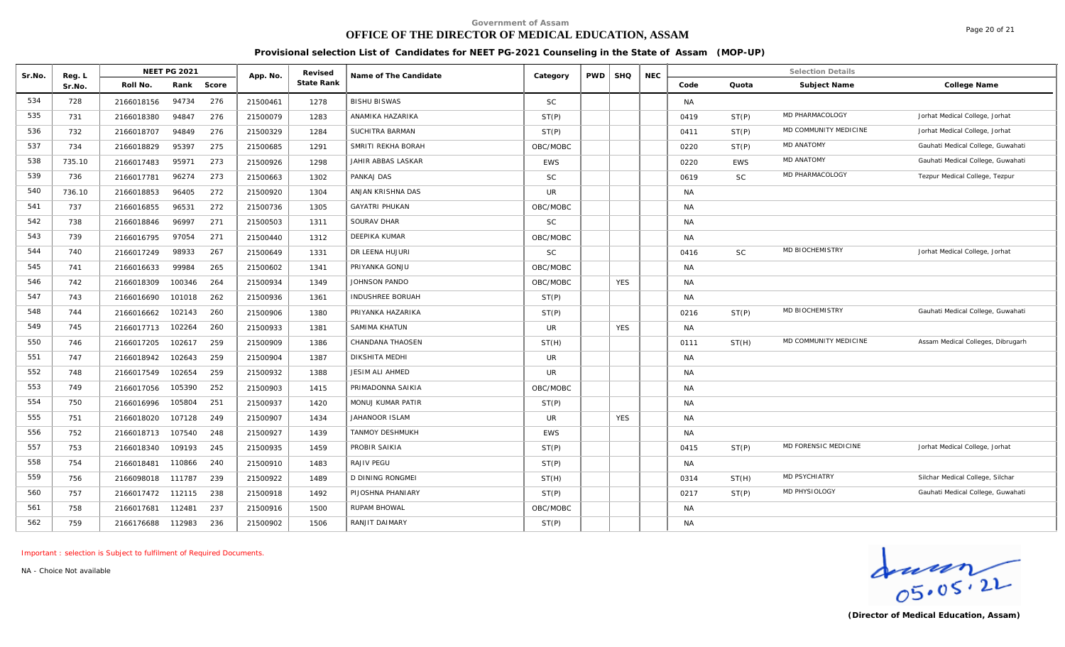# **OFFICE OF THE DIRECTOR OF MEDICAL EDUCATION, ASSAM**

Page 20 of 21

**Provisional selection List of Candidates for NEET PG-2021 Counseling in the State of Assam (MOP-UP)**

|        |                  | <b>NEET PG 2021</b>         |          | Revised    |                         |            |            |            |            |           |            | <b>Selection Details</b> |                                   |
|--------|------------------|-----------------------------|----------|------------|-------------------------|------------|------------|------------|------------|-----------|------------|--------------------------|-----------------------------------|
| Sr.No. | Reg. L<br>Sr.No. | Rank<br>Score<br>Roll No.   | App. No. | State Rank | Name of The Candidate   | Category   | <b>PWD</b> | <b>SHQ</b> | <b>NEC</b> | Code      | Quota      | Subject Name             | College Name                      |
| 534    | 728              | 94734<br>276<br>2166018156  | 21500461 | 1278       | <b>BISHU BISWAS</b>     | <b>SC</b>  |            |            |            | <b>NA</b> |            |                          |                                   |
| 535    | 731              | 94847<br>276<br>2166018380  | 21500079 | 1283       | ANAMIKA HAZARIKA        | ST(P)      |            |            |            | 0419      | ST(P)      | MD PHARMACOLOGY          | Jorhat Medical College, Jorhat    |
| 536    | 732              | 276<br>94849<br>2166018707  | 21500329 | 1284       | SUCHITRA BARMAN         | ST(P)      |            |            |            | 0411      | ST(P)      | MD COMMUNITY MEDICINE    | Jorhat Medical College, Jorhat    |
| 537    | 734              | 95397<br>275<br>2166018829  | 21500685 | 1291       | SMRITI REKHA BORAH      | OBC/MOBC   |            |            |            | 0220      | ST(P)      | <b>MD ANATOMY</b>        | Gauhati Medical College, Guwahati |
| 538    | 735.10           | 95971<br>273<br>2166017483  | 21500926 | 1298       | JAHIR ABBAS LASKAR      | <b>EWS</b> |            |            |            | 0220      | <b>EWS</b> | <b>MD ANATOMY</b>        | Gauhati Medical College, Guwahati |
| 539    | 736              | 96274<br>273<br>2166017781  | 21500663 | 1302       | PANKAJ DAS              | <b>SC</b>  |            |            |            | 0619      | <b>SC</b>  | MD PHARMACOLOGY          | Tezpur Medical College, Tezpur    |
| 540    | 736.10           | 96405<br>272<br>2166018853  | 21500920 | 1304       | ANJAN KRISHNA DAS       | <b>UR</b>  |            |            |            | <b>NA</b> |            |                          |                                   |
| 541    | 737              | 96531<br>272<br>2166016855  | 21500736 | 1305       | GAYATRI PHUKAN          | OBC/MOBC   |            |            |            |           |            |                          |                                   |
| 542    |                  |                             |          |            |                         |            |            |            |            | <b>NA</b> |            |                          |                                   |
|        | 738              | 271<br>96997<br>2166018846  | 21500503 | 1311       | SOURAV DHAR             | <b>SC</b>  |            |            |            | <b>NA</b> |            |                          |                                   |
| 543    | 739              | 97054<br>271<br>2166016795  | 21500440 | 1312       | <b>DEEPIKA KUMAR</b>    | OBC/MOBC   |            |            |            | <b>NA</b> |            |                          |                                   |
| 544    | 740              | 98933<br>267<br>2166017249  | 21500649 | 1331       | DR LEENA HUJURI         | <b>SC</b>  |            |            |            | 0416      | <b>SC</b>  | MD BIOCHEMISTRY          | Jorhat Medical College, Jorhat    |
| 545    | 741              | 99984<br>265<br>2166016633  | 21500602 | 1341       | PRIYANKA GONJU          | OBC/MOBC   |            |            |            | <b>NA</b> |            |                          |                                   |
| 546    | 742              | 100346<br>264<br>2166018309 | 21500934 | 1349       | JOHNSON PANDO           | OBC/MOBC   |            | <b>YES</b> |            | <b>NA</b> |            |                          |                                   |
| 547    | 743              | 262<br>101018<br>2166016690 | 21500936 | 1361       | INDUSHREE BORUAH        | ST(P)      |            |            |            | <b>NA</b> |            |                          |                                   |
| 548    | 744              | 260<br>2166016662<br>102143 | 21500906 | 1380       | PRIYANKA HAZARIKA       | ST(P)      |            |            |            | 0216      | ST(P)      | MD BIOCHEMISTRY          | Gauhati Medical College, Guwahati |
| 549    | 745              | 102264<br>260<br>2166017713 | 21500933 | 1381       | SAMIMA KHATUN           | UR.        |            | <b>YES</b> |            | <b>NA</b> |            |                          |                                   |
| 550    | 746              | 102617<br>259<br>2166017205 | 21500909 | 1386       | CHANDANA THAOSEN        | ST(H)      |            |            |            | 0111      | ST(H)      | MD COMMUNITY MEDICINE    | Assam Medical Colleges, Dibrugarh |
| 551    | 747              | 102643<br>259<br>2166018942 | 21500904 | 1387       | <b>DIKSHITA MEDHI</b>   | <b>UR</b>  |            |            |            | NA        |            |                          |                                   |
| 552    | 748              | 102654<br>259<br>2166017549 | 21500932 | 1388       | JESIM ALI AHMED         | <b>UR</b>  |            |            |            | <b>NA</b> |            |                          |                                   |
| 553    | 749              | 252<br>105390<br>2166017056 | 21500903 | 1415       | PRIMADONNA SAIKIA       | OBC/MOBC   |            |            |            | <b>NA</b> |            |                          |                                   |
| 554    | 750              | 105804<br>251<br>2166016996 | 21500937 | 1420       | MONUJ KUMAR PATIR       | ST(P)      |            |            |            | NA        |            |                          |                                   |
| 555    | 751              | 107128<br>249<br>2166018020 | 21500907 | 1434       | JAHANOOR ISLAM          | <b>UR</b>  |            | <b>YES</b> |            | <b>NA</b> |            |                          |                                   |
| 556    | 752              | 107540<br>248<br>2166018713 | 21500927 | 1439       | <b>TANMOY DESHMUKH</b>  | <b>EWS</b> |            |            |            | NA        |            |                          |                                   |
| 557    | 753              | 109193<br>245<br>2166018340 | 21500935 | 1459       | PROBIR SAIKIA           | ST(P)      |            |            |            | 0415      | ST(P)      | MD FORENSIC MEDICINE     | Jorhat Medical College, Jorhat    |
| 558    | 754              | 240<br>110866<br>2166018481 | 21500910 | 1483       | RAJIV PEGU              | ST(P)      |            |            |            | <b>NA</b> |            |                          |                                   |
| 559    | 756              | 111787<br>239<br>2166098018 | 21500922 | 1489       | <b>D DINING RONGMEI</b> | ST(H)      |            |            |            | 0314      | ST(H)      | MD PSYCHIATRY            | Silchar Medical College, Silchar  |
| 560    | 757              | 112115<br>238<br>2166017472 | 21500918 | 1492       | PIJOSHNA PHANIARY       | ST(P)      |            |            |            | 0217      | ST(P)      | MD PHYSIOLOGY            | Gauhati Medical College, Guwahati |
| 561    | 758              | 237<br>112481<br>2166017681 | 21500916 | 1500       | <b>RUPAM BHOWAL</b>     | OBC/MOBC   |            |            |            | <b>NA</b> |            |                          |                                   |
| 562    | 759              | 112983<br>236<br>2166176688 | 21500902 | 1506       | RANJIT DAIMARY          | ST(P)      |            |            |            | <b>NA</b> |            |                          |                                   |

*Important : selection is Subject to fulfilment of Required Documents.*

Graden<br>
OS. 05. 2L<br>
(Director of Medical Education, Assam)